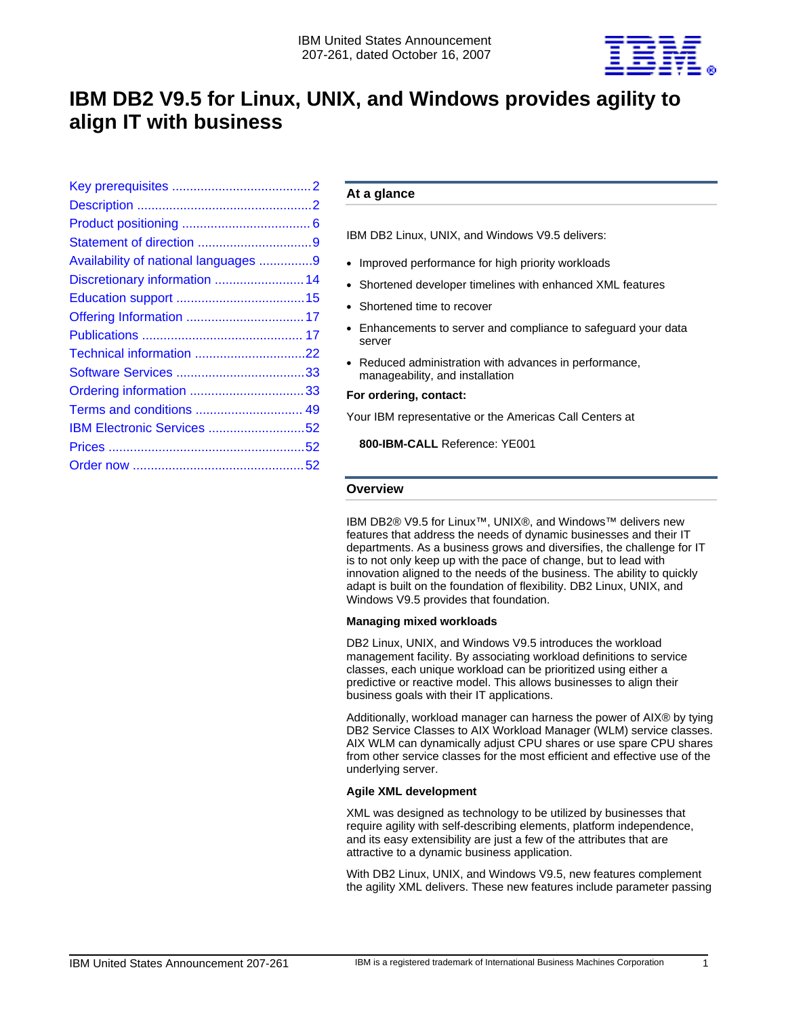

# **IBM DB2 V9.5 for Linux, UNIX, and Windows provides agility to align IT with business**

| Availability of national languages 9 |  |
|--------------------------------------|--|
| Discretionary information  14        |  |
|                                      |  |
|                                      |  |
|                                      |  |
|                                      |  |
|                                      |  |
|                                      |  |
| Terms and conditions  49             |  |
| IBM Electronic Services 52           |  |
|                                      |  |
|                                      |  |

# **At a glance**

IBM DB2 Linux, UNIX, and Windows V9.5 delivers:

- Improved performance for high priority workloads
- Shortened developer timelines with enhanced XML features
- Shortened time to recover
- Enhancements to server and compliance to safeguard your data server
- Reduced administration with advances in performance, manageability, and installation

#### **For ordering, contact:**

Your IBM representative or the Americas Call Centers at

**800-IBM-CALL** Reference: YE001

#### **Overview**

IBM DB2® V9.5 for Linux™, UNIX®, and Windows™ delivers new features that address the needs of dynamic businesses and their IT departments. As a business grows and diversifies, the challenge for IT is to not only keep up with the pace of change, but to lead with innovation aligned to the needs of the business. The ability to quickly adapt is built on the foundation of flexibility. DB2 Linux, UNIX, and Windows V9.5 provides that foundation.

# **Managing mixed workloads**

DB2 Linux, UNIX, and Windows V9.5 introduces the workload management facility. By associating workload definitions to service classes, each unique workload can be prioritized using either a predictive or reactive model. This allows businesses to align their business goals with their IT applications.

Additionally, workload manager can harness the power of AIX® by tying DB2 Service Classes to AIX Workload Manager (WLM) service classes. AIX WLM can dynamically adjust CPU shares or use spare CPU shares from other service classes for the most efficient and effective use of the underlying server.

# **Agile XML development**

XML was designed as technology to be utilized by businesses that require agility with self-describing elements, platform independence, and its easy extensibility are just a few of the attributes that are attractive to a dynamic business application.

With DB2 Linux, UNIX, and Windows V9.5, new features complement the agility XML delivers. These new features include parameter passing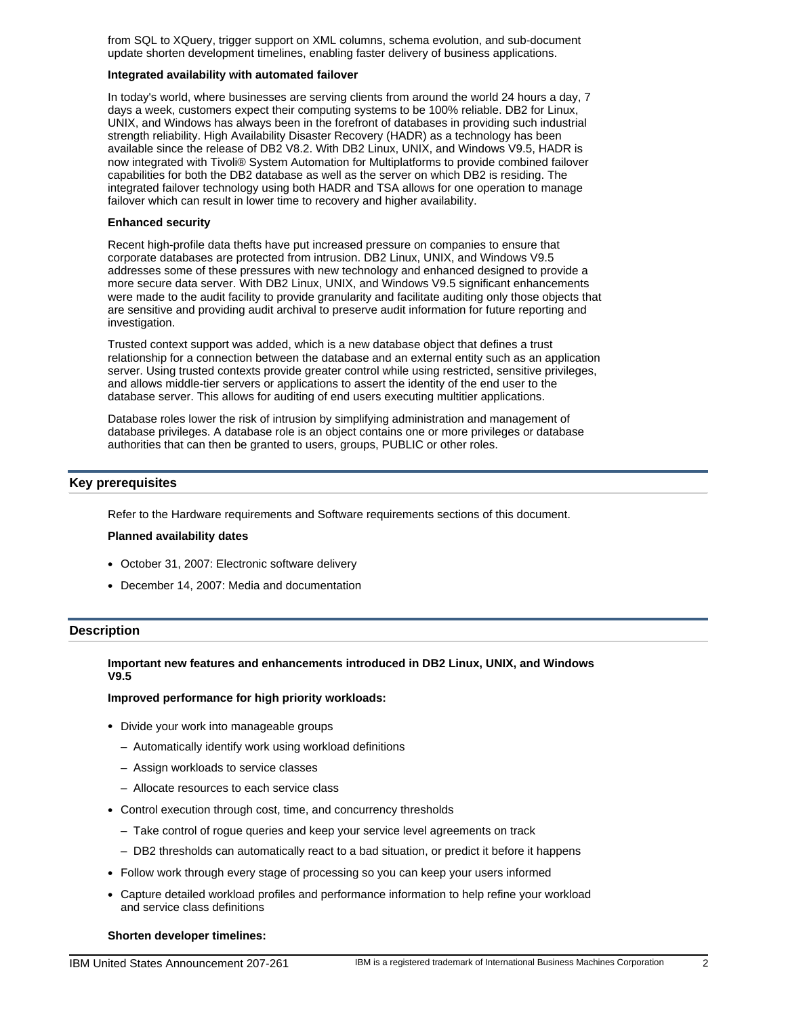from SQL to XQuery, trigger support on XML columns, schema evolution, and sub-document update shorten development timelines, enabling faster delivery of business applications.

#### **Integrated availability with automated failover**

In today's world, where businesses are serving clients from around the world 24 hours a day, 7 days a week, customers expect their computing systems to be 100% reliable. DB2 for Linux, UNIX, and Windows has always been in the forefront of databases in providing such industrial strength reliability. High Availability Disaster Recovery (HADR) as a technology has been available since the release of DB2 V8.2. With DB2 Linux, UNIX, and Windows V9.5, HADR is now integrated with Tivoli® System Automation for Multiplatforms to provide combined failover capabilities for both the DB2 database as well as the server on which DB2 is residing. The integrated failover technology using both HADR and TSA allows for one operation to manage failover which can result in lower time to recovery and higher availability.

#### **Enhanced security**

Recent high-profile data thefts have put increased pressure on companies to ensure that corporate databases are protected from intrusion. DB2 Linux, UNIX, and Windows V9.5 addresses some of these pressures with new technology and enhanced designed to provide a more secure data server. With DB2 Linux, UNIX, and Windows V9.5 significant enhancements were made to the audit facility to provide granularity and facilitate auditing only those objects that are sensitive and providing audit archival to preserve audit information for future reporting and investigation.

Trusted context support was added, which is a new database object that defines a trust relationship for a connection between the database and an external entity such as an application server. Using trusted contexts provide greater control while using restricted, sensitive privileges, and allows middle-tier servers or applications to assert the identity of the end user to the database server. This allows for auditing of end users executing multitier applications.

Database roles lower the risk of intrusion by simplifying administration and management of database privileges. A database role is an object contains one or more privileges or database authorities that can then be granted to users, groups, PUBLIC or other roles.

# <span id="page-1-0"></span>**Key prerequisites**

Refer to the Hardware requirements and Software requirements sections of this document.

#### **Planned availability dates**

- October 31, 2007: Electronic software delivery
- December 14, 2007: Media and documentation

# <span id="page-1-1"></span>**Description**

# **Important new features and enhancements introduced in DB2 Linux, UNIX, and Windows V9.5**

### **Improved performance for high priority workloads:**

- Divide your work into manageable groups
	- Automatically identify work using workload definitions
	- Assign workloads to service classes
	- Allocate resources to each service class
- Control execution through cost, time, and concurrency thresholds
	- Take control of rogue queries and keep your service level agreements on track
	- DB2 thresholds can automatically react to a bad situation, or predict it before it happens
- Follow work through every stage of processing so you can keep your users informed
- Capture detailed workload profiles and performance information to help refine your workload and service class definitions

#### **Shorten developer timelines:**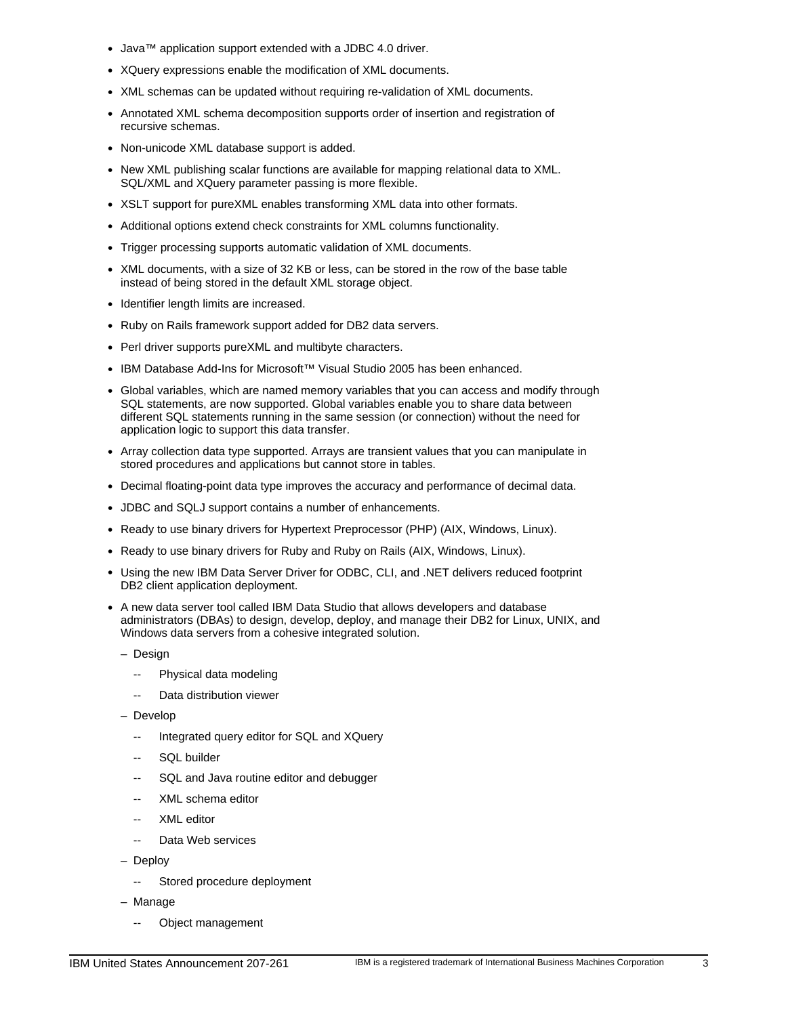- Java™ application support extended with a JDBC 4.0 driver.
- XQuery expressions enable the modification of XML documents.
- XML schemas can be updated without requiring re-validation of XML documents.
- Annotated XML schema decomposition supports order of insertion and registration of recursive schemas.
- Non-unicode XML database support is added.
- New XML publishing scalar functions are available for mapping relational data to XML. SQL/XML and XQuery parameter passing is more flexible.
- XSLT support for pureXML enables transforming XML data into other formats.
- Additional options extend check constraints for XML columns functionality.
- Trigger processing supports automatic validation of XML documents.
- XML documents, with a size of 32 KB or less, can be stored in the row of the base table instead of being stored in the default XML storage object.
- Identifier length limits are increased.
- Ruby on Rails framework support added for DB2 data servers.
- Perl driver supports pureXML and multibyte characters.
- IBM Database Add-Ins for Microsoft™ Visual Studio 2005 has been enhanced.
- Global variables, which are named memory variables that you can access and modify through SQL statements, are now supported. Global variables enable you to share data between different SQL statements running in the same session (or connection) without the need for application logic to support this data transfer.
- Array collection data type supported. Arrays are transient values that you can manipulate in stored procedures and applications but cannot store in tables.
- Decimal floating-point data type improves the accuracy and performance of decimal data.
- JDBC and SQLJ support contains a number of enhancements.
- Ready to use binary drivers for Hypertext Preprocessor (PHP) (AIX, Windows, Linux).
- Ready to use binary drivers for Ruby and Ruby on Rails (AIX, Windows, Linux).
- Using the new IBM Data Server Driver for ODBC, CLI, and .NET delivers reduced footprint DB2 client application deployment.
- A new data server tool called IBM Data Studio that allows developers and database administrators (DBAs) to design, develop, deploy, and manage their DB2 for Linux, UNIX, and Windows data servers from a cohesive integrated solution.
	- Design
		- -- Physical data modeling
		- Data distribution viewer
	- Develop
		- Integrated query editor for SQL and XQuery
		- SQL builder
		- SQL and Java routine editor and debugger
		- XML schema editor
		- XML editor
		- Data Web services
	- Deploy
		- -- Stored procedure deployment
	- Manage
		- Object management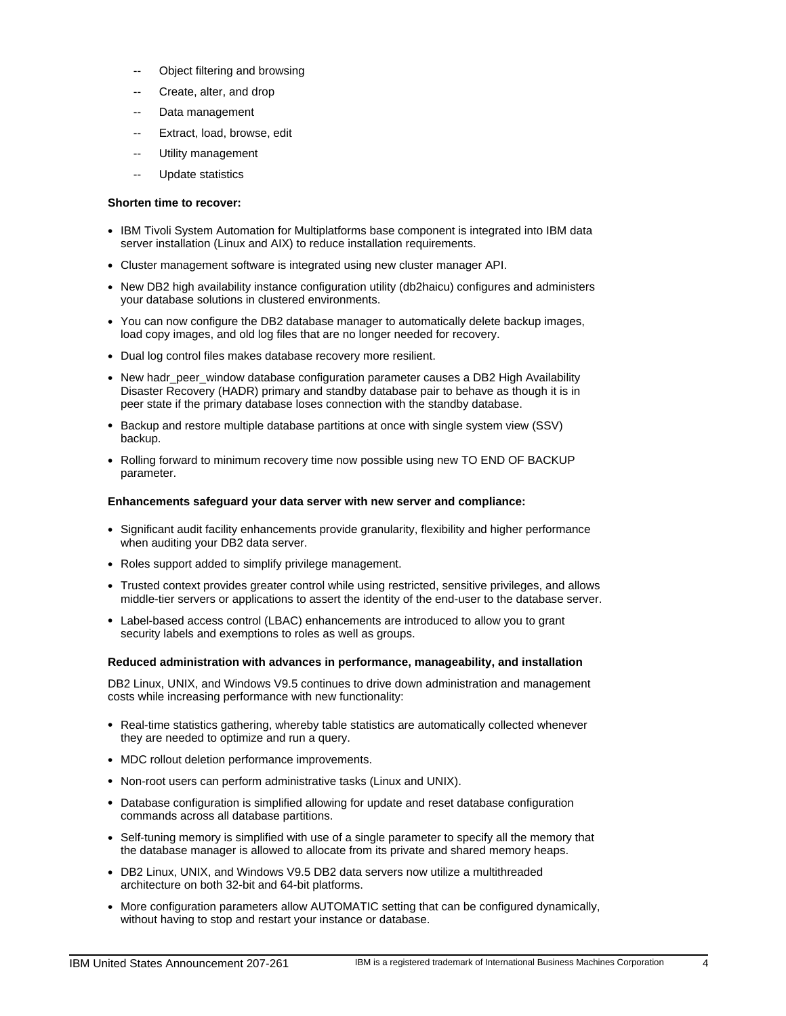- Object filtering and browsing
- Create, alter, and drop
- Data management
- Extract, load, browse, edit
- Utility management
- Update statistics

#### **Shorten time to recover:**

- IBM Tivoli System Automation for Multiplatforms base component is integrated into IBM data server installation (Linux and AIX) to reduce installation requirements.
- Cluster management software is integrated using new cluster manager API.
- New DB2 high availability instance configuration utility (db2haicu) configures and administers your database solutions in clustered environments.
- You can now configure the DB2 database manager to automatically delete backup images, load copy images, and old log files that are no longer needed for recovery.
- Dual log control files makes database recovery more resilient.
- New hadr\_peer\_window database configuration parameter causes a DB2 High Availability Disaster Recovery (HADR) primary and standby database pair to behave as though it is in peer state if the primary database loses connection with the standby database.
- Backup and restore multiple database partitions at once with single system view (SSV) backup.
- Rolling forward to minimum recovery time now possible using new TO END OF BACKUP parameter.

#### **Enhancements safeguard your data server with new server and compliance:**

- Significant audit facility enhancements provide granularity, flexibility and higher performance when auditing your DB2 data server.
- Roles support added to simplify privilege management.
- Trusted context provides greater control while using restricted, sensitive privileges, and allows middle-tier servers or applications to assert the identity of the end-user to the database server.
- Label-based access control (LBAC) enhancements are introduced to allow you to grant security labels and exemptions to roles as well as groups.

#### **Reduced administration with advances in performance, manageability, and installation**

DB2 Linux, UNIX, and Windows V9.5 continues to drive down administration and management costs while increasing performance with new functionality:

- Real-time statistics gathering, whereby table statistics are automatically collected whenever they are needed to optimize and run a query.
- MDC rollout deletion performance improvements.
- Non-root users can perform administrative tasks (Linux and UNIX).
- Database configuration is simplified allowing for update and reset database configuration commands across all database partitions.
- Self-tuning memory is simplified with use of a single parameter to specify all the memory that the database manager is allowed to allocate from its private and shared memory heaps.
- DB2 Linux, UNIX, and Windows V9.5 DB2 data servers now utilize a multithreaded architecture on both 32-bit and 64-bit platforms.
- More configuration parameters allow AUTOMATIC setting that can be configured dynamically, without having to stop and restart your instance or database.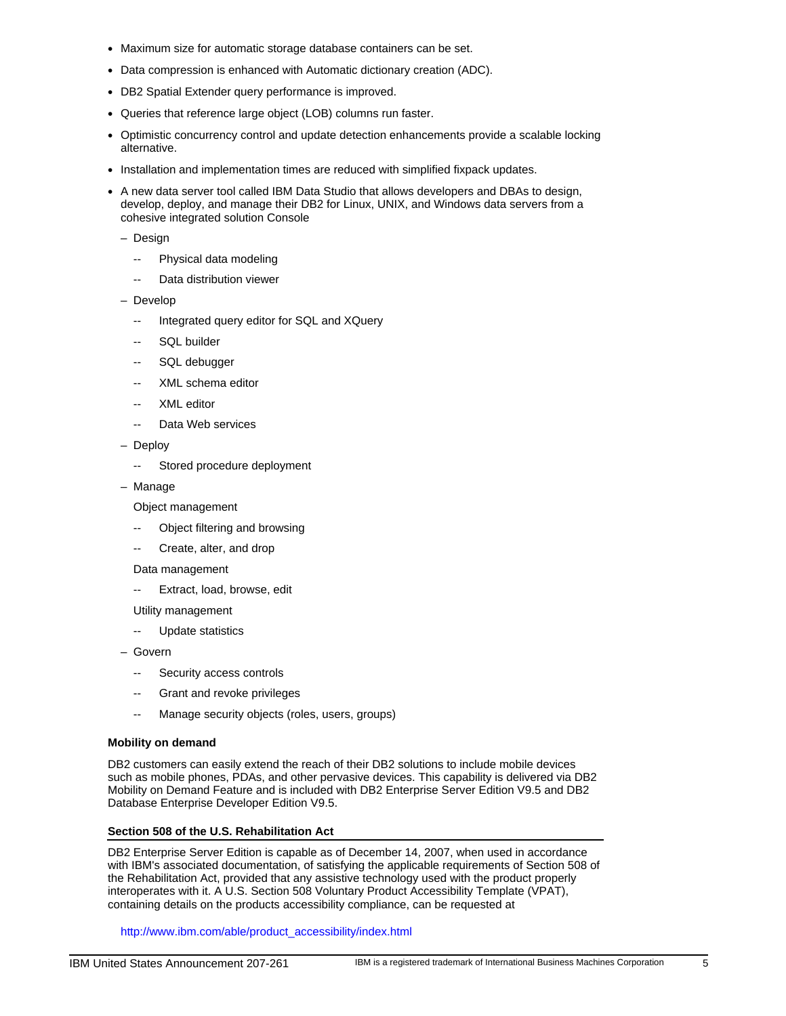- Maximum size for automatic storage database containers can be set.
- Data compression is enhanced with Automatic dictionary creation (ADC).
- DB2 Spatial Extender query performance is improved.
- Queries that reference large object (LOB) columns run faster.
- Optimistic concurrency control and update detection enhancements provide a scalable locking alternative.
- Installation and implementation times are reduced with simplified fixpack updates.
- A new data server tool called IBM Data Studio that allows developers and DBAs to design, develop, deploy, and manage their DB2 for Linux, UNIX, and Windows data servers from a cohesive integrated solution Console
	- Design
		- -- Physical data modeling
		- -- Data distribution viewer
	- Develop
		- -- Integrated query editor for SQL and XQuery
		- SQL builder
		- SQL debugger
		- XML schema editor
		- XML editor
		- Data Web services
	- Deploy
		- -- Stored procedure deployment
	- Manage

Object management

- Object filtering and browsing
- Create, alter, and drop
- Data management
- -- Extract, load, browse, edit
- Utility management
- Update statistics
- Govern
	- -- Security access controls
	- -- Grant and revoke privileges
	- -- Manage security objects (roles, users, groups)

#### **Mobility on demand**

DB2 customers can easily extend the reach of their DB2 solutions to include mobile devices such as mobile phones, PDAs, and other pervasive devices. This capability is delivered via DB2 Mobility on Demand Feature and is included with DB2 Enterprise Server Edition V9.5 and DB2 Database Enterprise Developer Edition V9.5.

#### **Section 508 of the U.S. Rehabilitation Act**

DB2 Enterprise Server Edition is capable as of December 14, 2007, when used in accordance with IBM's associated documentation, of satisfying the applicable requirements of Section 508 of the Rehabilitation Act, provided that any assistive technology used with the product properly interoperates with it. A U.S. Section 508 Voluntary Product Accessibility Template (VPAT), containing details on the products accessibility compliance, can be requested at

http://www.ibm.com/able/product\_accessibility/index.html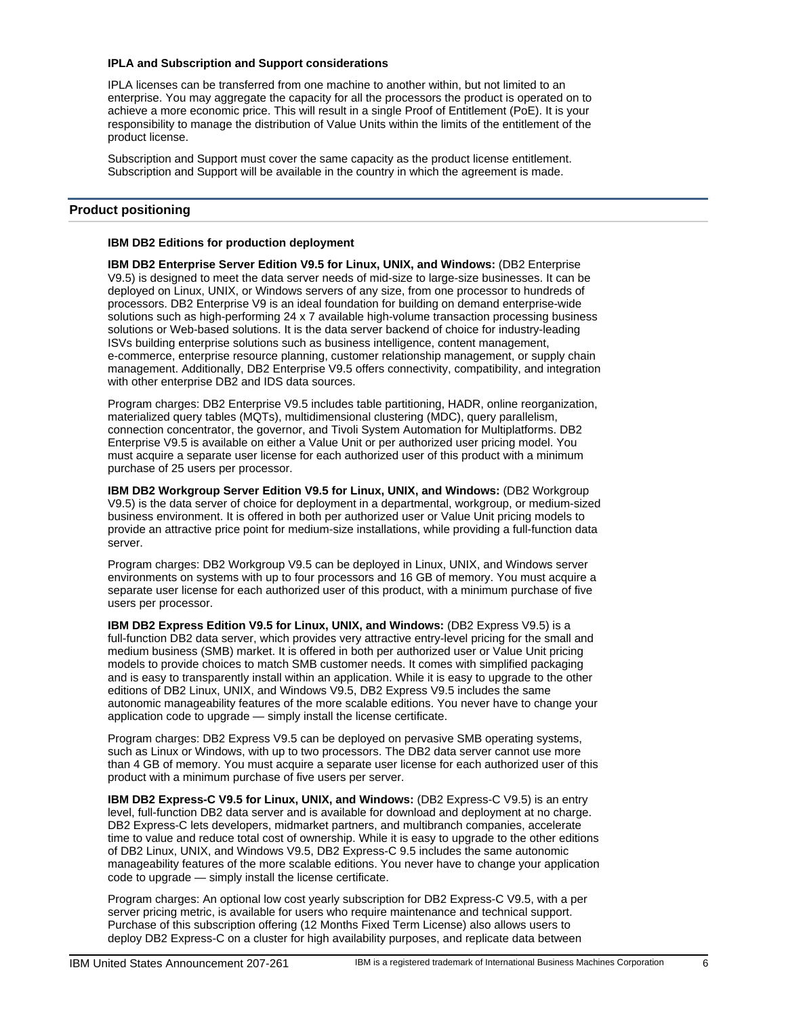#### **IPLA and Subscription and Support considerations**

IPLA licenses can be transferred from one machine to another within, but not limited to an enterprise. You may aggregate the capacity for all the processors the product is operated on to achieve a more economic price. This will result in a single Proof of Entitlement (PoE). It is your responsibility to manage the distribution of Value Units within the limits of the entitlement of the product license.

Subscription and Support must cover the same capacity as the product license entitlement. Subscription and Support will be available in the country in which the agreement is made.

# <span id="page-5-0"></span>**Product positioning**

#### **IBM DB2 Editions for production deployment**

**IBM DB2 Enterprise Server Edition V9.5 for Linux, UNIX, and Windows:** (DB2 Enterprise V9.5) is designed to meet the data server needs of mid-size to large-size businesses. It can be deployed on Linux, UNIX, or Windows servers of any size, from one processor to hundreds of processors. DB2 Enterprise V9 is an ideal foundation for building on demand enterprise-wide solutions such as high-performing 24 x 7 available high-volume transaction processing business solutions or Web-based solutions. It is the data server backend of choice for industry-leading ISVs building enterprise solutions such as business intelligence, content management, e-commerce, enterprise resource planning, customer relationship management, or supply chain management. Additionally, DB2 Enterprise V9.5 offers connectivity, compatibility, and integration with other enterprise DB2 and IDS data sources.

Program charges: DB2 Enterprise V9.5 includes table partitioning, HADR, online reorganization, materialized query tables (MQTs), multidimensional clustering (MDC), query parallelism, connection concentrator, the governor, and Tivoli System Automation for Multiplatforms. DB2 Enterprise V9.5 is available on either a Value Unit or per authorized user pricing model. You must acquire a separate user license for each authorized user of this product with a minimum purchase of 25 users per processor.

**IBM DB2 Workgroup Server Edition V9.5 for Linux, UNIX, and Windows:** (DB2 Workgroup V9.5) is the data server of choice for deployment in a departmental, workgroup, or medium-sized business environment. It is offered in both per authorized user or Value Unit pricing models to provide an attractive price point for medium-size installations, while providing a full-function data server.

Program charges: DB2 Workgroup V9.5 can be deployed in Linux, UNIX, and Windows server environments on systems with up to four processors and 16 GB of memory. You must acquire a separate user license for each authorized user of this product, with a minimum purchase of five users per processor.

**IBM DB2 Express Edition V9.5 for Linux, UNIX, and Windows:** (DB2 Express V9.5) is a full-function DB2 data server, which provides very attractive entry-level pricing for the small and medium business (SMB) market. It is offered in both per authorized user or Value Unit pricing models to provide choices to match SMB customer needs. It comes with simplified packaging and is easy to transparently install within an application. While it is easy to upgrade to the other editions of DB2 Linux, UNIX, and Windows V9.5, DB2 Express V9.5 includes the same autonomic manageability features of the more scalable editions. You never have to change your application code to upgrade — simply install the license certificate.

Program charges: DB2 Express V9.5 can be deployed on pervasive SMB operating systems, such as Linux or Windows, with up to two processors. The DB2 data server cannot use more than 4 GB of memory. You must acquire a separate user license for each authorized user of this product with a minimum purchase of five users per server.

**IBM DB2 Express-C V9.5 for Linux, UNIX, and Windows:** (DB2 Express-C V9.5) is an entry level, full-function DB2 data server and is available for download and deployment at no charge. DB2 Express-C lets developers, midmarket partners, and multibranch companies, accelerate time to value and reduce total cost of ownership. While it is easy to upgrade to the other editions of DB2 Linux, UNIX, and Windows V9.5, DB2 Express-C 9.5 includes the same autonomic manageability features of the more scalable editions. You never have to change your application code to upgrade — simply install the license certificate.

Program charges: An optional low cost yearly subscription for DB2 Express-C V9.5, with a per server pricing metric, is available for users who require maintenance and technical support. Purchase of this subscription offering (12 Months Fixed Term License) also allows users to deploy DB2 Express-C on a cluster for high availability purposes, and replicate data between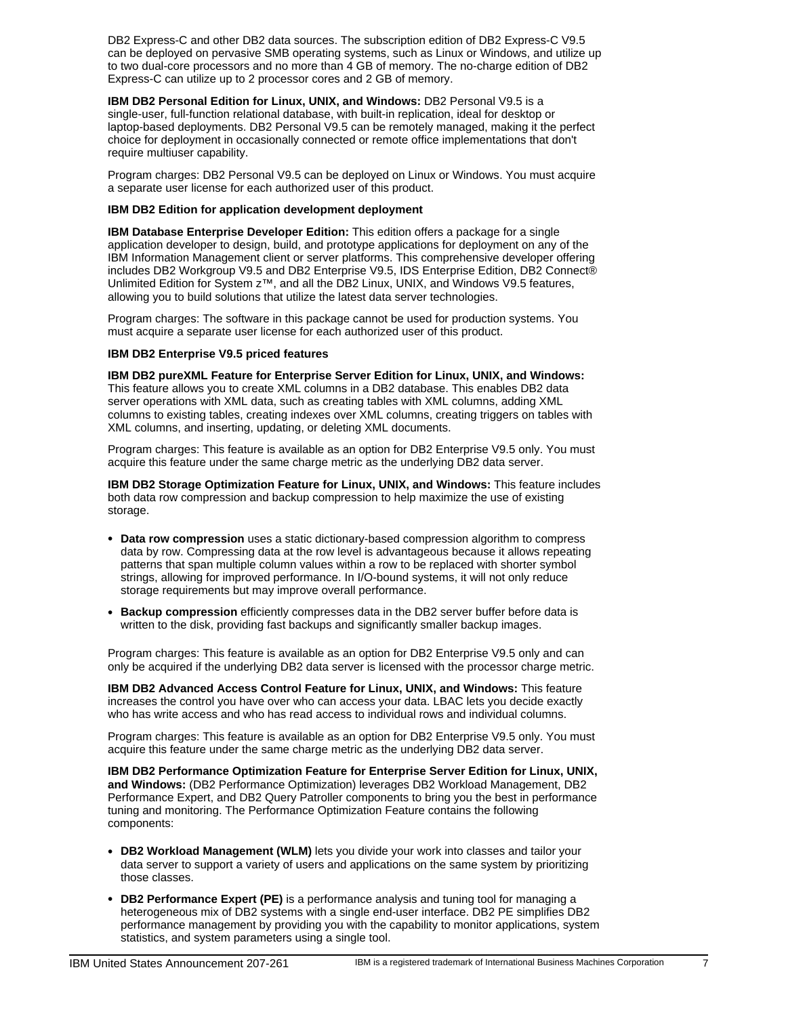DB2 Express-C and other DB2 data sources. The subscription edition of DB2 Express-C V9.5 can be deployed on pervasive SMB operating systems, such as Linux or Windows, and utilize up to two dual-core processors and no more than 4 GB of memory. The no-charge edition of DB2 Express-C can utilize up to 2 processor cores and 2 GB of memory.

**IBM DB2 Personal Edition for Linux, UNIX, and Windows:** DB2 Personal V9.5 is a single-user, full-function relational database, with built-in replication, ideal for desktop or laptop-based deployments. DB2 Personal V9.5 can be remotely managed, making it the perfect choice for deployment in occasionally connected or remote office implementations that don't require multiuser capability.

Program charges: DB2 Personal V9.5 can be deployed on Linux or Windows. You must acquire a separate user license for each authorized user of this product.

# **IBM DB2 Edition for application development deployment**

**IBM Database Enterprise Developer Edition:** This edition offers a package for a single application developer to design, build, and prototype applications for deployment on any of the IBM Information Management client or server platforms. This comprehensive developer offering includes DB2 Workgroup V9.5 and DB2 Enterprise V9.5, IDS Enterprise Edition, DB2 Connect® Unlimited Edition for System z™, and all the DB2 Linux, UNIX, and Windows V9.5 features, allowing you to build solutions that utilize the latest data server technologies.

Program charges: The software in this package cannot be used for production systems. You must acquire a separate user license for each authorized user of this product.

#### **IBM DB2 Enterprise V9.5 priced features**

**IBM DB2 pureXML Feature for Enterprise Server Edition for Linux, UNIX, and Windows:** This feature allows you to create XML columns in a DB2 database. This enables DB2 data server operations with XML data, such as creating tables with XML columns, adding XML columns to existing tables, creating indexes over XML columns, creating triggers on tables with XML columns, and inserting, updating, or deleting XML documents.

Program charges: This feature is available as an option for DB2 Enterprise V9.5 only. You must acquire this feature under the same charge metric as the underlying DB2 data server.

**IBM DB2 Storage Optimization Feature for Linux, UNIX, and Windows:** This feature includes both data row compression and backup compression to help maximize the use of existing storage.

- **Data row compression** uses a static dictionary-based compression algorithm to compress data by row. Compressing data at the row level is advantageous because it allows repeating patterns that span multiple column values within a row to be replaced with shorter symbol strings, allowing for improved performance. In I/O-bound systems, it will not only reduce storage requirements but may improve overall performance.
- **Backup compression** efficiently compresses data in the DB2 server buffer before data is written to the disk, providing fast backups and significantly smaller backup images.

Program charges: This feature is available as an option for DB2 Enterprise V9.5 only and can only be acquired if the underlying DB2 data server is licensed with the processor charge metric.

**IBM DB2 Advanced Access Control Feature for Linux, UNIX, and Windows:** This feature increases the control you have over who can access your data. LBAC lets you decide exactly who has write access and who has read access to individual rows and individual columns.

Program charges: This feature is available as an option for DB2 Enterprise V9.5 only. You must acquire this feature under the same charge metric as the underlying DB2 data server.

**IBM DB2 Performance Optimization Feature for Enterprise Server Edition for Linux, UNIX, and Windows:** (DB2 Performance Optimization) leverages DB2 Workload Management, DB2 Performance Expert, and DB2 Query Patroller components to bring you the best in performance tuning and monitoring. The Performance Optimization Feature contains the following components:

- **DB2 Workload Management (WLM)** lets you divide your work into classes and tailor your data server to support a variety of users and applications on the same system by prioritizing those classes.
- **DB2 Performance Expert (PE)** is a performance analysis and tuning tool for managing a heterogeneous mix of DB2 systems with a single end-user interface. DB2 PE simplifies DB2 performance management by providing you with the capability to monitor applications, system statistics, and system parameters using a single tool.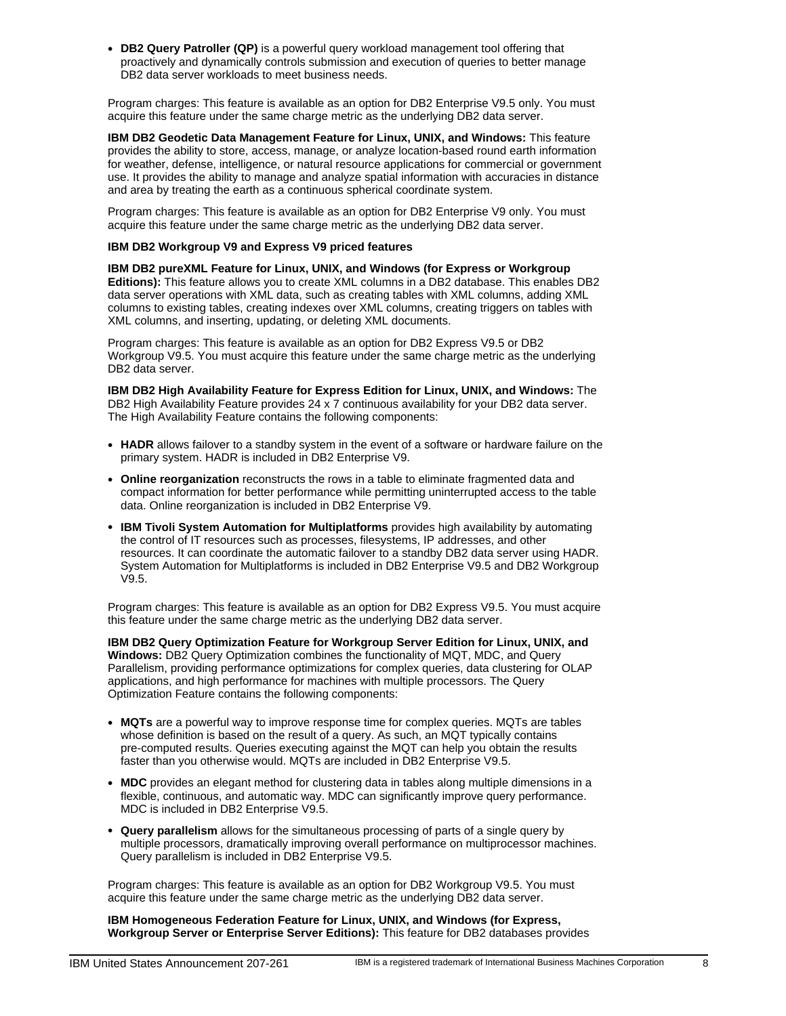• **DB2 Query Patroller (QP)** is a powerful query workload management tool offering that proactively and dynamically controls submission and execution of queries to better manage DB2 data server workloads to meet business needs.

Program charges: This feature is available as an option for DB2 Enterprise V9.5 only. You must acquire this feature under the same charge metric as the underlying DB2 data server.

**IBM DB2 Geodetic Data Management Feature for Linux, UNIX, and Windows:** This feature provides the ability to store, access, manage, or analyze location-based round earth information for weather, defense, intelligence, or natural resource applications for commercial or government use. It provides the ability to manage and analyze spatial information with accuracies in distance and area by treating the earth as a continuous spherical coordinate system.

Program charges: This feature is available as an option for DB2 Enterprise V9 only. You must acquire this feature under the same charge metric as the underlying DB2 data server.

#### **IBM DB2 Workgroup V9 and Express V9 priced features**

**IBM DB2 pureXML Feature for Linux, UNIX, and Windows (for Express or Workgroup Editions):** This feature allows you to create XML columns in a DB2 database. This enables DB2 data server operations with XML data, such as creating tables with XML columns, adding XML columns to existing tables, creating indexes over XML columns, creating triggers on tables with XML columns, and inserting, updating, or deleting XML documents.

Program charges: This feature is available as an option for DB2 Express V9.5 or DB2 Workgroup V9.5. You must acquire this feature under the same charge metric as the underlying DB2 data server.

**IBM DB2 High Availability Feature for Express Edition for Linux, UNIX, and Windows:** The DB2 High Availability Feature provides 24 x 7 continuous availability for your DB2 data server. The High Availability Feature contains the following components:

- **HADR** allows failover to a standby system in the event of a software or hardware failure on the primary system. HADR is included in DB2 Enterprise V9.
- **Online reorganization** reconstructs the rows in a table to eliminate fragmented data and compact information for better performance while permitting uninterrupted access to the table data. Online reorganization is included in DB2 Enterprise V9.
- **IBM Tivoli System Automation for Multiplatforms** provides high availability by automating the control of IT resources such as processes, filesystems, IP addresses, and other resources. It can coordinate the automatic failover to a standby DB2 data server using HADR. System Automation for Multiplatforms is included in DB2 Enterprise V9.5 and DB2 Workgroup V9.5.

Program charges: This feature is available as an option for DB2 Express V9.5. You must acquire this feature under the same charge metric as the underlying DB2 data server.

**IBM DB2 Query Optimization Feature for Workgroup Server Edition for Linux, UNIX, and Windows:** DB2 Query Optimization combines the functionality of MQT, MDC, and Query Parallelism, providing performance optimizations for complex queries, data clustering for OLAP applications, and high performance for machines with multiple processors. The Query Optimization Feature contains the following components:

- **MQTs** are a powerful way to improve response time for complex queries. MQTs are tables whose definition is based on the result of a query. As such, an MQT typically contains pre-computed results. Queries executing against the MQT can help you obtain the results faster than you otherwise would. MQTs are included in DB2 Enterprise V9.5.
- **MDC** provides an elegant method for clustering data in tables along multiple dimensions in a flexible, continuous, and automatic way. MDC can significantly improve query performance. MDC is included in DB2 Enterprise V9.5.
- **Query parallelism** allows for the simultaneous processing of parts of a single query by multiple processors, dramatically improving overall performance on multiprocessor machines. Query parallelism is included in DB2 Enterprise V9.5.

Program charges: This feature is available as an option for DB2 Workgroup V9.5. You must acquire this feature under the same charge metric as the underlying DB2 data server.

**IBM Homogeneous Federation Feature for Linux, UNIX, and Windows (for Express, Workgroup Server or Enterprise Server Editions):** This feature for DB2 databases provides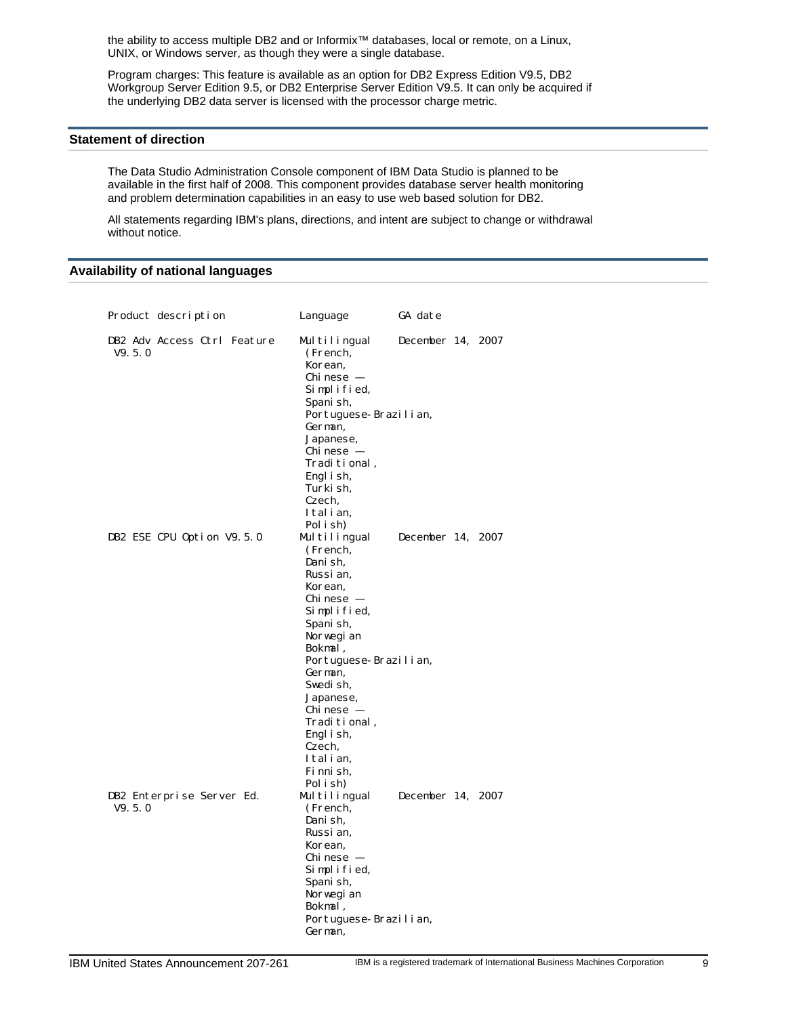the ability to access multiple DB2 and or Informix™ databases, local or remote, on a Linux, UNIX, or Windows server, as though they were a single database.

Program charges: This feature is available as an option for DB2 Express Edition V9.5, DB2 Workgroup Server Edition 9.5, or DB2 Enterprise Server Edition V9.5. It can only be acquired if the underlying DB2 data server is licensed with the processor charge metric.

#### <span id="page-8-0"></span>**Statement of direction**

The Data Studio Administration Console component of IBM Data Studio is planned to be available in the first half of 2008. This component provides database server health monitoring and problem determination capabilities in an easy to use web based solution for DB2.

All statements regarding IBM's plans, directions, and intent are subject to change or withdrawal without notice.

# <span id="page-8-1"></span>**Availability of national languages**

| Product description                   | Language                                                                                                                                                                                                                                                                                                                                    | GA date           |  |
|---------------------------------------|---------------------------------------------------------------------------------------------------------------------------------------------------------------------------------------------------------------------------------------------------------------------------------------------------------------------------------------------|-------------------|--|
| DB2 Adv Access Ctrl Feature<br>V9.5.0 | Multilingual<br>(French,<br>Korean,<br>Chi nese -<br>Simplified,<br>Spani sh,<br>Portuguese-Brazilian,<br>German,<br>Japanese,<br>Chi nese -<br>Traditional,<br>Engl i sh,<br>Turki sh.<br>Czech.                                                                                                                                           | December 14, 2007 |  |
| DB2 ESE CPU Option V9.5.0             | Italian,<br>Pol i sh)<br>Multilingual<br>(French,<br>Dani sh,<br>Russi an,<br>Korean,<br>Chi nese -<br>Simplified,<br>Spani sh,<br>Norwegi an                                                                                                                                                                                               | December 14, 2007 |  |
| DB2 Enterprise Server Ed.<br>V9.5.0   | Bokmal,<br>Portuguese-Brazilian,<br>German,<br>Swedi sh.<br>Japanese,<br>Chi nese  –<br>Traditional,<br>Engl i sh,<br>Czech.<br>Italian.<br>Fi nni sh.<br>Pol i sh)<br>Multilingual<br>(French,<br>Dani sh,<br>Russi an,<br>Korean,<br>Chi nese  –<br>Simplified,<br>Spani sh,<br>Norwegi an<br>Bokmal,<br>Portuguese-Brazilian,<br>German. | December 14, 2007 |  |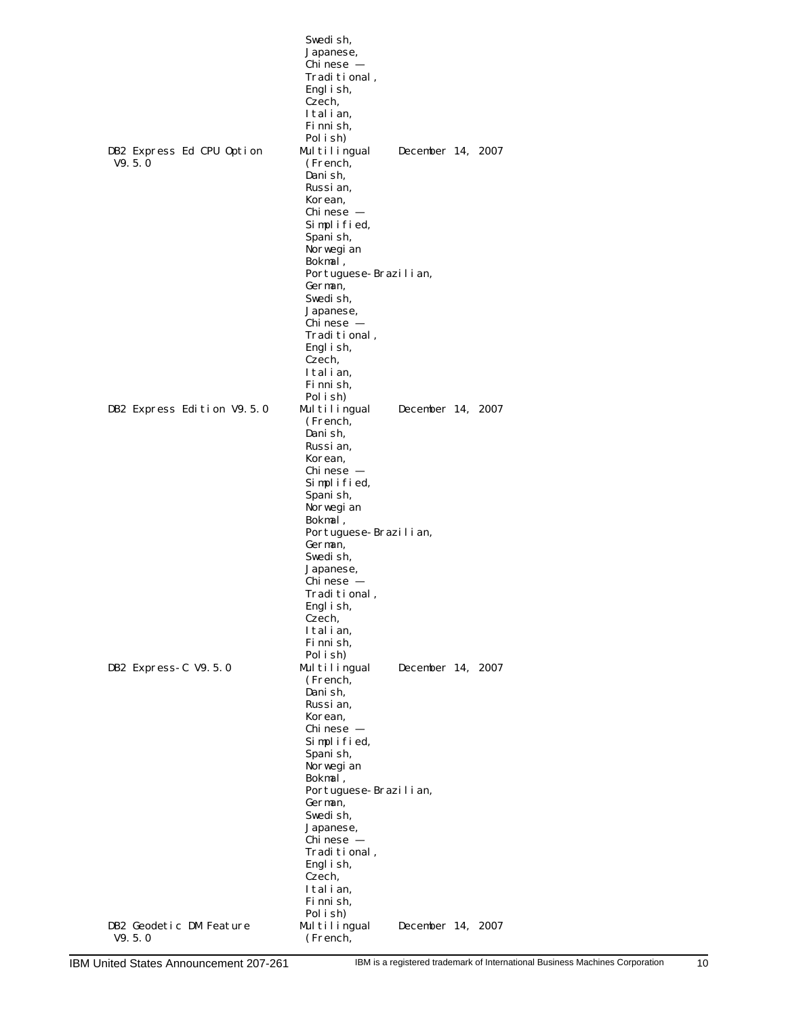|                                     | Swedish,<br>Japanese,<br>Chinese –<br>Traditional,<br>Engl i sh,<br>Czech,<br>Italian.<br>Fi nni sh,<br>Pol i sh) |                   |  |
|-------------------------------------|-------------------------------------------------------------------------------------------------------------------|-------------------|--|
| DB2 Express Ed CPU Option<br>V9.5.0 | Multilingual<br>(French,<br>Dani sh,<br>Russi an,<br>Korean,<br>Chi nese –                                        | December 14, 2007 |  |
|                                     | Simplified,<br>Spani sh,<br>Norwegi an<br>Bokmal,<br>Portuguese-Brazilian,                                        |                   |  |
|                                     | German,<br>Swedish,<br>Japanese,<br>Chi nese –<br>, Traditional<br>Engl i sh,                                     |                   |  |
| DB2 Express Edition V9.5.0          | Czech,<br>Italian,<br>Fi nni sh,<br>Pol i sh)<br>Multilingual<br>(French,                                         | December 14, 2007 |  |
|                                     | Dani sh,<br>Russi an,<br>Korean,<br>Chi nese –<br>Simplified,<br>Spani sh,                                        |                   |  |
|                                     | Norwegi an<br>Bokmal,<br>Portuguese-Brazilian,<br>German,<br>Swedi sh,                                            |                   |  |
|                                     | Japanese,<br>Chi nese –<br>, Traditional<br>Engl i sh,<br>Czech,<br>Italian,                                      |                   |  |
| DB2 Express-C V9.5.0                | Fi nni sh,<br>Pol i sh)<br>Multilingual                                                                           | December 14, 2007 |  |
|                                     | (French,<br>Dani sh,<br>Russi an,<br>Korean,                                                                      |                   |  |
|                                     | Chi nese –<br>Simplified,<br>Spani sh,<br>Norwegi an<br>Bokmal,                                                   |                   |  |
|                                     | Portuguese-Brazilian,<br>German,<br>Swedish,<br>Japanese,                                                         |                   |  |
|                                     | Chinese -<br>Traditional,<br>Engl i sh,<br>Czech,                                                                 |                   |  |
| DB2 Geodetic DM Feature             | Italian,<br>Fi nni sh,<br>Pol i sh)<br>Multilingual                                                               | December 14, 2007 |  |
| V9.5.0                              | (French,                                                                                                          |                   |  |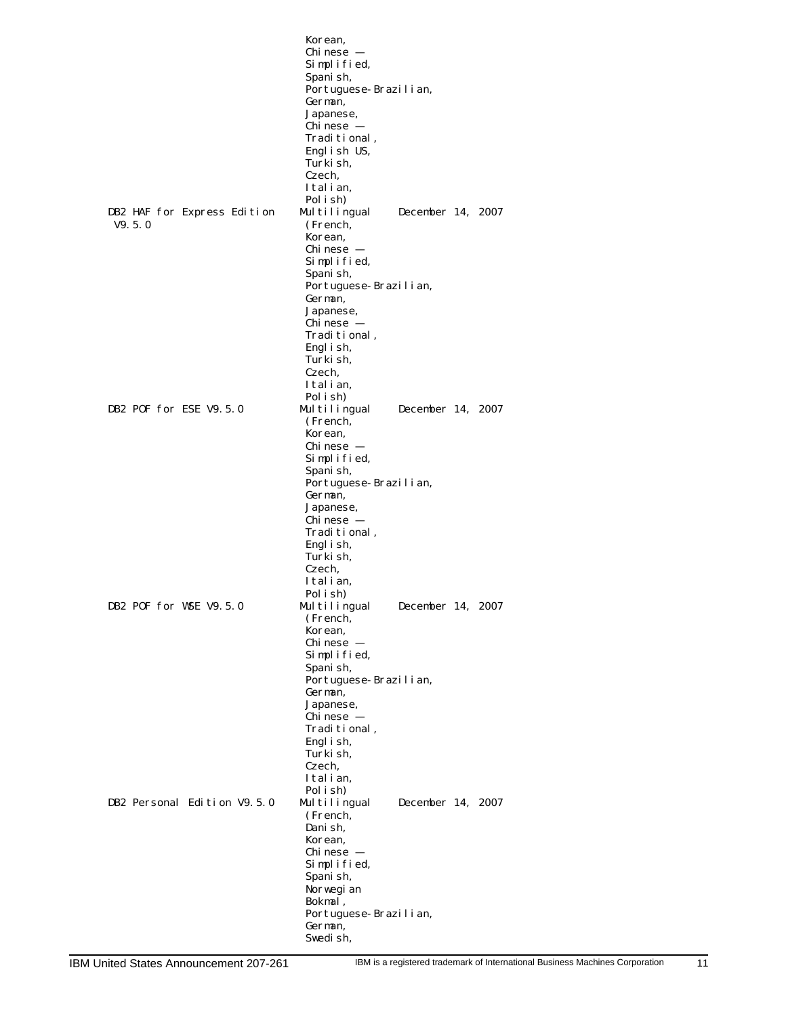|                             | Korean,                            |                      |
|-----------------------------|------------------------------------|----------------------|
|                             | Chi nese -                         |                      |
|                             | Simplified,                        |                      |
|                             | Spani sh,<br>Portuguese-Brazilian, |                      |
|                             | German,                            |                      |
|                             | Japanese,                          |                      |
|                             | Chi nese  –                        |                      |
|                             | , Traditional                      |                      |
|                             | English US,                        |                      |
|                             | Turki sh,<br>Czech,                |                      |
|                             | Italian,                           |                      |
|                             | Pol i sh)                          |                      |
| DB2 HAF for Express Edition | Multilingual                       | December 14, 2007    |
| V9.5.0                      | (French,                           |                      |
|                             | Korean,                            |                      |
|                             | Chi nese  –                        |                      |
|                             | Simplified,<br>Spani sh,           |                      |
|                             | Portuguese-Brazilian,              |                      |
|                             | German,                            |                      |
|                             | Japanese,                          |                      |
|                             | Chi nese  –                        |                      |
|                             | , Traditional                      |                      |
|                             | Engl i sh,<br>Turki sh.            |                      |
|                             | Czech,                             |                      |
|                             | Italian,                           |                      |
|                             | Pol i sh)                          |                      |
| DB2 POF for ESE V9.5.0      | Multilingual                       | December 14, 2007    |
|                             | (French,                           |                      |
|                             | Korean,<br>Chi nese  –             |                      |
|                             | Simplified,                        |                      |
|                             | Spani sh,                          |                      |
|                             | Portuguese-Brazilian,              |                      |
|                             | German,                            |                      |
|                             | Japanese,                          |                      |
|                             | Chi nese  –<br>, Traditional       |                      |
|                             | Engl i sh,                         |                      |
|                             | Turki sh.                          |                      |
|                             | Czech.                             |                      |
|                             | Italian,                           |                      |
|                             | Pol i sh                           |                      |
| DB2 POF for WSE V9.5.0      | Multilingual<br>(French,           | December 14,<br>2007 |
|                             | Korean,                            |                      |
|                             | Chi nese  –                        |                      |
|                             | Simplified,                        |                      |
|                             | Spani sh,                          |                      |
|                             | Portuguese-Brazilian,<br>German,   |                      |
|                             | Japanese,                          |                      |
|                             | Chi nese  –                        |                      |
|                             | Traditional,                       |                      |
|                             | Engl i sh,                         |                      |
|                             | Turki sh.<br>Czech,                |                      |
|                             | Italian,                           |                      |
|                             | Pol i sh)                          |                      |
| DB2 Personal Edition V9.5.0 | Multilingual                       | December 14,<br>2007 |
|                             | (French,                           |                      |
|                             | Dani sh,                           |                      |
|                             | Korean,<br>Chi nese  –             |                      |
|                             | Simplified,                        |                      |
|                             | Spani sh,                          |                      |
|                             | Norwegi an                         |                      |
|                             | Bokmal,                            |                      |
|                             | Portuguese-Brazilian,              |                      |
|                             | German,                            |                      |
|                             | Swedi sh.                          |                      |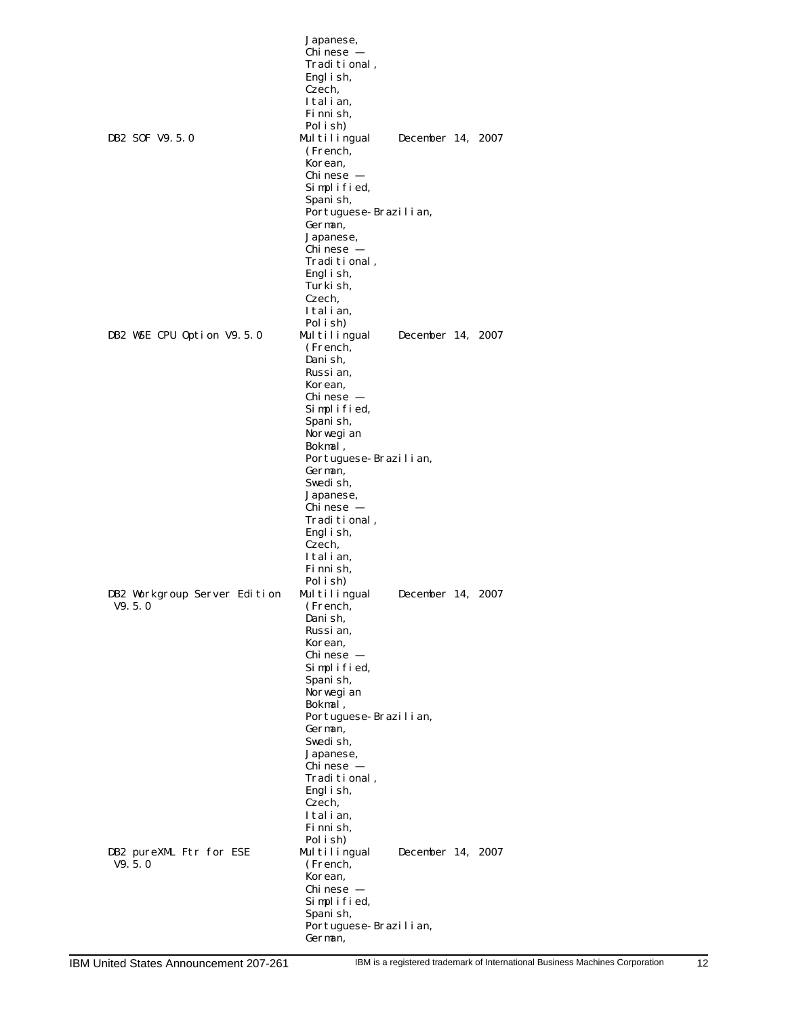|                                   | Japanese,                          |                   |  |
|-----------------------------------|------------------------------------|-------------------|--|
|                                   | Chi nese  –                        |                   |  |
|                                   | Traditional,                       |                   |  |
|                                   | Engl i sh,<br>Czech,               |                   |  |
|                                   | Italian,                           |                   |  |
|                                   | Fi nni sh,                         |                   |  |
|                                   | Pol i sh                           |                   |  |
| DB2 SOF V9.5.0                    | Multilingual                       | December 14, 2007 |  |
|                                   | (French,                           |                   |  |
|                                   | Korean,                            |                   |  |
|                                   | Chi nese  –                        |                   |  |
|                                   | Simplified,                        |                   |  |
|                                   | Spani sh,<br>Portuguese-Brazilian, |                   |  |
|                                   | German,                            |                   |  |
|                                   | Japanese,                          |                   |  |
|                                   | Chi nese  –                        |                   |  |
|                                   | , Tradi ti onal                    |                   |  |
|                                   | Engl i sh,                         |                   |  |
|                                   | Turki sh,                          |                   |  |
|                                   | Czech,                             |                   |  |
|                                   | Italian,<br>Pol i sh)              |                   |  |
| DB2 WSE CPU Option V9.5.0         | Multilingual                       | December 14, 2007 |  |
|                                   | (French,                           |                   |  |
|                                   | Dani sh,                           |                   |  |
|                                   | Russi an,                          |                   |  |
|                                   | Korean,                            |                   |  |
|                                   | Chi nese  –                        |                   |  |
|                                   | Simplified,                        |                   |  |
|                                   | Spani sh,                          |                   |  |
|                                   | Norwegi an<br>Bokmal,              |                   |  |
|                                   | Portuguese-Brazilian,              |                   |  |
|                                   | German,                            |                   |  |
|                                   | Swedi sh,                          |                   |  |
|                                   | Japanese,                          |                   |  |
|                                   | Chi nese  –                        |                   |  |
|                                   | , Tradi ti onal                    |                   |  |
|                                   | Engl i sh,                         |                   |  |
|                                   | Czech,<br>Italian,                 |                   |  |
|                                   | Fi nni sh,                         |                   |  |
|                                   | Pol i sh)                          |                   |  |
| DB2 Workgroup Server Edition      | Multilingual                       | December 14, 2007 |  |
| V9.5.0                            | (French,                           |                   |  |
|                                   | Dani sh,                           |                   |  |
|                                   | Russi an,                          |                   |  |
|                                   | Korean,<br>Chi nese  –             |                   |  |
|                                   | Simplified,                        |                   |  |
|                                   | Spani sh,                          |                   |  |
|                                   | Norwegi an                         |                   |  |
|                                   | Bokmal,                            |                   |  |
|                                   | Portuguese-Brazilian,              |                   |  |
|                                   | German,                            |                   |  |
|                                   | Swedish,                           |                   |  |
|                                   | Japanese,<br>Chinese -             |                   |  |
|                                   | Traditional,                       |                   |  |
|                                   | Engl i sh,                         |                   |  |
|                                   | Czech,                             |                   |  |
|                                   | Italian,                           |                   |  |
|                                   | Fi nni sh,                         |                   |  |
|                                   | Pol i sh)                          |                   |  |
| DB2 pureXML Ftr for ESE<br>V9.5.0 | Multilingual<br>(French,           | December 14, 2007 |  |
|                                   | Korean,                            |                   |  |
|                                   | Chi nese  –                        |                   |  |
|                                   | Simplified,                        |                   |  |
|                                   | Spani sh,                          |                   |  |
|                                   | Portuguese-Brazilian,              |                   |  |
|                                   | German,                            |                   |  |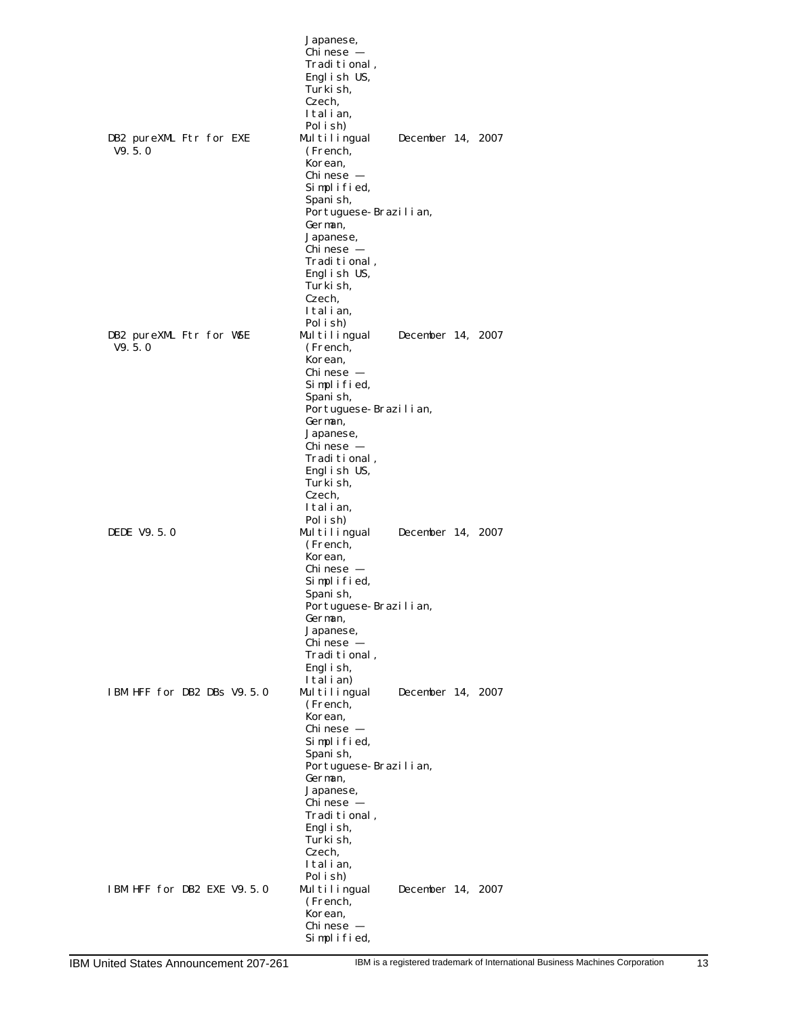|                                   | Japanese,<br>Chi nese -                       |
|-----------------------------------|-----------------------------------------------|
|                                   | Traditional,<br>Engl i sh US,                 |
|                                   | Turki sh,<br>Czech.                           |
|                                   | Italian.<br>Pol i sh                          |
| DB2 pureXML Ftr for EXE           | Multilingual<br>December 14, 2007             |
| V9.5.0                            | (French,<br>Korean,                           |
|                                   | Chi nese –                                    |
|                                   | Simplified,<br>Spani sh,                      |
|                                   | Portuguese-Brazilian,<br>German,              |
|                                   | Japanese,                                     |
|                                   | Chi nese –<br>Traditional,                    |
|                                   | Engl i sh US,<br>Turki sh,                    |
|                                   | Czech,                                        |
|                                   | Italian.<br>Pol i sh)                         |
| DB2 pureXML Ftr for WSE<br>V9.5.0 | Multilingual<br>December 14, 2007<br>(French, |
|                                   | Korean,                                       |
|                                   | Chi nese –<br>Simplified,                     |
|                                   | Spani sh,                                     |
|                                   | Portuguese-Brazilian,<br>German,              |
|                                   | Japanese,<br>Chi nese -                       |
|                                   | Traditional,                                  |
|                                   | English US,<br>Turki sh,                      |
|                                   | Czech,<br>Italian,                            |
|                                   | Pol i sh)                                     |
| DEDE V9.5.0                       | Multilingual<br>December 14, 2007<br>(French, |
|                                   | Korean,<br>Chi nese –                         |
|                                   | Simplified,                                   |
|                                   | Spani sh,<br>Portuguese-Brazilian,            |
|                                   | German,<br>Japanese,                          |
|                                   | Chi nese –                                    |
|                                   | Traditional,<br>Engl i sh,                    |
| IBM HFF for DB2 DBs V9.5.0        | Italian)<br>December 14, 2007<br>Multilingual |
|                                   | (French,                                      |
|                                   | Korean,<br>Chi nese –                         |
|                                   | Simplified,<br>Spani sh,                      |
|                                   | Portuguese-Brazilian,                         |
|                                   | German,<br>Japanese,                          |
|                                   | Chi nese –<br>Traditional,                    |
|                                   | Engl i sh,                                    |
|                                   | Turki sh.<br>Czech,                           |
|                                   | Italian,<br>Pol i sh)                         |
| IBM HFF for DB2 EXE V9.5.0        | Multilingual<br>December 14, 2007             |
|                                   | (French,<br>Korean,                           |
|                                   | Chi nese –<br>Simplified,                     |
|                                   |                                               |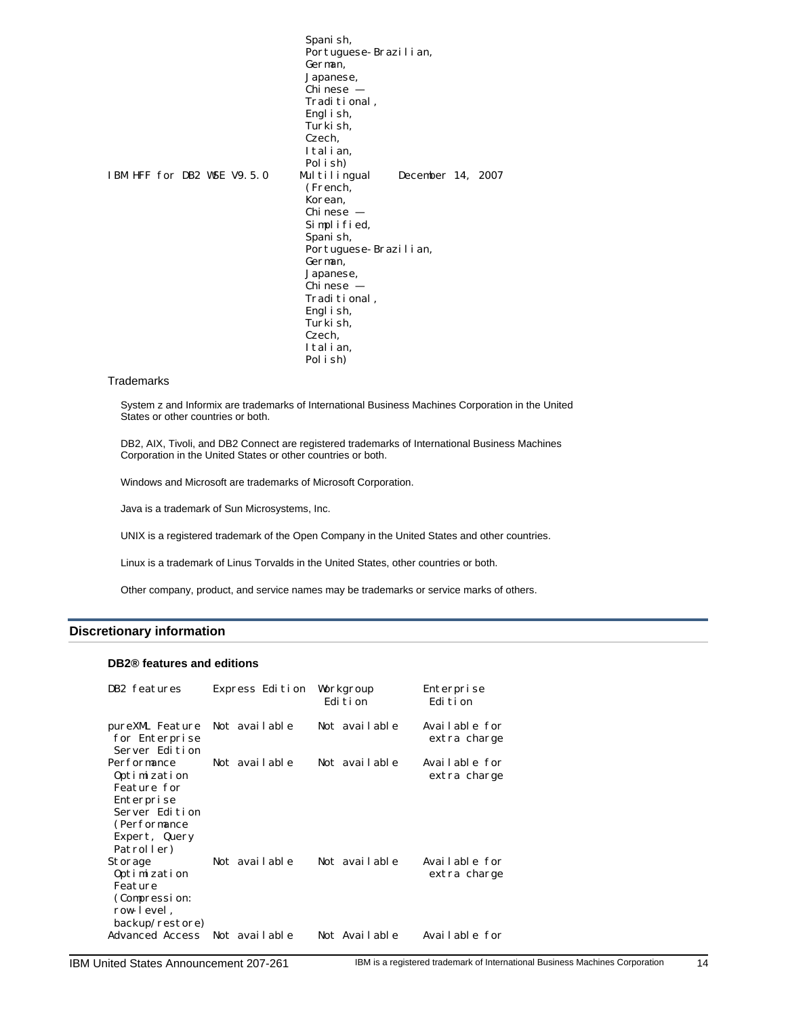Spanish, Portuguese-Brazilian, German, Japanese,  $Chi$ nese – Traditional, English, Turkish, Czech, Italian, Polish)<br>Multilingual IBM HFF for DB2 WSE V9.5.0 Multilingual December 14, 2007 (French, Korean, Chinese — Simplified, Spanish, Portuguese-Brazilian, German, Japanese,  $Chi$ nese – Traditional, English, Turki sh, Czech, Italian, Polish)

#### **Trademarks**

System z and Informix are trademarks of International Business Machines Corporation in the United States or other countries or both.

DB2, AIX, Tivoli, and DB2 Connect are registered trademarks of International Business Machines Corporation in the United States or other countries or both.

Windows and Microsoft are trademarks of Microsoft Corporation.

Java is a trademark of Sun Microsystems, Inc.

UNIX is a registered trademark of the Open Company in the United States and other countries.

Linux is a trademark of Linus Torvalds in the United States, other countries or both.

Other company, product, and service names may be trademarks or service marks of others.

#### <span id="page-13-0"></span>**Discretionary information**

### **DB2® features and editions**

| DB2 features                                                                                                               | Express Edition                | Workgroup<br>Edi ti on         | Enterprise<br>Edi ti on                        |
|----------------------------------------------------------------------------------------------------------------------------|--------------------------------|--------------------------------|------------------------------------------------|
| pureXML Feature<br>for Enterprise<br>Server Edition                                                                        | Not available                  | Not available                  | Available for<br>extra charge                  |
| Performance<br>Optimization<br>Feature for<br>Enterprise<br>Server Edition<br>(Performance)<br>Expert, Query<br>Patroller) | Not available                  | Not available                  | Available for<br>extra charge                  |
| Storage<br>Optimization<br>Feature<br>(Compression:<br>row-level.<br>backup/restore)<br>Advanced Access                    | Not available<br>Not available | Not available<br>Not Available | Available for<br>extra charge<br>Available for |
|                                                                                                                            |                                |                                |                                                |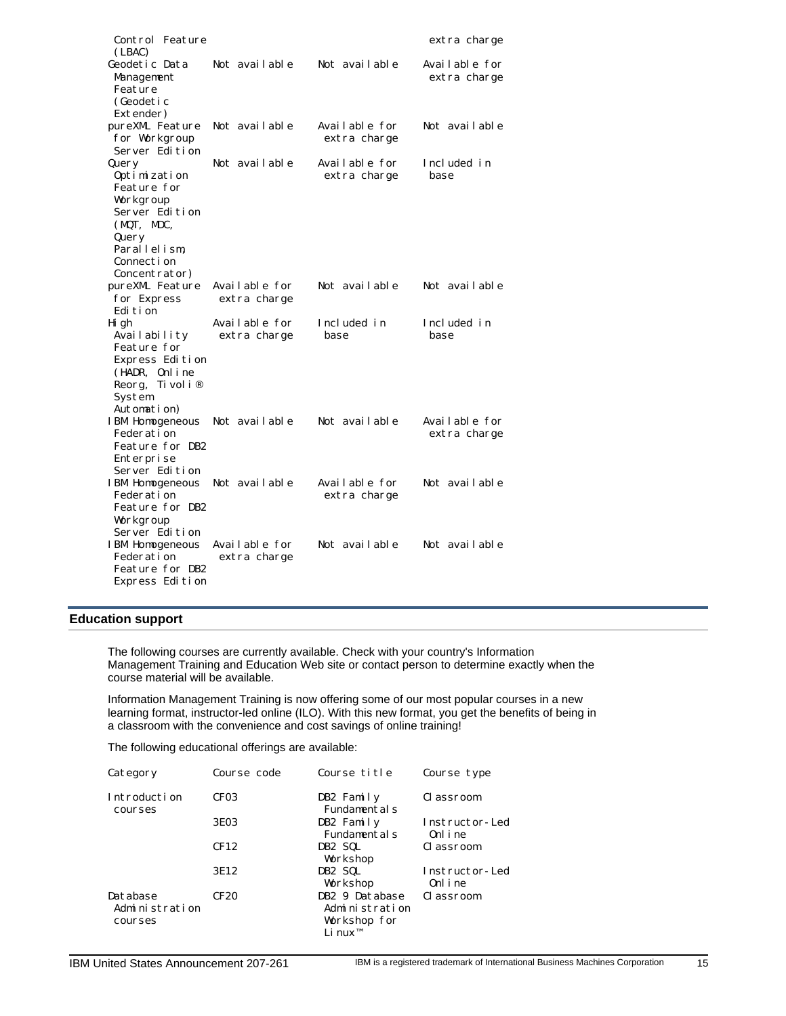| Control Feature                                                                                                                           |                               |                               | extra charge                  |
|-------------------------------------------------------------------------------------------------------------------------------------------|-------------------------------|-------------------------------|-------------------------------|
| (LBAC)<br>Geodetic Data<br>Management<br>Feature<br>(Geodetic<br>Extender)                                                                | Not available                 | Not available                 | Available for<br>extra charge |
| pureXML Feature<br>for Workgroup<br>Server Edition                                                                                        | Not available                 | Available for<br>extra charge | Not available                 |
| Query<br>Optimization<br>Feature for<br>Workgroup<br>Server Edition<br>(MQT, MDC,<br>Query<br>Parallelism,<br>Connection<br>Concentrator) | Not available                 | Available for<br>extra charge | Included in<br>base           |
| pureXML Feature<br>for Express<br>Edi ti on                                                                                               | Available for<br>extra charge | Not available                 | Not available                 |
| Hi gh<br>Availability<br>Feature for<br>Express Edition<br>(HADR, Online<br>Ti vol i ®<br>Reorg,<br>System<br>Automation)                 | Available for<br>extra charge | Included in<br>base           | Included in<br>base           |
| IBM Homogeneous<br>Federation<br>Feature for DB2<br>Enterprise<br>Server Edition                                                          | Not available                 | Not available                 | Available for<br>extra charge |
| IBM Homogeneous<br>Federation<br>Feature for DB2<br>Workgroup<br>Server Edition                                                           | Not available                 | Available for<br>extra charge | Not available                 |
| IBM Homogeneous<br>Federation<br>Feature for DB2<br>Express Edition                                                                       | Available for<br>extra charge | Not available                 | Not available                 |

# <span id="page-14-0"></span>**Education support**

The following courses are currently available. Check with your country's Information Management Training and Education Web site or contact person to determine exactly when the course material will be available.

Information Management Training is now offering some of our most popular courses in a new learning format, instructor-led online (ILO). With this new format, you get the benefits of being in a classroom with the convenience and cost savings of online training!

The following educational offerings are available:

| Category                              | Course code      | Course title                                                            | Course type                |
|---------------------------------------|------------------|-------------------------------------------------------------------------|----------------------------|
| Introduction<br>courses               | CF <sub>03</sub> | DB2 Family<br>Fundamentals                                              | Classroom                  |
|                                       | 3E03             | DB2 Family<br>Fundament als                                             | Instructor-Led<br>Onl i ne |
|                                       | CF12             | DB2 SQL<br>Workshop                                                     | Classroom                  |
|                                       | 3E12             | DB2 SQL<br>Workshop                                                     | Instructor-Led<br>Onl i ne |
| Database<br>Administration<br>courses | CF20             | DB2 9 Database<br>Administration<br>Workshop for<br>Li nux <sup>™</sup> | Classroom                  |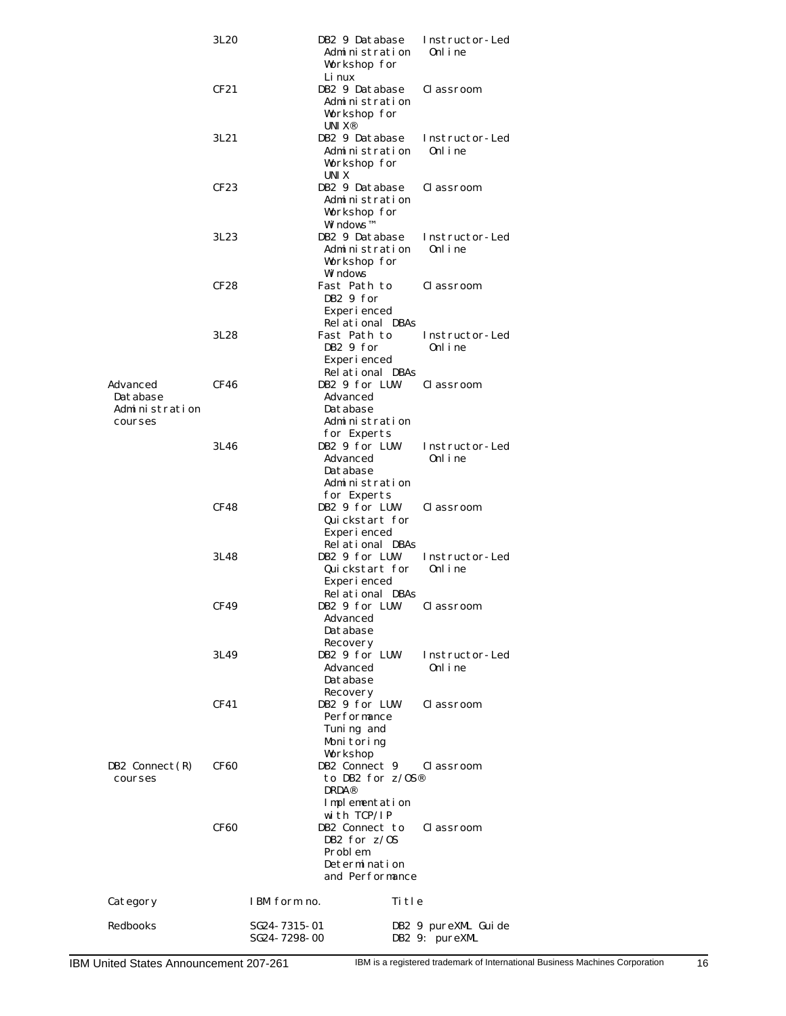|                                                   | 3L20             | DB2 9 Database<br>Administration<br>Workshop for                                               | Instructor-Led<br>0nl i ne            |
|---------------------------------------------------|------------------|------------------------------------------------------------------------------------------------|---------------------------------------|
|                                                   | CF21             | Li nux<br>DB2 9 Database<br>Administration<br>Workshop for<br>UNI $X^{\otimes}$                | Classroom                             |
|                                                   | 3L21             | DB2 9 Database<br>Administration<br>Workshop for<br>UNI X                                      | Instructor-Led<br>Onl i ne            |
|                                                   | CF <sub>23</sub> | DB2 9 Database<br>Administration<br>Workshop for<br>Wi ndows™                                  | Classroom                             |
|                                                   | 3L23             | DB2 9 Database<br>Administration<br>Workshop for<br>Wi ndows                                   | Instructor-Led<br>Onl i ne            |
|                                                   | CF28             | Fast Path to<br>DB2 9 for<br>Experienced<br>Relational DBAs                                    | Classroom                             |
|                                                   | 3L28             | Fast Path to<br>DB2 9 for<br>Experienced<br>Relational DBAs                                    | Instructor-Led<br>Onl i ne            |
| Advanced<br>Database<br>Administration<br>courses | CF46             | DB2 9 for LUW<br>Advanced<br>Database<br>Administration<br>for Experts                         | Classroom                             |
|                                                   | 3L46             | DB2 9 for LUW<br>Advanced<br>Database<br>Administration<br>for Experts                         | Instructor-Led<br>0nl i ne            |
|                                                   | CF48             | DB2 9 for LUW<br>Quickstart for<br>Experienced<br>Relational DBAs                              | Classroom                             |
|                                                   | 3L48             | DB2 9 for LUW<br>Quickstart for<br>Experienced<br>Relational DBAs                              | Instructor-Led<br>0nl i ne            |
|                                                   | CF49             | DB2 9 for LUW<br>Advanced<br>Database<br>Recovery                                              | Classroom                             |
|                                                   | 3L49             | DB2 9 for LUW<br>Advanced<br>Database<br>Recovery                                              | Instructor-Led<br>Onl i ne            |
|                                                   | CF41             | DB2 9 for LUW<br>Performance<br>Tuning and<br>Monitoring<br>Workshop                           | Classroom                             |
| DB2 $Connect(R)$<br>courses                       | CF60             | DB2 Connect 9<br>to DB2 for $z/0S^{\circledR}$<br><b>DRDA®</b><br>Implementation               | Classroom                             |
|                                                   | CF60             | with TCP/IP<br>DB2 Connect to<br>DB2 for $z/0S$<br>Problem<br>Determination<br>and Performance | Classroom                             |
| Category                                          |                  | IBM form no.                                                                                   | Title                                 |
| Redbooks                                          |                  | SG24-7315-01<br>SG24-7298-00                                                                   | DB2 9 pureXML Guide<br>DB2 9: pureXML |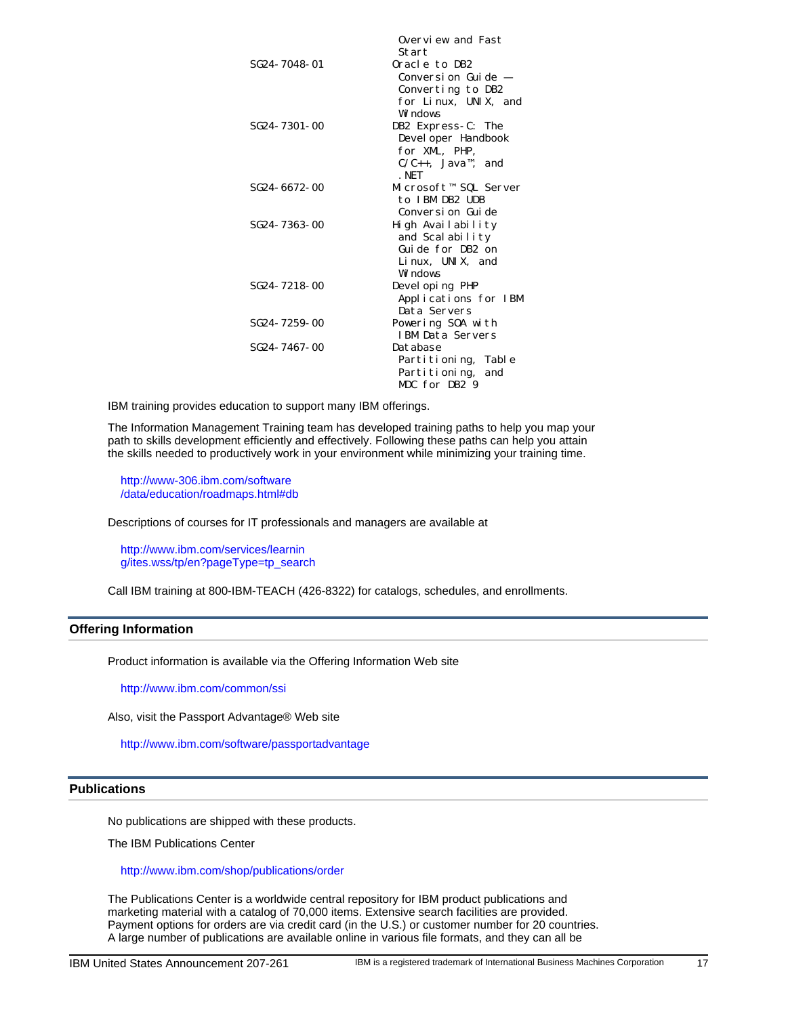|                              | Overview and Fast<br>Start                    |
|------------------------------|-----------------------------------------------|
| SG <sub>24</sub> - 7048 - 01 | Oracle to DB2                                 |
|                              | Conversi on Gui de –                          |
|                              | Converting to DB2                             |
|                              | for Linux, UNIX, and                          |
|                              | Wi ndows                                      |
| SG24-7301-00                 | DB2 Express-C: The                            |
|                              | Devel oper Handbook                           |
|                              | for XML, PHP,                                 |
|                              | $C/C_{++}$ , Java <sup>m</sup> , and<br>. NET |
| SG24-6672-00                 | Microsoft™ SQL Server                         |
|                              | to IBM DB2 UDB                                |
|                              | Conversi on-Gui de                            |
| SG24-7363-00                 | High Availability                             |
|                              | and Scalability                               |
|                              | Guide for DB2 on                              |
|                              | Li nux, UNIX, and                             |
|                              | Wi ndows                                      |
| SG24-7218-00                 | Devel oping PHP                               |
|                              | Applications for IBM<br>Data Servers          |
| SG24-7259-00                 | Powering SOA with                             |
|                              | <b>IBM Data Servers</b>                       |
| SG24-7467-00                 | Database                                      |
|                              | Partitioning, Table                           |
|                              | Partitioning, and                             |
|                              | MDC for DB2 9                                 |
|                              |                                               |

IBM training provides education to support many IBM offerings.

The Information Management Training team has developed training paths to help you map your path to skills development efficiently and effectively. Following these paths can help you attain the skills needed to productively work in your environment while minimizing your training time.

http://www-306.ibm.com/software [/data/education/roadmaps.html#d](http://www-306.ibm.com/software/data/education/roadmaps.html#db)b

Descriptions of courses for IT professionals and managers are available at

http://www.ibm.com/services/learnin [g/ites.wss/tp/en?pageType=tp\\_searc](http://www.ibm.com/services/learning/ites.wss/tp/en?pageType=tp_search)h

<span id="page-16-0"></span>Call IBM training at 800-IBM-TEACH (426-8322) for catalogs, schedules, and enrollments.

# **Offering Information**

Product information is available via the Offering Information Web site

http://www.ibm.com/common/ssi

Also, visit the Passport Advantage® Web site

http://www.ibm.com/software/passportadvantage

### <span id="page-16-1"></span>**Publications**

No publications are shipped with these products.

The IBM Publications Center

#### http://www.ibm.com/shop/publications/order

The Publications Center is a worldwide central repository for IBM product publications and marketing material with a catalog of 70,000 items. Extensive search facilities are provided. Payment options for orders are via credit card (in the U.S.) or customer number for 20 countries. A large number of publications are available online in various file formats, and they can all be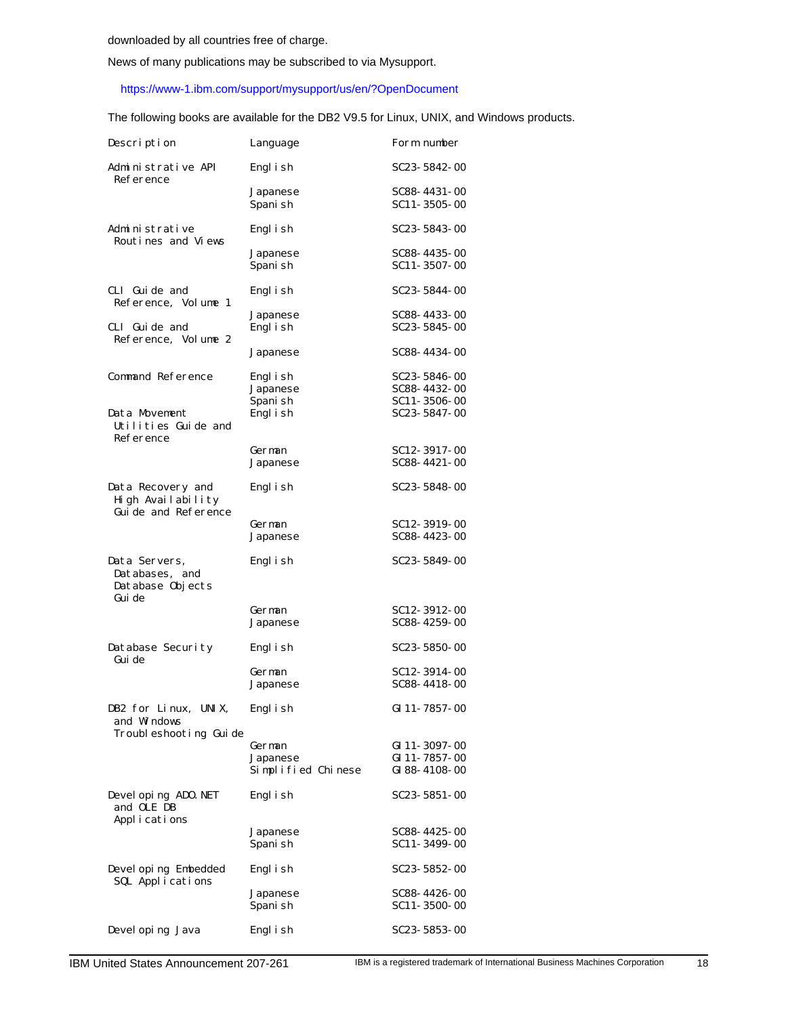News of many publications may be subscribed to via Mysupport.

# https://www-1.ibm.com/support/mysupport/us/en/?OpenDocument

The following books are available for the DB2 V9.5 for Linux, UNIX, and Windows products.

| Description                                                   | Language                                 | Form number                                        |
|---------------------------------------------------------------|------------------------------------------|----------------------------------------------------|
| Administrative API<br>Reference                               | Engl i sh                                | SC23-5842-00                                       |
|                                                               | Japanese<br>Spani sh                     | SC88-4431-00<br>SC11-3505-00                       |
| Administrative<br>Routines and Views                          | Engl i sh                                | SC23-5843-00                                       |
|                                                               | Japanese<br>Spani sh                     | SC88-4435-00<br>SC11-3507-00                       |
| CLI Guide and<br>Reference, Volume 1                          | Engl i sh                                | SC23-5844-00                                       |
| CLI Guide and<br>Reference, Volume 2                          | Japanese<br>Engl i sh                    | SC88-4433-00<br>SC23-5845-00                       |
|                                                               | Japanese                                 | SC88-4434-00                                       |
| Command Reference                                             | Engl i sh<br>Japanese<br>Spani sh        | SC23-5846-00<br>SC88-4432-00<br>$SC11 - 3506 - 00$ |
| Data Movement<br>Utilities Guide and<br>Reference             | Engl i sh                                | SC23-5847-00                                       |
|                                                               | German                                   | SC12-3917-00<br>SC88-4421-00                       |
|                                                               | Japanese                                 |                                                    |
| Data Recovery and<br>High Availability<br>Guide and Reference | Engl i sh                                | SC23-5848-00                                       |
|                                                               | German<br>Japanese                       | SC12-3919-00<br>SC88-4423-00                       |
| Data Servers,<br>Databases, and<br>Database Objects           | Engl i sh                                | SC23-5849-00                                       |
| Gui de                                                        | German<br>Japanese                       | SC12-3912-00<br>SC88-4259-00                       |
| Database Security<br>Gui de                                   | Engl i sh                                | SC23-5850-00                                       |
|                                                               | German<br>Japanese                       | SC12-3914-00<br>SC88-4418-00                       |
| DB2 for Linux, UNIX,<br>and Windows                           | Engl i sh                                | GI 11-7857-00                                      |
| Troubleshooting Guide                                         | German<br>Japanese<br>Simplified Chinese | GI 11-3097-00<br>GI 11-7857-00<br>GI 88-4108-00    |
| Devel oping ADO. NET<br>and OLE DB                            | Engl i sh                                | SC23-5851-00                                       |
| Applications                                                  | Japanese<br>Spani sh                     | SC88-4425-00<br>SC11-3499-00                       |
| Devel oping Embedded<br>SQL Applications                      | Engl i sh                                | SC23-5852-00                                       |
|                                                               | Japanese<br>Spani sh                     | SC88-4426-00<br>SC11-3500-00                       |
| Devel oping Java                                              | Engl i sh                                | SC23-5853-00                                       |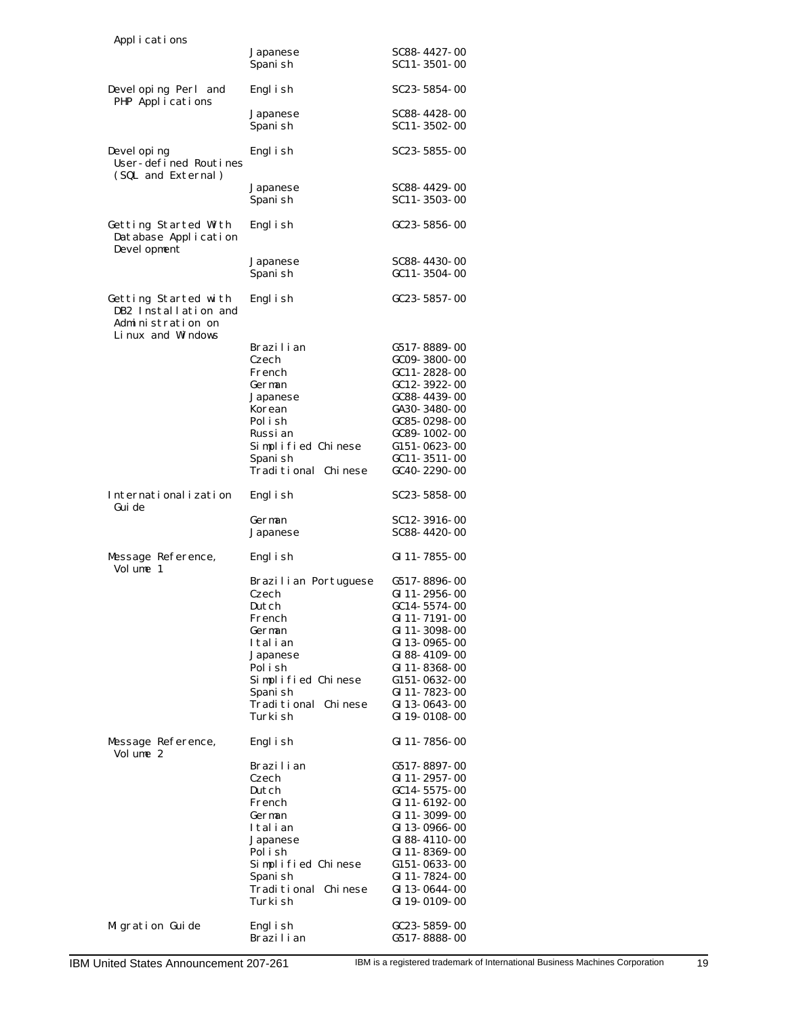| Applications                                                                            |                                 |                                |
|-----------------------------------------------------------------------------------------|---------------------------------|--------------------------------|
|                                                                                         | Japanese<br>Spani sh            | SC88-4427-00<br>SC11-3501-00   |
| Devel oping Perl and<br>PHP Applications                                                | Engl i sh                       | SC23-5854-00                   |
|                                                                                         | Japanese<br>Spani sh            | SC88-4428-00<br>SC11-3502-00   |
| Devel oping<br>User-defined Routines                                                    | Engl i sh                       | SC23-5855-00                   |
| (SQL and External)                                                                      | Japanese<br>Spani sh            | SC88-4429-00<br>SC11-3503-00   |
| Getting Started With<br>Database Application                                            | Engl i sh                       | GC23-5856-00                   |
| Devel opment                                                                            | Japanese<br>Spani sh            | SC88-4430-00<br>GC11-3504-00   |
| Getting Started with<br>DB2 Installation and<br>Administration on<br>Li nux and Windows | Engl i sh                       | GC23-5857-00                   |
|                                                                                         | Brazilian                       | G517-8889-00                   |
|                                                                                         | Czech                           | GC09-3800-00                   |
|                                                                                         | French                          | $GC11 - 2828 - 00$             |
|                                                                                         | German                          | GC12-3922-00                   |
|                                                                                         | Japanese                        | GC88-4439-00                   |
|                                                                                         | Korean                          | GA30-3480-00                   |
|                                                                                         | Polish                          | GC85-0298-00                   |
|                                                                                         | Russi an                        | GC89-1002-00                   |
|                                                                                         | Simplified Chinese              | G151-0623-00                   |
|                                                                                         | Spani sh                        | GC11-3511-00                   |
|                                                                                         | Traditional Chinese             | GC40-2290-00                   |
| Internationalization<br>Gui de                                                          | Engl i sh                       | SC23-5858-00                   |
|                                                                                         | German<br>Japanese              | SC12-3916-00<br>SC88-4420-00   |
| Message Reference,<br>Volume 1                                                          | Engl i sh                       | GI 11-7855-00                  |
|                                                                                         | Brazilian Portuguese            | G517-8896-00                   |
|                                                                                         | Czech                           | GI 11-2956-00                  |
|                                                                                         | Dutch                           | $GC14 - 5574 - 00$             |
|                                                                                         | French                          | GI 11-7191-00                  |
|                                                                                         | German<br>Italian               | GI 11-3098-00<br>GI 13-0965-00 |
|                                                                                         | Japanese                        | GI 88-4109-00                  |
|                                                                                         | Polish                          | GI 11-8368-00                  |
|                                                                                         | Simplified Chinese              | G151-0632-00                   |
|                                                                                         | Spani sh                        | GI 11-7823-00                  |
|                                                                                         | Traditional Chinese             | GI 13-0643-00                  |
|                                                                                         | Turki sh                        | GI 19-0108-00                  |
| Message Reference,<br>Volume 2                                                          | Engl i sh                       | GI 11-7856-00                  |
|                                                                                         | Brazilian                       | G517-8897-00                   |
|                                                                                         | Czech                           | GI 11-2957-00                  |
|                                                                                         | Dutch                           | GC14-5575-00                   |
|                                                                                         | French                          | GI 11-6192-00                  |
|                                                                                         | German                          | GI 11-3099-00                  |
|                                                                                         | Italian                         | GI 13-0966-00                  |
|                                                                                         | Japanese                        | GI 88-4110-00                  |
|                                                                                         | Polish                          | GI 11-8369-00                  |
|                                                                                         | Simplified Chinese              | G151-0633-00                   |
|                                                                                         | Spani sh<br>Traditional Chinese | GI 11-7824-00                  |
|                                                                                         | Turki sh                        | GI 13-0644-00<br>GI 19-0109-00 |
|                                                                                         |                                 |                                |
| Migration Guide                                                                         | Engl i sh                       | GC23-5859-00                   |
|                                                                                         | Brazilian                       | G517-8888-00                   |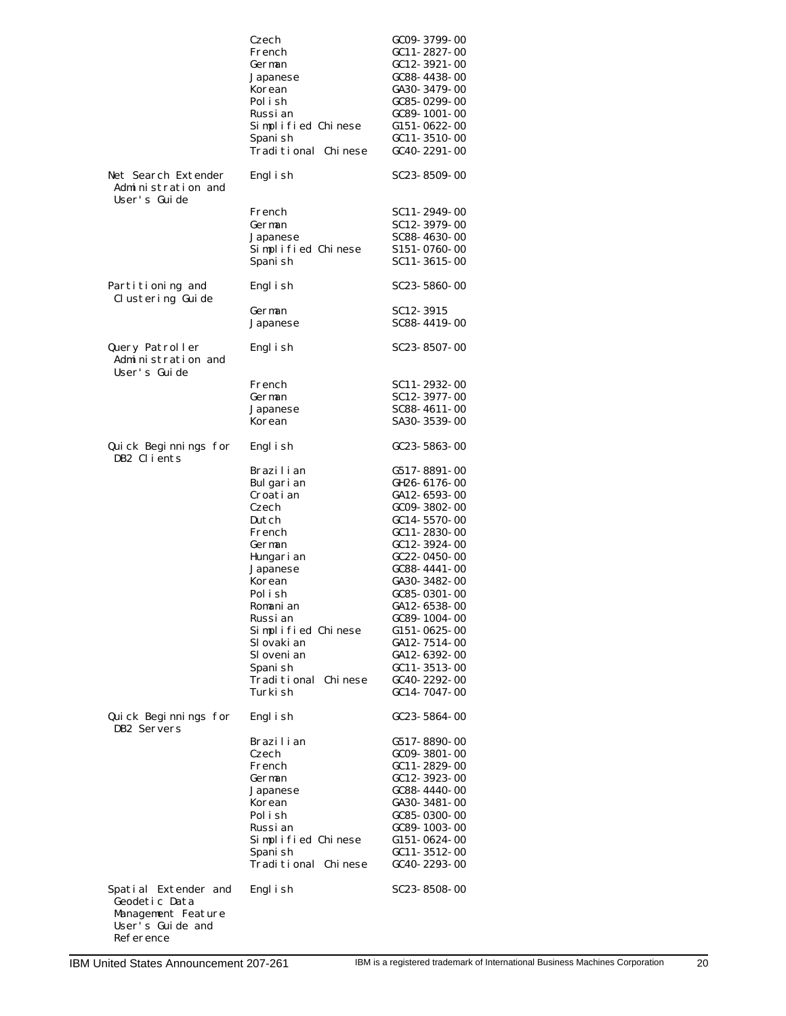|                                                                                              | Czech<br>French<br>German<br>Japanese<br>Korean<br>Polish<br>Russi an<br>Simplified Chinese<br>Spani sh<br>Traditional Chinese                                                                                                                                                                            | GC09-3799-00<br>GC11-2827-00<br>GC12-3921-00<br>GC88-4438-00<br>GA30-3479-00<br>GC85-0299-00<br>GC89-1001-00<br>G151-0622-00<br>GC11-3510-00<br>$GC40 - 2291 - 00$                                                                                                                                                                                                                                                                                |
|----------------------------------------------------------------------------------------------|-----------------------------------------------------------------------------------------------------------------------------------------------------------------------------------------------------------------------------------------------------------------------------------------------------------|---------------------------------------------------------------------------------------------------------------------------------------------------------------------------------------------------------------------------------------------------------------------------------------------------------------------------------------------------------------------------------------------------------------------------------------------------|
| Net Search Extender<br>Administration and<br>User's Guide                                    | Engl i sh                                                                                                                                                                                                                                                                                                 | SC23-8509-00                                                                                                                                                                                                                                                                                                                                                                                                                                      |
|                                                                                              | French<br>German<br>Japanese<br>Simplified Chinese<br>Spani sh                                                                                                                                                                                                                                            | SC11-2949-00<br>SC12-3979-00<br>SC88-4630-00<br>S151-0760-00<br>SC11-3615-00                                                                                                                                                                                                                                                                                                                                                                      |
| Partitioning and<br>Clustering Guide                                                         | Engl i sh                                                                                                                                                                                                                                                                                                 | SC23-5860-00                                                                                                                                                                                                                                                                                                                                                                                                                                      |
|                                                                                              | German<br>Japanese                                                                                                                                                                                                                                                                                        | SC12-3915<br>SC88-4419-00                                                                                                                                                                                                                                                                                                                                                                                                                         |
| Query Patroller<br>Administration and<br>User's Guide                                        | Engl i sh                                                                                                                                                                                                                                                                                                 | SC23-8507-00                                                                                                                                                                                                                                                                                                                                                                                                                                      |
|                                                                                              | French<br>German<br>Japanese<br>Korean                                                                                                                                                                                                                                                                    | SC11-2932-00<br>SC12-3977-00<br>SC88-4611-00<br>SA30-3539-00                                                                                                                                                                                                                                                                                                                                                                                      |
| Quick Beginnings for<br>DB2 Clients                                                          | Engl i sh                                                                                                                                                                                                                                                                                                 | GC23-5863-00                                                                                                                                                                                                                                                                                                                                                                                                                                      |
| Quick Beginnings for<br>DB2 Servers                                                          | Brazilian<br>Bulgarian<br>Croati an<br>Czech<br>Dutch<br>French<br>German<br>Hungari an<br>Japanese<br>Korean<br>Polish<br>Romanian<br>Russi an<br>Simplified Chinese<br>Sl ovaki an<br>Sl oveni an<br>Spani sh<br>Traditional Chinese<br>Turki sh<br>Engl i sh<br>Brazilian<br>Czech<br>French<br>German | G517-8891-00<br>GH26-6176-00<br>GA12-6593-00<br>$GCO9 - 3802 - 00$<br>GC14-5570-00<br>GC11-2830-00<br>$GC12 - 3924 - 00$<br>$C22 - 0450 - 00$<br>GC88-4441-00<br>GA30-3482-00<br>GC85-0301-00<br>GA12-6538-00<br>GC89-1004-00<br>G <sub>151</sub> -0625-00<br>GA12-7514-00<br>GA12-6392-00<br>$GC11 - 3513 - 00$<br>GC40-2292-00<br>GC14-7047-00<br>$GC23 - 5864 - 00$<br>G517-8890-00<br>GC09-3801-00<br>GC 11 - 2829 - 00<br>$GC12 - 3923 - 00$ |
| Spatial Extender and<br>Geodetic Data<br>Management Feature<br>User's Guide and<br>Reference | Japanese<br>Korean<br>Polish<br>Russi an<br>Simplified Chinese<br>Spani sh<br>Traditional Chinese<br>Engl i sh                                                                                                                                                                                            | $GC88 - 4440 - 00$<br>GA30-3481-00<br>$GC85 - 0300 - 00$<br>GC89-1003-00<br>G <sub>151</sub> -0624-00<br>$GC11 - 3512 - 00$<br>GC40-2293-00<br>SC23-8508-00                                                                                                                                                                                                                                                                                       |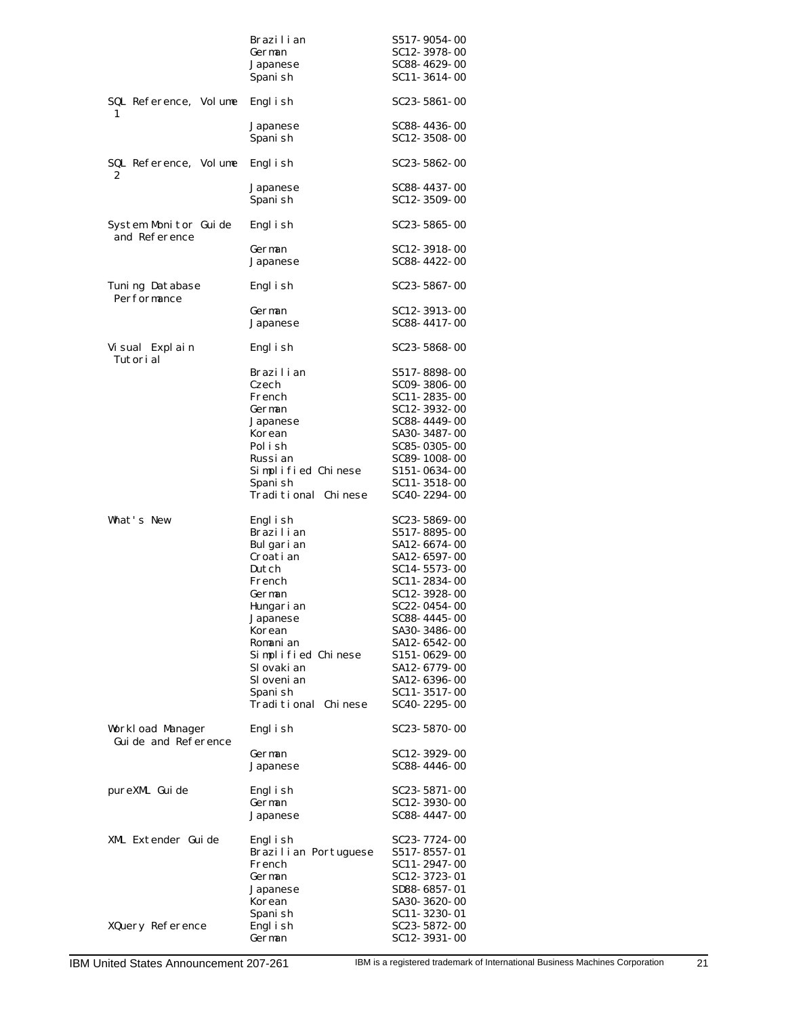|                                         | Brazilian<br>German<br>Japanese<br>Spani sh                                                                                                                                                                          | S517-9054-00<br>SC12-3978-00<br>SC88-4629-00<br>SC11-3614-00                                                                                                                                                                                                           |
|-----------------------------------------|----------------------------------------------------------------------------------------------------------------------------------------------------------------------------------------------------------------------|------------------------------------------------------------------------------------------------------------------------------------------------------------------------------------------------------------------------------------------------------------------------|
| SQL Reference, Volume<br>1              | Engl i sh                                                                                                                                                                                                            | $SC23 - 5861 - 00$                                                                                                                                                                                                                                                     |
|                                         | Japanese<br>Spani sh                                                                                                                                                                                                 | SC88-4436-00<br>SC12-3508-00                                                                                                                                                                                                                                           |
| SQL Reference, Volume<br>2              | Engl i sh                                                                                                                                                                                                            | $SC23 - 5862 - 00$                                                                                                                                                                                                                                                     |
|                                         | Japanese<br>Spani sh                                                                                                                                                                                                 | SC88-4437-00<br>SC12-3509-00                                                                                                                                                                                                                                           |
| System Monitor Guide<br>and Reference   | Engl i sh                                                                                                                                                                                                            | $SC23 - 5865 - 00$                                                                                                                                                                                                                                                     |
|                                         | German<br>Japanese                                                                                                                                                                                                   | SC12-3918-00<br>SC88-4422-00                                                                                                                                                                                                                                           |
| Tuning Database<br>Performance          | Engl i sh                                                                                                                                                                                                            | SC23-5867-00                                                                                                                                                                                                                                                           |
|                                         | German<br>Japanese                                                                                                                                                                                                   | SC12-3913-00<br>SC88-4417-00                                                                                                                                                                                                                                           |
| Visual Explain<br>Tutori al             | Engl i sh                                                                                                                                                                                                            | SC23-5868-00                                                                                                                                                                                                                                                           |
|                                         | Brazilian<br>Czech<br>French<br>German<br>Japanese<br>Korean<br>Polish<br>Russi an<br>Simplified Chinese<br>Spani sh<br>Traditional Chinese                                                                          | S517-8898-00<br>SC09-3806-00<br>SC11-2835-00<br>SC12-3932-00<br>SC88-4449-00<br>SA30-3487-00<br>SC85-0305-00<br>SC89-1008-00<br>S151-0634-00<br>SC11-3518-00<br>SC40-2294-00                                                                                           |
| What's New                              | Engl i sh<br>Brazilian<br>Bulgarian<br>Croati an<br>Dutch<br>French<br>German<br>Hungari an<br>Japanese<br>Korean<br>Romanian<br>Simplified Chinese<br>Sl ovaki an<br>Sl oveni an<br>Spani sh<br>Traditional Chinese | SC23-5869-00<br>S517-8895-00<br>SA12-6674-00<br>SA12-6597-00<br>SC14-5573-00<br>SC11-2834-00<br>SC12-3928-00<br>SC22-0454-00<br>SC88- 4445- 00<br>SA30- 3486- 00<br>SA12- 6542- 00<br>S151-0629-00<br>SA12-6779-00<br>SA12- 6396- 00<br>SC11-3517-00<br>SC40- 2295- 00 |
| Workload Manager<br>Guide and Reference | Engl i sh                                                                                                                                                                                                            | SC23- 5870- 00                                                                                                                                                                                                                                                         |
|                                         | German<br>Japanese                                                                                                                                                                                                   | SC12-3929-00<br>SC88-4446-00                                                                                                                                                                                                                                           |
| pureXML Guide                           | Engl i sh<br>German<br>Japanese                                                                                                                                                                                      | SC23- 5871- 00<br>SC12-3930-00<br>SC88-4447-00                                                                                                                                                                                                                         |
| XML Extender Guide                      | Engl i sh<br>Brazilian Portuguese<br>French<br>German<br>Japanese<br>Korean<br>Spani sh                                                                                                                              | SC23-7724-00<br>S517-8557-01<br>SC11- 2947- 00<br>SC12-3723-01<br>SD88- 6857- 01<br>SA30- 3620- 00<br>SC11-3230-01                                                                                                                                                     |
| XQuery Reference                        | Engl i sh<br>German                                                                                                                                                                                                  | SC23- 5872- 00<br>SC12-3931-00                                                                                                                                                                                                                                         |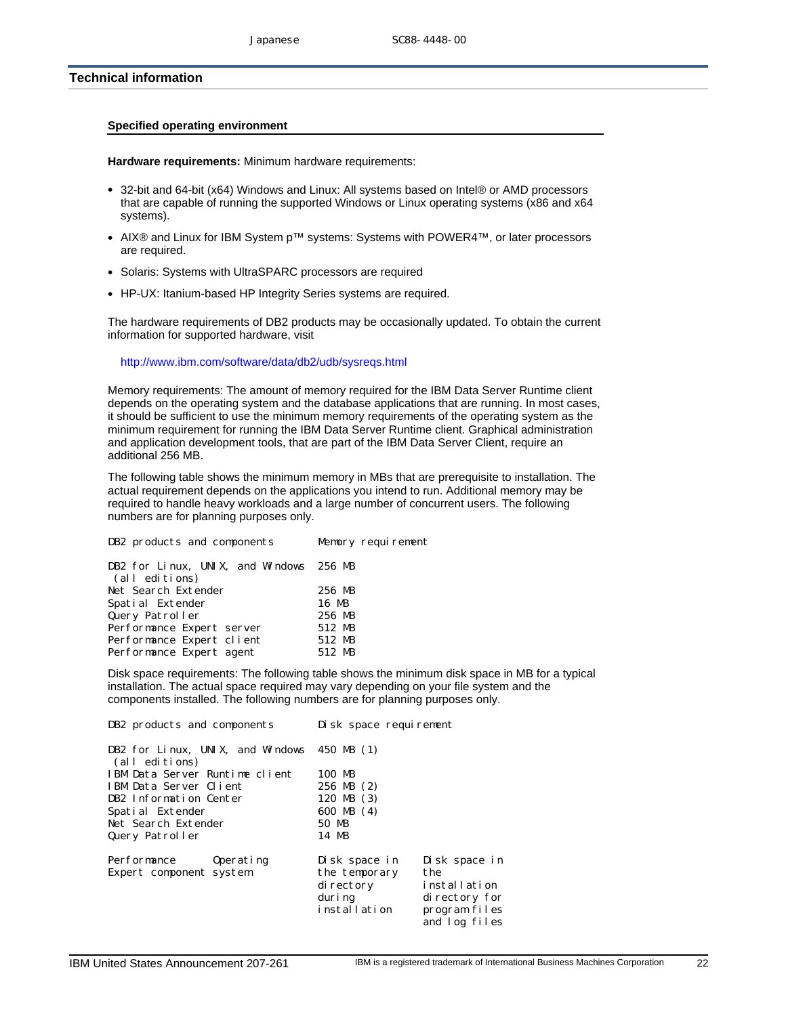# <span id="page-21-0"></span>**Technical information**

#### **Specified operating environment**

**Hardware requirements:** Minimum hardware requirements:

- 32-bit and 64-bit (x64) Windows and Linux: All systems based on Intel® or AMD processors that are capable of running the supported Windows or Linux operating systems (x86 and x64 systems).
- AIX® and Linux for IBM System p™ systems: Systems with POWER4™, or later processors are required.
- Solaris: Systems with UltraSPARC processors are required
- HP-UX: Itanium-based HP Integrity Series systems are required.

The hardware requirements of DB2 products may be occasionally updated. To obtain the current information for supported hardware, visit

#### http://www.ibm.com/software/data/db2/udb/sysreqs.html

Memory requirements: The amount of memory required for the IBM Data Server Runtime client depends on the operating system and the database applications that are running. In most cases, it should be sufficient to use the minimum memory requirements of the operating system as the minimum requirement for running the IBM Data Server Runtime client. Graphical administration and application development tools, that are part of the IBM Data Server Client, require an additional 256 MB.

The following table shows the minimum memory in MBs that are prerequisite to installation. The actual requirement depends on the applications you intend to run. Additional memory may be required to handle heavy workloads and a large number of concurrent users. The following numbers are for planning purposes only.

| DB2 products and components                               | Memory requirement |
|-----------------------------------------------------------|--------------------|
| DB2 for Linux, UNIX, and Windows 256 MB<br>(all editions) |                    |
| Net Search Extender                                       | 256 MB             |
| Spatial Extender                                          | 16 MB              |
| Query Patroller                                           | 256 MB             |
| Performance Expert server                                 | 512 MB             |
| Performance Expert client                                 | 512 MB             |
| Performance Expert agent                                  | 512 MB             |
|                                                           |                    |

Disk space requirements: The following table shows the minimum disk space in MB for a typical installation. The actual space required may vary depending on your file system and the components installed. The following numbers are for planning purposes only.

| DB2 products and components                                       | Disk space requirement                                                                                                                                              |
|-------------------------------------------------------------------|---------------------------------------------------------------------------------------------------------------------------------------------------------------------|
| DB2 for Linux, UNIX, and Windows $450$ MB $(1)$<br>(all editions) |                                                                                                                                                                     |
| IBM Data Server Runtime client                                    | 100 MB                                                                                                                                                              |
| IBM Data Server Client                                            | $256 \text{ MB} (2)$                                                                                                                                                |
| DB2 Information Center                                            | 120 MB $(3)$                                                                                                                                                        |
| Spatial Extender                                                  | 600 MB (4)                                                                                                                                                          |
| Net Search Extender                                               | 50 MB                                                                                                                                                               |
| Query Patroller                                                   | 14 MB                                                                                                                                                               |
| Performance<br>Operating<br>Expert component system               | Disk space in<br>Disk space in<br>the<br>the temporary<br>installation<br>di rectory<br>duri ng<br>di rectory for<br>installation<br>program files<br>and log files |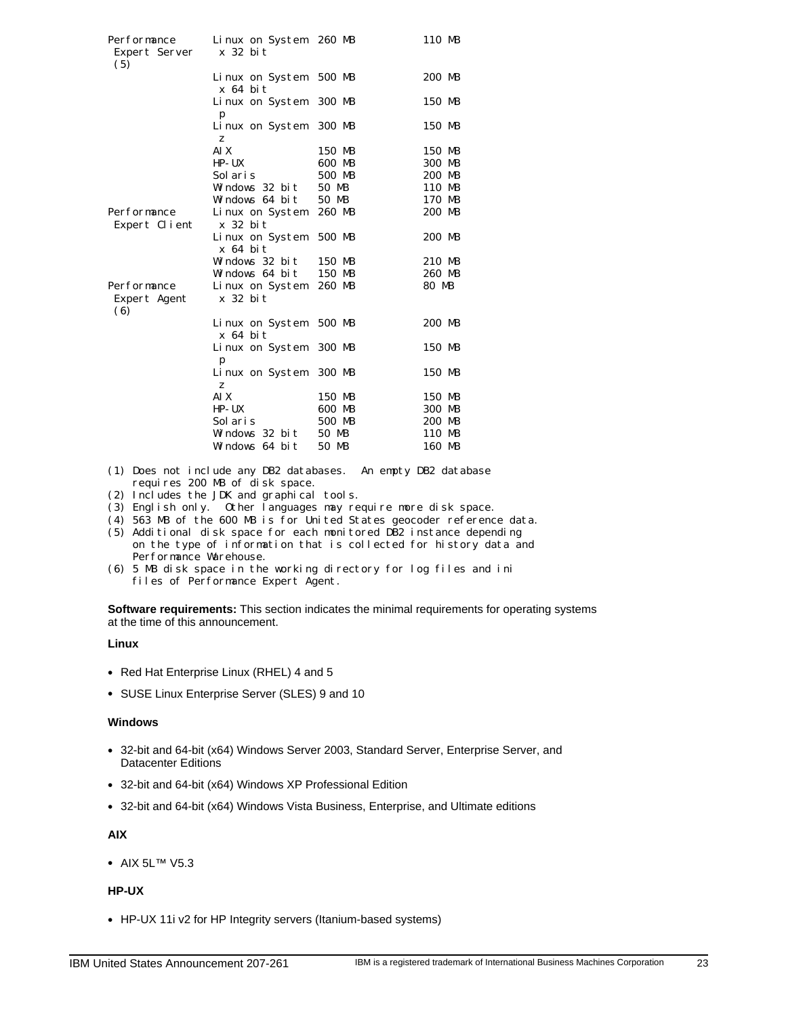| Performance<br>Expert Server       | Linux on System 260 MB<br>$x$ 32 bit |        | 110 MB |
|------------------------------------|--------------------------------------|--------|--------|
| (5)                                | Linux on System<br>x 64 bit          | 500 MB | 200 MB |
|                                    | Linux on System<br>p                 | 300 MB | 150 MB |
|                                    | Linux on System<br>z                 | 300 MB | 150 MB |
|                                    | AI X                                 | 150 MB | 150 MB |
|                                    | $HP - UX$                            | 600 MB | 300 MB |
|                                    | Sol ari s                            | 500 MB | 200 MB |
|                                    | Windows 32 bit 50 MB                 |        | 110 MB |
|                                    | Windows $64$ bit                     | 50 MB  | 170 MB |
| Performance                        | Linux on System                      | 260 MB | 200 MB |
| Expert Client                      | $x$ 32 bit                           |        |        |
|                                    | Linux on System<br>$x$ 64 bit        | 500 MB | 200 MB |
|                                    | Windows 32 bit                       | 150 MB | 210 MB |
|                                    | Windows 64 bit                       | 150 MB | 260 MB |
| Performance<br>Expert Agent<br>(6) | Linux on System<br>x 32 bit          | 260 MB | 80 MB  |
|                                    | Linux on System<br>$x$ 64 bit        | 500 MB | 200 MB |
|                                    | Linux on System<br>p                 | 300 MB | 150 MB |
|                                    | Linux on System<br>z                 | 300 MB | 150 MB |
|                                    | AI X                                 | 150 MB | 150 MB |
|                                    | $HP$ -UX                             | 600 MB | 300 MB |
|                                    | Sol ari s                            | 500 MB | 200 MB |
|                                    | Windows 32 bit                       | 50 MB  | 110 MB |
|                                    | Windows 64 bit                       | 50 MB  | 160 MB |

(1) Does not include any DB2 databases. An empty DB2 database requires 200 MB of disk space.

- (2) Includes the JDK and graphical tools.
- (3) English only. Other languages may require more disk space.
- (4) 563 MB of the 600 MB is for United States geocoder reference data.
- (5) Additional disk space for each monitored DB2 instance depending on the type of information that is collected for history data and Performance Warehouse.
- (6) 5 MB disk space in the working directory for log files and ini files of Performance Expert Agent.

**Software requirements:** This section indicates the minimal requirements for operating systems at the time of this announcement.

# **Linux**

- Red Hat Enterprise Linux (RHEL) 4 and 5
- SUSE Linux Enterprise Server (SLES) 9 and 10

#### **Windows**

- 32-bit and 64-bit (x64) Windows Server 2003, Standard Server, Enterprise Server, and Datacenter Editions
- 32-bit and 64-bit (x64) Windows XP Professional Edition
- 32-bit and 64-bit (x64) Windows Vista Business, Enterprise, and Ultimate editions

# **AIX**

• AIX 5L™ V5.3

# **HP-UX**

• HP-UX 11i v2 for HP Integrity servers (Itanium-based systems)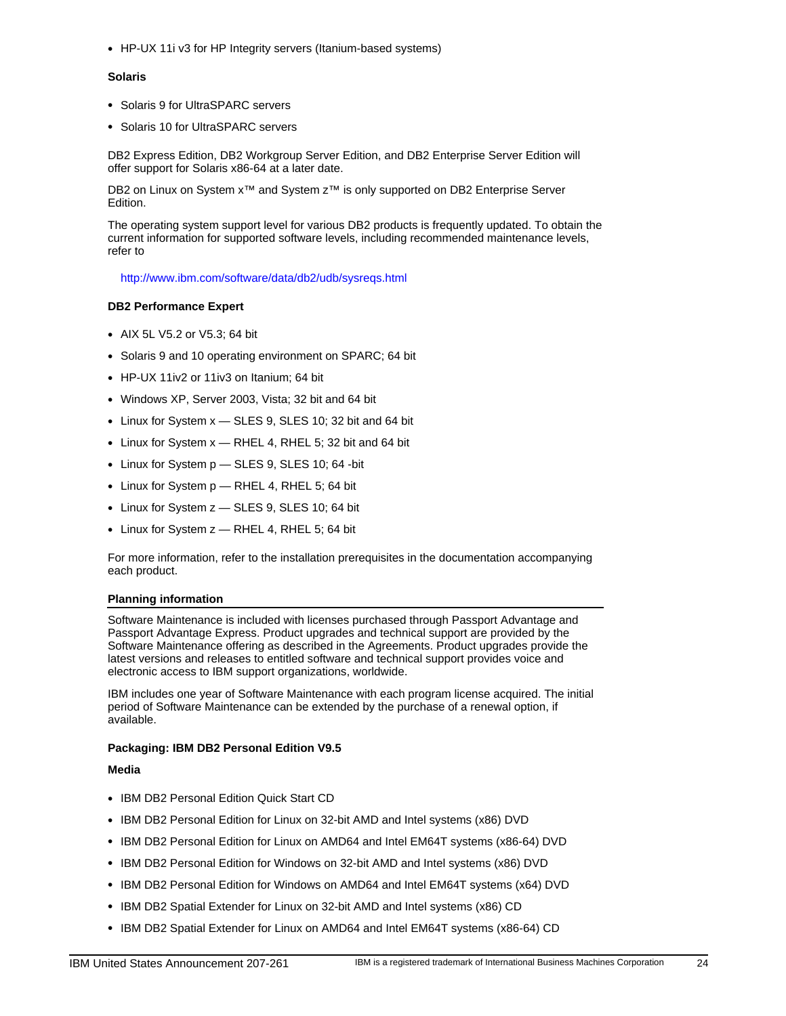• HP-UX 11i v3 for HP Integrity servers (Itanium-based systems)

#### **Solaris**

- Solaris 9 for UltraSPARC servers
- Solaris 10 for UltraSPARC servers

DB2 Express Edition, DB2 Workgroup Server Edition, and DB2 Enterprise Server Edition will offer support for Solaris x86-64 at a later date.

DB2 on Linux on System x<sup>™</sup> and System z<sup>™</sup> is only supported on DB2 Enterprise Server Edition.

The operating system support level for various DB2 products is frequently updated. To obtain the current information for supported software levels, including recommended maintenance levels, refer to

http://www.ibm.com/software/data/db2/udb/sysreqs.html

#### **DB2 Performance Expert**

- AIX 5L V5.2 or V5.3: 64 bit
- Solaris 9 and 10 operating environment on SPARC; 64 bit
- HP-UX 11iv2 or 11iv3 on Itanium; 64 bit
- Windows XP, Server 2003, Vista; 32 bit and 64 bit
- Linux for System x SLES 9, SLES 10; 32 bit and 64 bit
- Linux for System x RHEL 4, RHEL 5; 32 bit and 64 bit
- Linux for System p SLES 9, SLES 10; 64 -bit
- Linux for System p RHEL 4, RHEL 5; 64 bit
- Linux for System z SLES 9, SLES 10; 64 bit
- Linux for System z RHEL 4, RHEL 5; 64 bit

For more information, refer to the installation prerequisites in the documentation accompanying each product.

#### **Planning information**

Software Maintenance is included with licenses purchased through Passport Advantage and Passport Advantage Express. Product upgrades and technical support are provided by the Software Maintenance offering as described in the Agreements. Product upgrades provide the latest versions and releases to entitled software and technical support provides voice and electronic access to IBM support organizations, worldwide.

IBM includes one year of Software Maintenance with each program license acquired. The initial period of Software Maintenance can be extended by the purchase of a renewal option, if available.

#### **Packaging: IBM DB2 Personal Edition V9.5**

#### **Media**

- IBM DB2 Personal Edition Quick Start CD
- IBM DB2 Personal Edition for Linux on 32-bit AMD and Intel systems (x86) DVD
- IBM DB2 Personal Edition for Linux on AMD64 and Intel EM64T systems (x86-64) DVD
- IBM DB2 Personal Edition for Windows on 32-bit AMD and Intel systems (x86) DVD
- IBM DB2 Personal Edition for Windows on AMD64 and Intel EM64T systems (x64) DVD
- IBM DB2 Spatial Extender for Linux on 32-bit AMD and Intel systems (x86) CD
- IBM DB2 Spatial Extender for Linux on AMD64 and Intel EM64T systems (x86-64) CD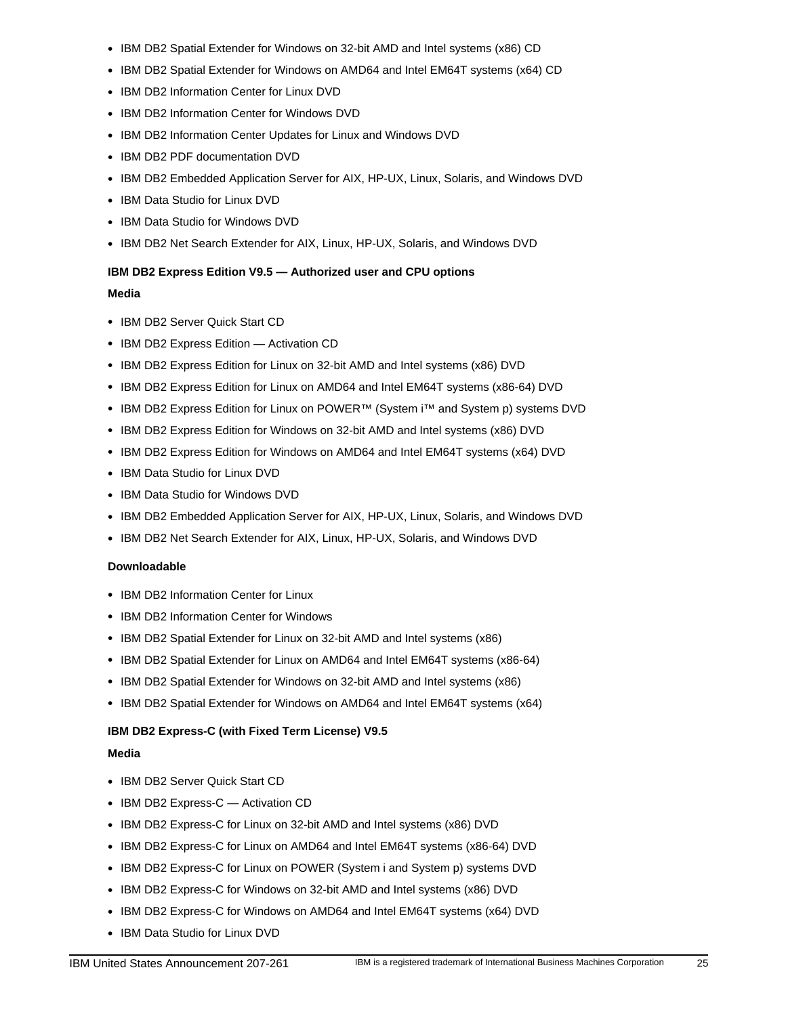- IBM DB2 Spatial Extender for Windows on 32-bit AMD and Intel systems (x86) CD
- IBM DB2 Spatial Extender for Windows on AMD64 and Intel EM64T systems (x64) CD
- IBM DB2 Information Center for Linux DVD
- IBM DB2 Information Center for Windows DVD
- IBM DB2 Information Center Updates for Linux and Windows DVD
- IBM DB2 PDF documentation DVD
- IBM DB2 Embedded Application Server for AIX, HP-UX, Linux, Solaris, and Windows DVD
- IBM Data Studio for Linux DVD
- IBM Data Studio for Windows DVD
- IBM DB2 Net Search Extender for AIX, Linux, HP-UX, Solaris, and Windows DVD

# **IBM DB2 Express Edition V9.5 — Authorized user and CPU options**

# **Media**

- IBM DB2 Server Quick Start CD
- IBM DB2 Express Edition Activation CD
- IBM DB2 Express Edition for Linux on 32-bit AMD and Intel systems (x86) DVD
- IBM DB2 Express Edition for Linux on AMD64 and Intel EM64T systems (x86-64) DVD
- IBM DB2 Express Edition for Linux on POWER™ (System i™ and System p) systems DVD
- IBM DB2 Express Edition for Windows on 32-bit AMD and Intel systems (x86) DVD
- IBM DB2 Express Edition for Windows on AMD64 and Intel EM64T systems (x64) DVD
- IBM Data Studio for Linux DVD
- IBM Data Studio for Windows DVD
- IBM DB2 Embedded Application Server for AIX, HP-UX, Linux, Solaris, and Windows DVD
- IBM DB2 Net Search Extender for AIX, Linux, HP-UX, Solaris, and Windows DVD

# **Downloadable**

- IBM DB2 Information Center for Linux
- IBM DB2 Information Center for Windows
- IBM DB2 Spatial Extender for Linux on 32-bit AMD and Intel systems (x86)
- IBM DB2 Spatial Extender for Linux on AMD64 and Intel EM64T systems (x86-64)
- IBM DB2 Spatial Extender for Windows on 32-bit AMD and Intel systems (x86)
- IBM DB2 Spatial Extender for Windows on AMD64 and Intel EM64T systems (x64)

# **IBM DB2 Express-C (with Fixed Term License) V9.5**

# **Media**

- IBM DB2 Server Quick Start CD
- IBM DB2 Express-C Activation CD
- IBM DB2 Express-C for Linux on 32-bit AMD and Intel systems (x86) DVD
- IBM DB2 Express-C for Linux on AMD64 and Intel EM64T systems (x86-64) DVD
- IBM DB2 Express-C for Linux on POWER (System i and System p) systems DVD
- IBM DB2 Express-C for Windows on 32-bit AMD and Intel systems (x86) DVD
- IBM DB2 Express-C for Windows on AMD64 and Intel EM64T systems (x64) DVD
- IBM Data Studio for Linux DVD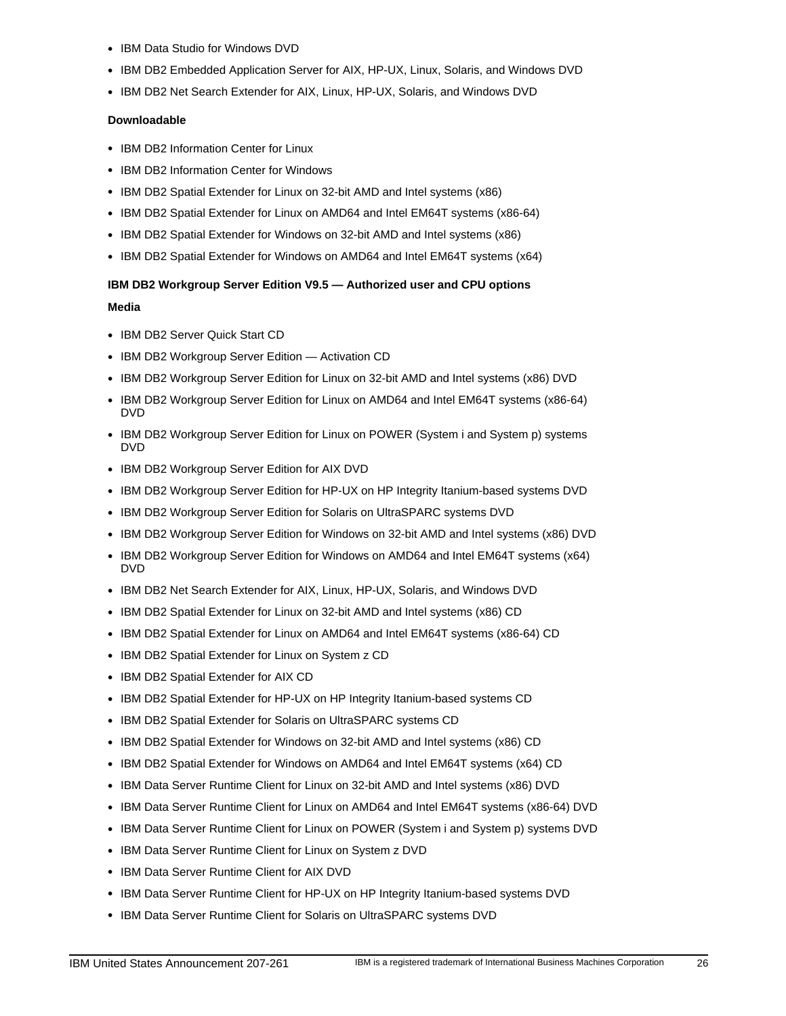- IBM Data Studio for Windows DVD
- IBM DB2 Embedded Application Server for AIX, HP-UX, Linux, Solaris, and Windows DVD
- IBM DB2 Net Search Extender for AIX, Linux, HP-UX, Solaris, and Windows DVD

# **Downloadable**

- IBM DB2 Information Center for Linux
- IBM DB2 Information Center for Windows
- IBM DB2 Spatial Extender for Linux on 32-bit AMD and Intel systems (x86)
- IBM DB2 Spatial Extender for Linux on AMD64 and Intel EM64T systems (x86-64)
- IBM DB2 Spatial Extender for Windows on 32-bit AMD and Intel systems (x86)
- IBM DB2 Spatial Extender for Windows on AMD64 and Intel EM64T systems (x64)

# **IBM DB2 Workgroup Server Edition V9.5 — Authorized user and CPU options Media**

- IBM DB2 Server Quick Start CD
- IBM DB2 Workgroup Server Edition Activation CD
- IBM DB2 Workgroup Server Edition for Linux on 32-bit AMD and Intel systems (x86) DVD
- IBM DB2 Workgroup Server Edition for Linux on AMD64 and Intel EM64T systems (x86-64) DVD
- IBM DB2 Workgroup Server Edition for Linux on POWER (System i and System p) systems DVD
- IBM DB2 Workgroup Server Edition for AIX DVD
- IBM DB2 Workgroup Server Edition for HP-UX on HP Integrity Itanium-based systems DVD
- IBM DB2 Workgroup Server Edition for Solaris on UltraSPARC systems DVD
- IBM DB2 Workgroup Server Edition for Windows on 32-bit AMD and Intel systems (x86) DVD
- IBM DB2 Workgroup Server Edition for Windows on AMD64 and Intel EM64T systems (x64) DVD
- IBM DB2 Net Search Extender for AIX, Linux, HP-UX, Solaris, and Windows DVD
- IBM DB2 Spatial Extender for Linux on 32-bit AMD and Intel systems (x86) CD
- IBM DB2 Spatial Extender for Linux on AMD64 and Intel EM64T systems (x86-64) CD
- IBM DB2 Spatial Extender for Linux on System z CD
- IBM DB2 Spatial Extender for AIX CD
- IBM DB2 Spatial Extender for HP-UX on HP Integrity Itanium-based systems CD
- IBM DB2 Spatial Extender for Solaris on UltraSPARC systems CD
- IBM DB2 Spatial Extender for Windows on 32-bit AMD and Intel systems (x86) CD
- IBM DB2 Spatial Extender for Windows on AMD64 and Intel EM64T systems (x64) CD
- IBM Data Server Runtime Client for Linux on 32-bit AMD and Intel systems (x86) DVD
- IBM Data Server Runtime Client for Linux on AMD64 and Intel EM64T systems (x86-64) DVD
- IBM Data Server Runtime Client for Linux on POWER (System i and System p) systems DVD
- IBM Data Server Runtime Client for Linux on System z DVD
- IBM Data Server Runtime Client for AIX DVD
- IBM Data Server Runtime Client for HP-UX on HP Integrity Itanium-based systems DVD
- IBM Data Server Runtime Client for Solaris on UltraSPARC systems DVD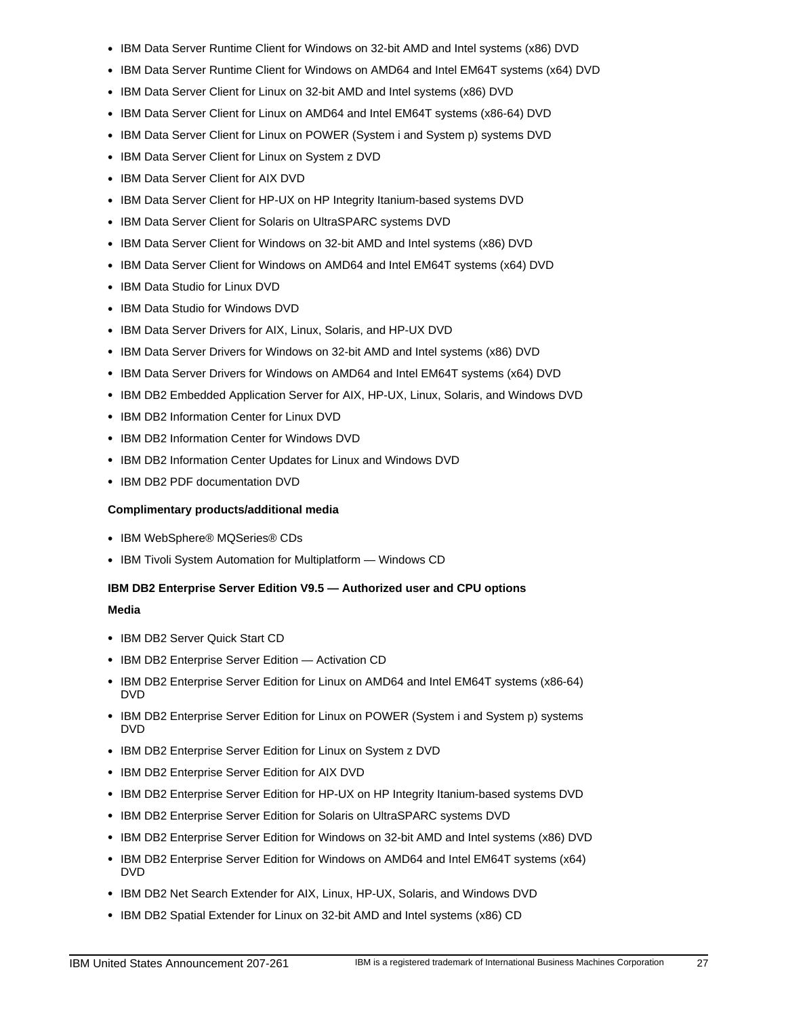- IBM Data Server Runtime Client for Windows on 32-bit AMD and Intel systems (x86) DVD
- IBM Data Server Runtime Client for Windows on AMD64 and Intel EM64T systems (x64) DVD
- IBM Data Server Client for Linux on 32-bit AMD and Intel systems (x86) DVD
- IBM Data Server Client for Linux on AMD64 and Intel EM64T systems (x86-64) DVD
- IBM Data Server Client for Linux on POWER (System i and System p) systems DVD
- IBM Data Server Client for Linux on System z DVD
- IBM Data Server Client for AIX DVD
- IBM Data Server Client for HP-UX on HP Integrity Itanium-based systems DVD
- IBM Data Server Client for Solaris on UltraSPARC systems DVD
- IBM Data Server Client for Windows on 32-bit AMD and Intel systems (x86) DVD
- IBM Data Server Client for Windows on AMD64 and Intel EM64T systems (x64) DVD
- IBM Data Studio for Linux DVD
- IBM Data Studio for Windows DVD
- IBM Data Server Drivers for AIX, Linux, Solaris, and HP-UX DVD
- IBM Data Server Drivers for Windows on 32-bit AMD and Intel systems (x86) DVD
- IBM Data Server Drivers for Windows on AMD64 and Intel EM64T systems (x64) DVD
- IBM DB2 Embedded Application Server for AIX, HP-UX, Linux, Solaris, and Windows DVD
- IBM DB2 Information Center for Linux DVD
- IBM DB2 Information Center for Windows DVD
- IBM DB2 Information Center Updates for Linux and Windows DVD
- IBM DB2 PDF documentation DVD

# **Complimentary products/additional media**

- IBM WebSphere® MQSeries® CDs
- IBM Tivoli System Automation for Multiplatform Windows CD

# **IBM DB2 Enterprise Server Edition V9.5 — Authorized user and CPU options**

**Media**

- IBM DB2 Server Quick Start CD
- IBM DB2 Enterprise Server Edition Activation CD
- IBM DB2 Enterprise Server Edition for Linux on AMD64 and Intel EM64T systems (x86-64) DVD
- IBM DB2 Enterprise Server Edition for Linux on POWER (System i and System p) systems DVD
- IBM DB2 Enterprise Server Edition for Linux on System z DVD
- IBM DB2 Enterprise Server Edition for AIX DVD
- IBM DB2 Enterprise Server Edition for HP-UX on HP Integrity Itanium-based systems DVD
- IBM DB2 Enterprise Server Edition for Solaris on UltraSPARC systems DVD
- IBM DB2 Enterprise Server Edition for Windows on 32-bit AMD and Intel systems (x86) DVD
- IBM DB2 Enterprise Server Edition for Windows on AMD64 and Intel EM64T systems (x64) DVD
- IBM DB2 Net Search Extender for AIX, Linux, HP-UX, Solaris, and Windows DVD
- IBM DB2 Spatial Extender for Linux on 32-bit AMD and Intel systems (x86) CD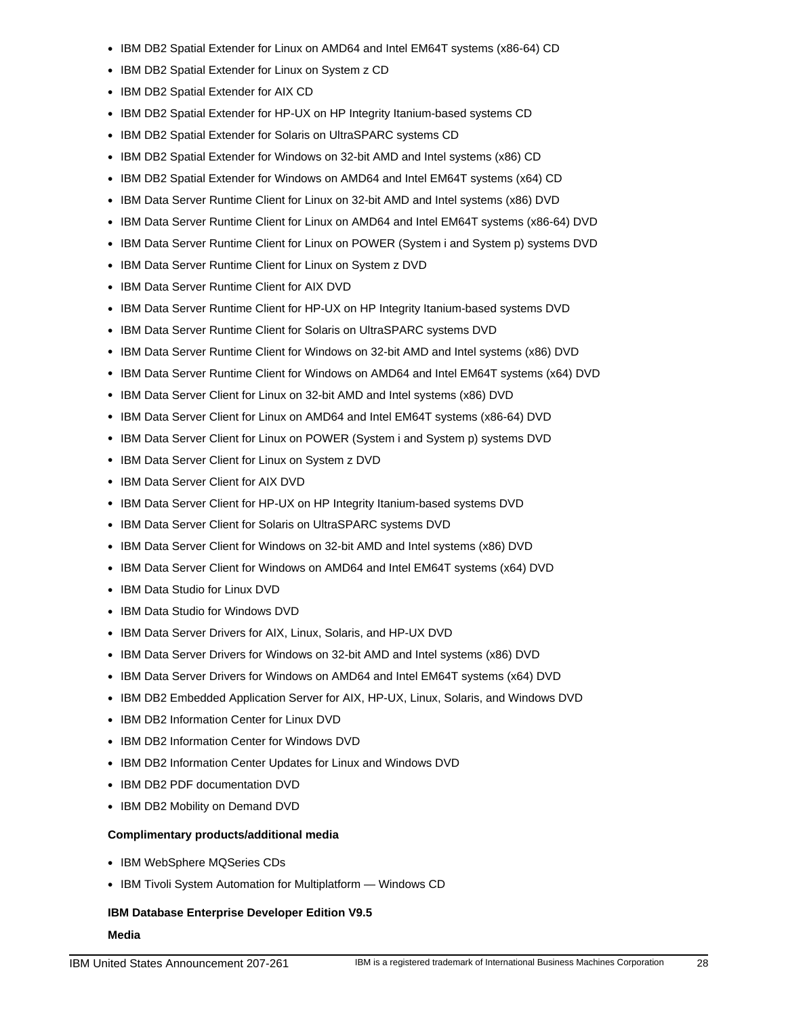- IBM DB2 Spatial Extender for Linux on AMD64 and Intel EM64T systems (x86-64) CD
- IBM DB2 Spatial Extender for Linux on System z CD
- IBM DB2 Spatial Extender for AIX CD
- IBM DB2 Spatial Extender for HP-UX on HP Integrity Itanium-based systems CD
- IBM DB2 Spatial Extender for Solaris on UltraSPARC systems CD
- IBM DB2 Spatial Extender for Windows on 32-bit AMD and Intel systems (x86) CD
- IBM DB2 Spatial Extender for Windows on AMD64 and Intel EM64T systems (x64) CD
- IBM Data Server Runtime Client for Linux on 32-bit AMD and Intel systems (x86) DVD
- IBM Data Server Runtime Client for Linux on AMD64 and Intel EM64T systems (x86-64) DVD
- IBM Data Server Runtime Client for Linux on POWER (System i and System p) systems DVD
- IBM Data Server Runtime Client for Linux on System z DVD
- IBM Data Server Runtime Client for AIX DVD
- IBM Data Server Runtime Client for HP-UX on HP Integrity Itanium-based systems DVD
- IBM Data Server Runtime Client for Solaris on UltraSPARC systems DVD
- IBM Data Server Runtime Client for Windows on 32-bit AMD and Intel systems (x86) DVD
- IBM Data Server Runtime Client for Windows on AMD64 and Intel EM64T systems (x64) DVD
- IBM Data Server Client for Linux on 32-bit AMD and Intel systems (x86) DVD
- IBM Data Server Client for Linux on AMD64 and Intel EM64T systems (x86-64) DVD
- IBM Data Server Client for Linux on POWER (System i and System p) systems DVD
- IBM Data Server Client for Linux on System z DVD
- IBM Data Server Client for AIX DVD
- IBM Data Server Client for HP-UX on HP Integrity Itanium-based systems DVD
- IBM Data Server Client for Solaris on UltraSPARC systems DVD
- IBM Data Server Client for Windows on 32-bit AMD and Intel systems (x86) DVD
- IBM Data Server Client for Windows on AMD64 and Intel EM64T systems (x64) DVD
- IBM Data Studio for Linux DVD
- IBM Data Studio for Windows DVD
- IBM Data Server Drivers for AIX, Linux, Solaris, and HP-UX DVD
- IBM Data Server Drivers for Windows on 32-bit AMD and Intel systems (x86) DVD
- IBM Data Server Drivers for Windows on AMD64 and Intel EM64T systems (x64) DVD
- IBM DB2 Embedded Application Server for AIX, HP-UX, Linux, Solaris, and Windows DVD
- IBM DB2 Information Center for Linux DVD
- IBM DB2 Information Center for Windows DVD
- IBM DB2 Information Center Updates for Linux and Windows DVD
- IBM DB2 PDF documentation DVD
- IBM DB2 Mobility on Demand DVD

# **Complimentary products/additional media**

- IBM WebSphere MQSeries CDs
- IBM Tivoli System Automation for Multiplatform Windows CD

# **IBM Database Enterprise Developer Edition V9.5**

**Media**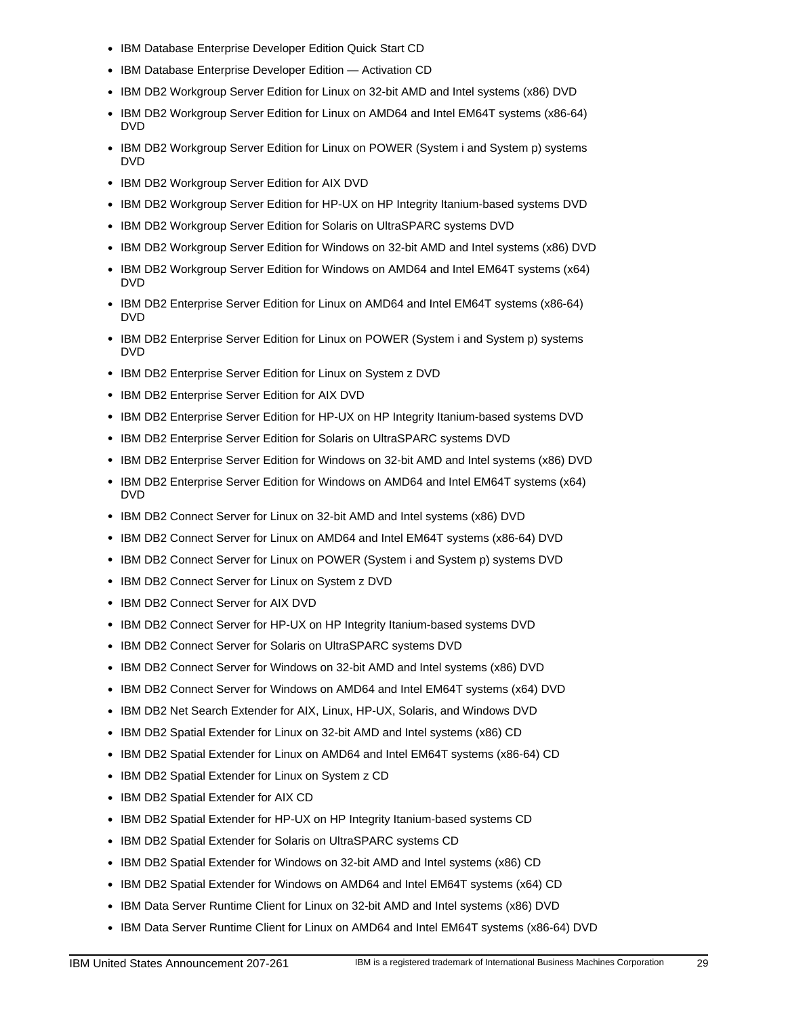- IBM Database Enterprise Developer Edition Quick Start CD
- IBM Database Enterprise Developer Edition Activation CD
- IBM DB2 Workgroup Server Edition for Linux on 32-bit AMD and Intel systems (x86) DVD
- IBM DB2 Workgroup Server Edition for Linux on AMD64 and Intel EM64T systems (x86-64) DVD
- IBM DB2 Workgroup Server Edition for Linux on POWER (System i and System p) systems DVD
- IBM DB2 Workgroup Server Edition for AIX DVD
- IBM DB2 Workgroup Server Edition for HP-UX on HP Integrity Itanium-based systems DVD
- IBM DB2 Workgroup Server Edition for Solaris on UltraSPARC systems DVD
- IBM DB2 Workgroup Server Edition for Windows on 32-bit AMD and Intel systems (x86) DVD
- IBM DB2 Workgroup Server Edition for Windows on AMD64 and Intel EM64T systems (x64) DVD
- IBM DB2 Enterprise Server Edition for Linux on AMD64 and Intel EM64T systems (x86-64) DVD
- IBM DB2 Enterprise Server Edition for Linux on POWER (System i and System p) systems DVD
- IBM DB2 Enterprise Server Edition for Linux on System z DVD
- IBM DB2 Enterprise Server Edition for AIX DVD
- IBM DB2 Enterprise Server Edition for HP-UX on HP Integrity Itanium-based systems DVD
- IBM DB2 Enterprise Server Edition for Solaris on UltraSPARC systems DVD
- IBM DB2 Enterprise Server Edition for Windows on 32-bit AMD and Intel systems (x86) DVD
- IBM DB2 Enterprise Server Edition for Windows on AMD64 and Intel EM64T systems (x64) DVD
- IBM DB2 Connect Server for Linux on 32-bit AMD and Intel systems (x86) DVD
- IBM DB2 Connect Server for Linux on AMD64 and Intel EM64T systems (x86-64) DVD
- IBM DB2 Connect Server for Linux on POWER (System i and System p) systems DVD
- IBM DB2 Connect Server for Linux on System z DVD
- IBM DB2 Connect Server for AIX DVD
- IBM DB2 Connect Server for HP-UX on HP Integrity Itanium-based systems DVD
- IBM DB2 Connect Server for Solaris on UltraSPARC systems DVD
- IBM DB2 Connect Server for Windows on 32-bit AMD and Intel systems (x86) DVD
- IBM DB2 Connect Server for Windows on AMD64 and Intel EM64T systems (x64) DVD
- IBM DB2 Net Search Extender for AIX, Linux, HP-UX, Solaris, and Windows DVD
- IBM DB2 Spatial Extender for Linux on 32-bit AMD and Intel systems (x86) CD
- IBM DB2 Spatial Extender for Linux on AMD64 and Intel EM64T systems (x86-64) CD
- IBM DB2 Spatial Extender for Linux on System z CD
- IBM DB2 Spatial Extender for AIX CD
- IBM DB2 Spatial Extender for HP-UX on HP Integrity Itanium-based systems CD
- IBM DB2 Spatial Extender for Solaris on UltraSPARC systems CD
- IBM DB2 Spatial Extender for Windows on 32-bit AMD and Intel systems (x86) CD
- IBM DB2 Spatial Extender for Windows on AMD64 and Intel EM64T systems (x64) CD
- IBM Data Server Runtime Client for Linux on 32-bit AMD and Intel systems (x86) DVD
- IBM Data Server Runtime Client for Linux on AMD64 and Intel EM64T systems (x86-64) DVD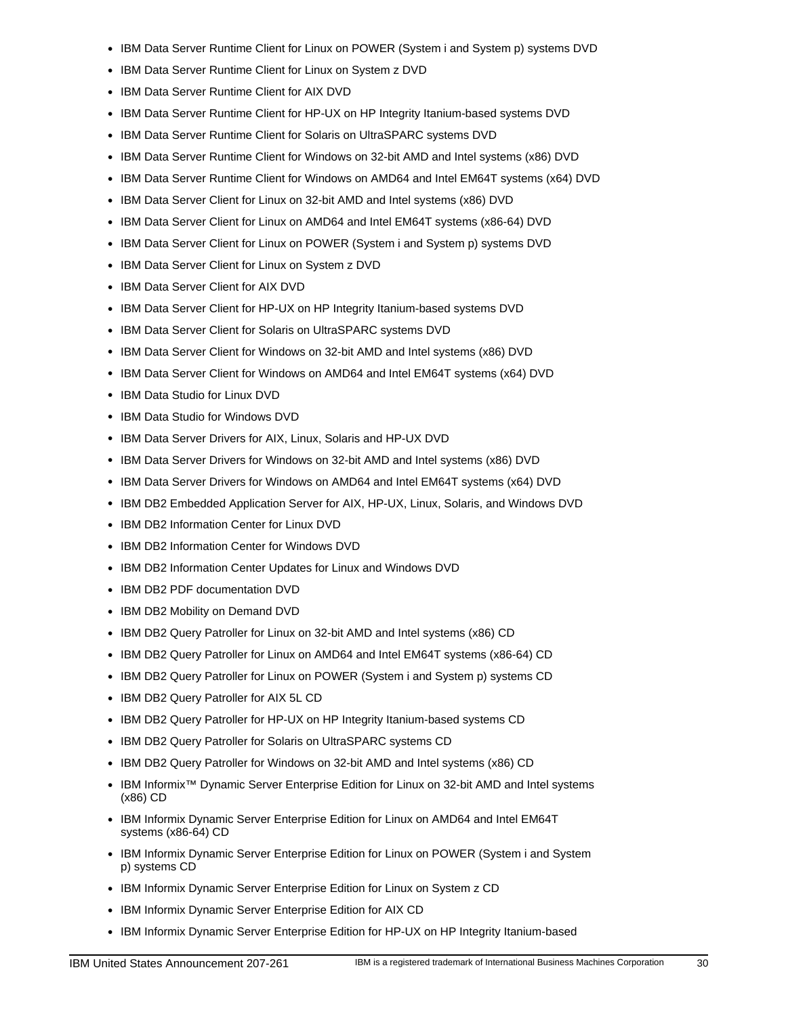- IBM Data Server Runtime Client for Linux on POWER (System i and System p) systems DVD
- IBM Data Server Runtime Client for Linux on System z DVD
- IBM Data Server Runtime Client for AIX DVD
- IBM Data Server Runtime Client for HP-UX on HP Integrity Itanium-based systems DVD
- IBM Data Server Runtime Client for Solaris on UltraSPARC systems DVD
- IBM Data Server Runtime Client for Windows on 32-bit AMD and Intel systems (x86) DVD
- IBM Data Server Runtime Client for Windows on AMD64 and Intel EM64T systems (x64) DVD
- IBM Data Server Client for Linux on 32-bit AMD and Intel systems (x86) DVD
- IBM Data Server Client for Linux on AMD64 and Intel EM64T systems (x86-64) DVD
- IBM Data Server Client for Linux on POWER (System i and System p) systems DVD
- IBM Data Server Client for Linux on System z DVD
- IBM Data Server Client for AIX DVD
- IBM Data Server Client for HP-UX on HP Integrity Itanium-based systems DVD
- IBM Data Server Client for Solaris on UltraSPARC systems DVD
- IBM Data Server Client for Windows on 32-bit AMD and Intel systems (x86) DVD
- IBM Data Server Client for Windows on AMD64 and Intel EM64T systems (x64) DVD
- IBM Data Studio for Linux DVD
- IBM Data Studio for Windows DVD
- IBM Data Server Drivers for AIX, Linux, Solaris and HP-UX DVD
- IBM Data Server Drivers for Windows on 32-bit AMD and Intel systems (x86) DVD
- IBM Data Server Drivers for Windows on AMD64 and Intel EM64T systems (x64) DVD
- IBM DB2 Embedded Application Server for AIX, HP-UX, Linux, Solaris, and Windows DVD
- IBM DB2 Information Center for Linux DVD
- IBM DB2 Information Center for Windows DVD
- IBM DB2 Information Center Updates for Linux and Windows DVD
- IBM DB2 PDF documentation DVD
- IBM DB2 Mobility on Demand DVD
- IBM DB2 Query Patroller for Linux on 32-bit AMD and Intel systems (x86) CD
- IBM DB2 Query Patroller for Linux on AMD64 and Intel EM64T systems (x86-64) CD
- IBM DB2 Query Patroller for Linux on POWER (System i and System p) systems CD
- IBM DB2 Query Patroller for AIX 5L CD
- IBM DB2 Query Patroller for HP-UX on HP Integrity Itanium-based systems CD
- IBM DB2 Query Patroller for Solaris on UltraSPARC systems CD
- IBM DB2 Query Patroller for Windows on 32-bit AMD and Intel systems (x86) CD
- IBM Informix™ Dynamic Server Enterprise Edition for Linux on 32-bit AMD and Intel systems (x86) CD
- IBM Informix Dynamic Server Enterprise Edition for Linux on AMD64 and Intel EM64T systems (x86-64) CD
- IBM Informix Dynamic Server Enterprise Edition for Linux on POWER (System i and System p) systems CD
- IBM Informix Dynamic Server Enterprise Edition for Linux on System z CD
- IBM Informix Dynamic Server Enterprise Edition for AIX CD
- IBM Informix Dynamic Server Enterprise Edition for HP-UX on HP Integrity Itanium-based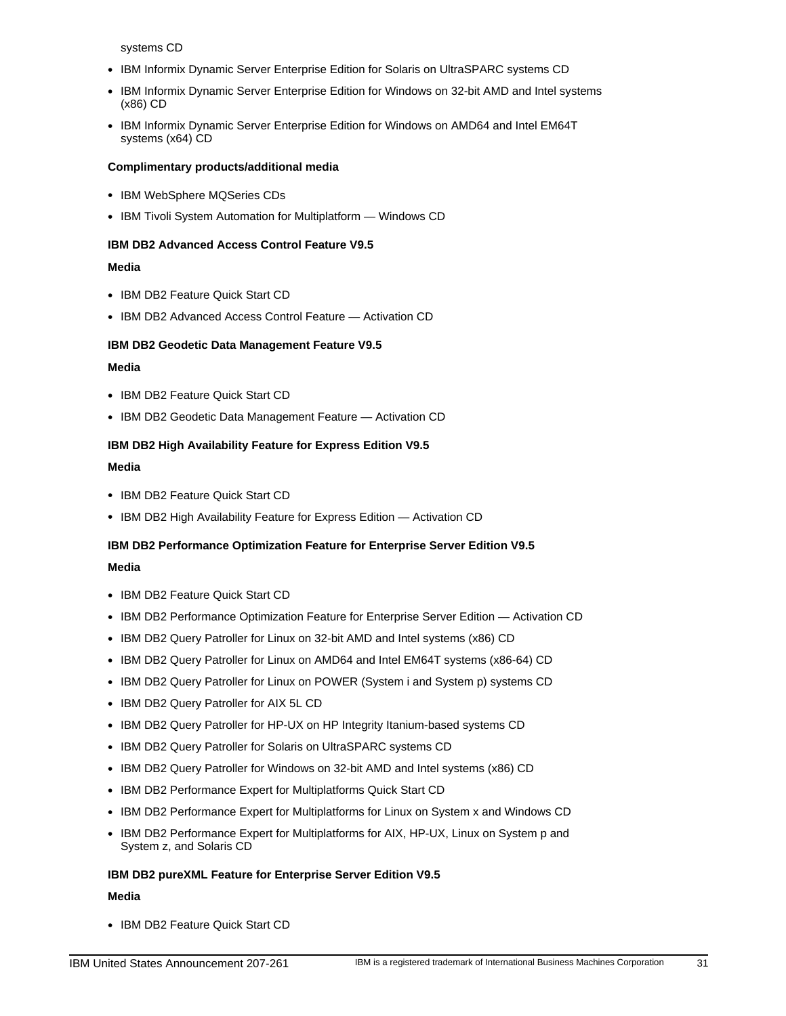systems CD

- IBM Informix Dynamic Server Enterprise Edition for Solaris on UltraSPARC systems CD
- IBM Informix Dynamic Server Enterprise Edition for Windows on 32-bit AMD and Intel systems (x86) CD
- IBM Informix Dynamic Server Enterprise Edition for Windows on AMD64 and Intel EM64T systems (x64) CD

# **Complimentary products/additional media**

- IBM WebSphere MQSeries CDs
- IBM Tivoli System Automation for Multiplatform Windows CD

# **IBM DB2 Advanced Access Control Feature V9.5**

# **Media**

- IBM DB2 Feature Quick Start CD
- IBM DB2 Advanced Access Control Feature Activation CD

# **IBM DB2 Geodetic Data Management Feature V9.5**

# **Media**

- IBM DB2 Feature Quick Start CD
- IBM DB2 Geodetic Data Management Feature Activation CD

# **IBM DB2 High Availability Feature for Express Edition V9.5**

#### **Media**

- IBM DB2 Feature Quick Start CD
- IBM DB2 High Availability Feature for Express Edition Activation CD

# **IBM DB2 Performance Optimization Feature for Enterprise Server Edition V9.5**

# **Media**

- IBM DB2 Feature Quick Start CD
- IBM DB2 Performance Optimization Feature for Enterprise Server Edition Activation CD
- IBM DB2 Query Patroller for Linux on 32-bit AMD and Intel systems (x86) CD
- IBM DB2 Query Patroller for Linux on AMD64 and Intel EM64T systems (x86-64) CD
- IBM DB2 Query Patroller for Linux on POWER (System i and System p) systems CD
- IBM DB2 Query Patroller for AIX 5L CD
- IBM DB2 Query Patroller for HP-UX on HP Integrity Itanium-based systems CD
- IBM DB2 Query Patroller for Solaris on UltraSPARC systems CD
- IBM DB2 Query Patroller for Windows on 32-bit AMD and Intel systems (x86) CD
- IBM DB2 Performance Expert for Multiplatforms Quick Start CD
- IBM DB2 Performance Expert for Multiplatforms for Linux on System x and Windows CD
- IBM DB2 Performance Expert for Multiplatforms for AIX, HP-UX, Linux on System p and System z, and Solaris CD

# **IBM DB2 pureXML Feature for Enterprise Server Edition V9.5**

# **Media**

• IBM DB2 Feature Quick Start CD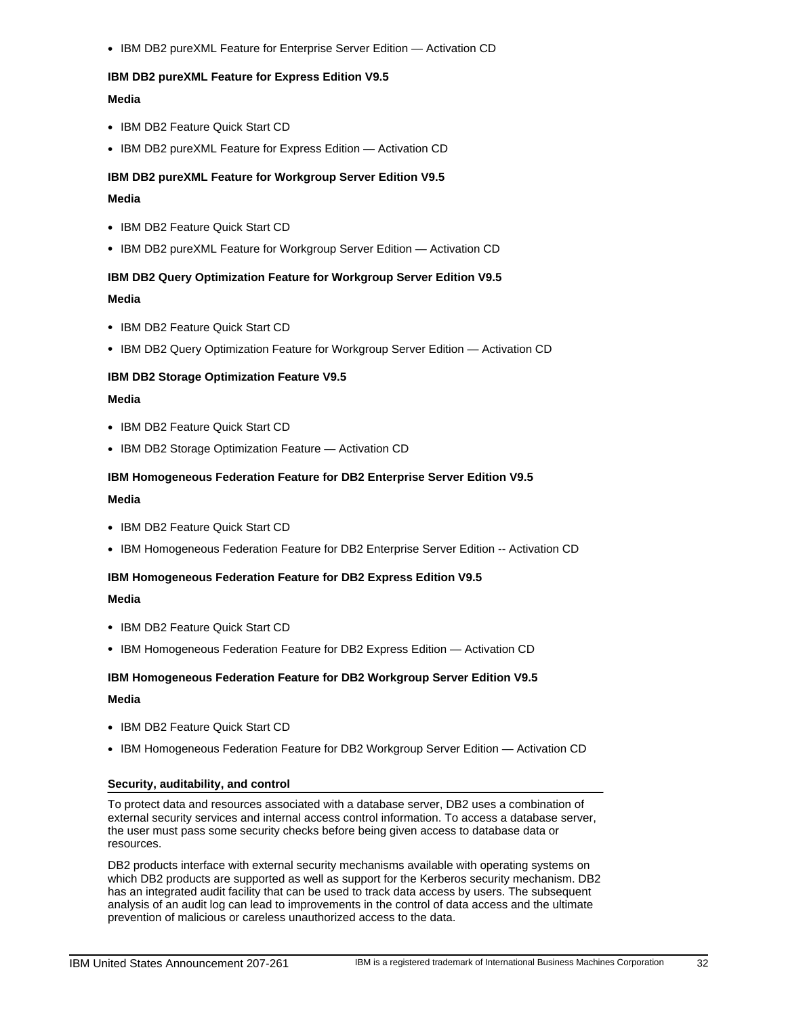• IBM DB2 pureXML Feature for Enterprise Server Edition — Activation CD

# **IBM DB2 pureXML Feature for Express Edition V9.5**

# **Media**

- IBM DB2 Feature Quick Start CD
- IBM DB2 pureXML Feature for Express Edition Activation CD

### **IBM DB2 pureXML Feature for Workgroup Server Edition V9.5**

### **Media**

- IBM DB2 Feature Quick Start CD
- IBM DB2 pureXML Feature for Workgroup Server Edition Activation CD

#### **IBM DB2 Query Optimization Feature for Workgroup Server Edition V9.5**

#### **Media**

- IBM DB2 Feature Quick Start CD
- IBM DB2 Query Optimization Feature for Workgroup Server Edition Activation CD

#### **IBM DB2 Storage Optimization Feature V9.5**

#### **Media**

- IBM DB2 Feature Quick Start CD
- IBM DB2 Storage Optimization Feature Activation CD

# **IBM Homogeneous Federation Feature for DB2 Enterprise Server Edition V9.5**

#### **Media**

- IBM DB2 Feature Quick Start CD
- IBM Homogeneous Federation Feature for DB2 Enterprise Server Edition -- Activation CD

#### **IBM Homogeneous Federation Feature for DB2 Express Edition V9.5**

#### **Media**

- IBM DB2 Feature Quick Start CD
- IBM Homogeneous Federation Feature for DB2 Express Edition Activation CD

### **IBM Homogeneous Federation Feature for DB2 Workgroup Server Edition V9.5**

# **Media**

- IBM DB2 Feature Quick Start CD
- IBM Homogeneous Federation Feature for DB2 Workgroup Server Edition Activation CD

#### **Security, auditability, and control**

To protect data and resources associated with a database server, DB2 uses a combination of external security services and internal access control information. To access a database server, the user must pass some security checks before being given access to database data or resources.

DB2 products interface with external security mechanisms available with operating systems on which DB2 products are supported as well as support for the Kerberos security mechanism. DB2 has an integrated audit facility that can be used to track data access by users. The subsequent analysis of an audit log can lead to improvements in the control of data access and the ultimate prevention of malicious or careless unauthorized access to the data.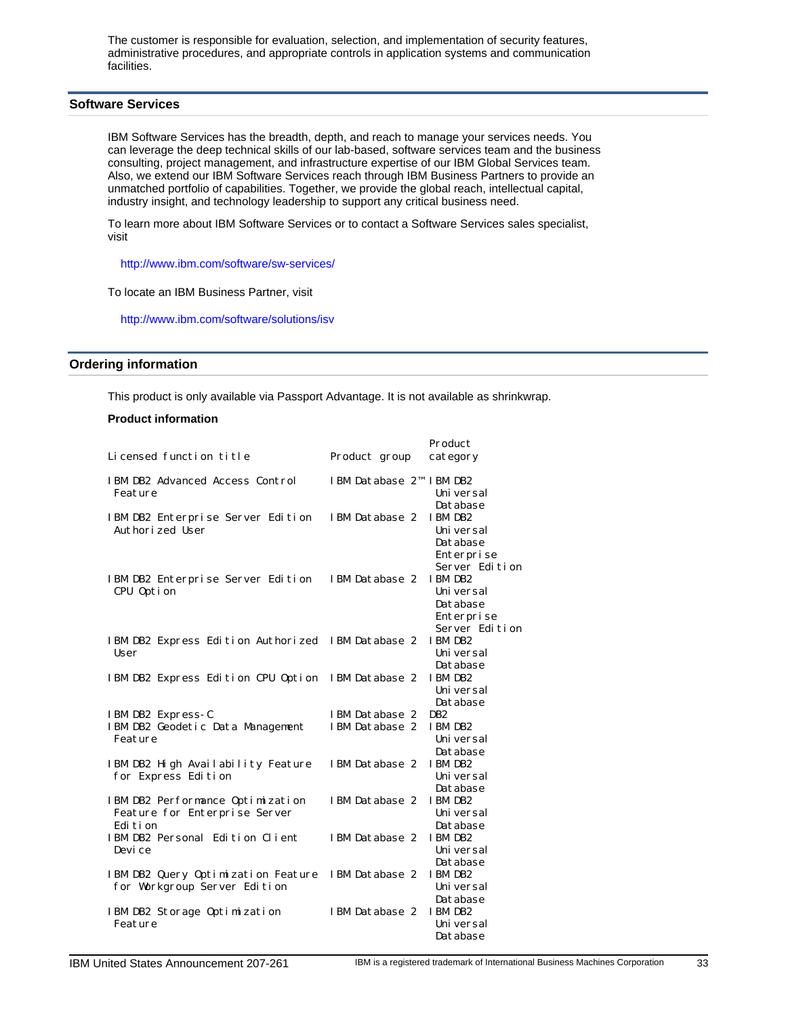The customer is responsible for evaluation, selection, and implementation of security features, administrative procedures, and appropriate controls in application systems and communication facilities.

# <span id="page-32-0"></span>**Software Services**

IBM Software Services has the breadth, depth, and reach to manage your services needs. You can leverage the deep technical skills of our lab-based, software services team and the business consulting, project management, and infrastructure expertise of our IBM Global Services team. Also, we extend our IBM Software Services reach through IBM Business Partners to provide an unmatched portfolio of capabilities. Together, we provide the global reach, intellectual capital, industry insight, and technology leadership to support any critical business need.

To learn more about IBM Software Services or to contact a Software Services sales specialist, visit

http://www.ibm.com/software/sw-services/

To locate an IBM Business Partner, visit

http://www.ibm.com/software/solutions/isv

# <span id="page-32-1"></span>**Ordering information**

This product is only available via Passport Advantage. It is not available as shrinkwrap.

### **Product information**

|                                                                                |                         | Product                                                           |
|--------------------------------------------------------------------------------|-------------------------|-------------------------------------------------------------------|
| Licensed function title                                                        | Product group           | category                                                          |
| IBM DB2 Advanced Access Control<br>Feature                                     | IBM Database 2™ IBM DB2 | Uni versal<br>Database                                            |
| IBM DB2 Enterprise Server Edition<br>Authorized User                           | IBM Database 2          | IBM DB2<br>Uni versal<br>Database<br>Enterprise<br>Server Edition |
| IBM DB2 Enterprise Server Edition<br>CPU Option                                | IBM Database 2          | IBM DB2<br>Uni versal<br>Database<br>Enterprise<br>Server Edition |
| IBM DB2 Express Edition Authorized<br>User                                     | IBM Database 2          | IBM DB2<br>Uni versal<br>Database                                 |
| IBM DB2 Express Edition CPU Option                                             | IBM Database 2          | IBM DB2<br>Uni versal<br>Database                                 |
| IBM DB2 Express-C                                                              | IBM Database 2          | DB <sub>2</sub>                                                   |
| IBM DB2 Geodetic Data Management<br>Feature                                    | IBM Database 2          | IBM DB2<br>Uni versal<br>Database                                 |
| IBM DB2 High Availability Feature<br>for Express Edition                       | IBM Database 2          | IBM DB2<br>Uni versal<br>Database                                 |
| IBM DB2 Performance Optimization<br>Feature for Enterprise Server<br>Edi ti on | IBM Database 2          | IBM DB2<br>Uni versal<br>Database                                 |
| IBM DB2 Personal Edition Client<br>Devi ce                                     | IBM Database 2          | IBM DB2<br>Uni versal<br>Database                                 |
| IBM DB2 Query Optimization Feature<br>for Workgroup Server Edition             | IBM Database 2          | IBM DB2<br>Uni versal<br>Database                                 |
| IBM DB2 Storage Optimization<br>Feature                                        | IBM Database 2          | <b>IBM DB2</b><br>Uni versal<br>Database                          |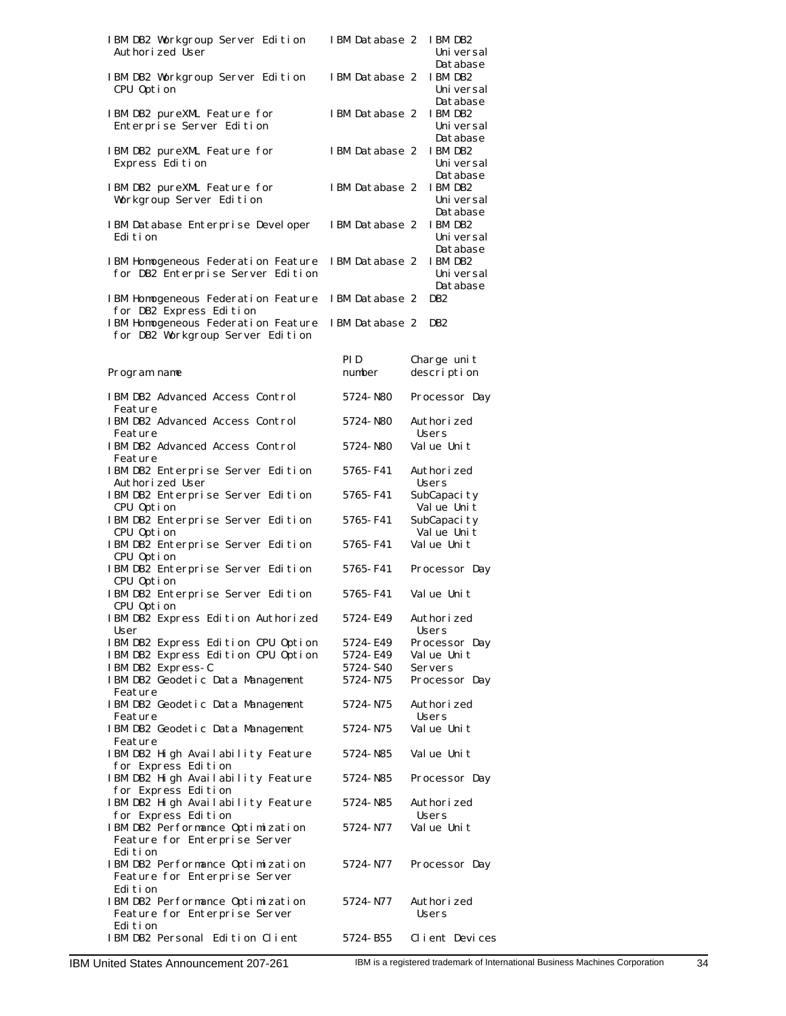| IBM DB2 Workgroup Server Edition<br>Authorized User                            | IBM Database 2        | IBM DB2<br>Uni versal<br>Database |
|--------------------------------------------------------------------------------|-----------------------|-----------------------------------|
| IBM DB2 Workgroup Server Edition<br>CPU Option                                 | IBM Database 2        | IBM DB2<br>Uni versal<br>Database |
| IBM DB2 pureXML Feature for<br>Enterprise Server Edition                       | IBM Database 2        | IBM DB2<br>Uni versal<br>Database |
| IBM DB2 pureXML Feature for<br>Express Edition                                 | IBM Database 2        | IBM DB2<br>Uni versal<br>Database |
| IBM DB2 pureXML Feature for<br>Workgroup Server Edition                        | IBM Database 2        | IBM DB2<br>Uni versal<br>Database |
| IBM Database Enterprise Developer<br>Edi ti on                                 | IBM Database 2        | IBM DB2<br>Uni versal<br>Database |
| IBM Homogeneous Federation Feature<br>for DB2 Enterprise Server Edition        | IBM Database 2        | IBM DB2<br>Uni versal<br>Database |
| IBM Homogeneous Federation Feature<br>for DB2 Express Edition                  | IBM Database 2        | D <sub>B2</sub>                   |
| IBM Homogeneous Federation Feature<br>for DB2 Workgroup Server Edition         | IBM Database 2        | DB <sub>2</sub>                   |
| Program name                                                                   | PI D<br>number        | Charge unit<br>description        |
| IBM DB2 Advanced Access Control<br>Feature                                     | 5724-N80              | Processor Day                     |
| IBM DB2 Advanced Access Control<br>Feature                                     | 5724-N80              | Authori zed<br>Users              |
| IBM DB2 Advanced Access Control<br>Feature                                     | 5724-N80              | Value Unit                        |
| IBM DB2 Enterprise Server Edition<br>Authorized User                           | 5765-F41              | Authori zed<br>Users              |
| IBM DB2 Enterprise Server Edition<br>CPU Option                                | 5765-F41              | SubCapacity<br>Value Unit         |
| IBM DB2 Enterprise Server Edition<br>CPU Option                                | 5765-F41              | SubCapacity<br>Value Unit         |
| IBM DB2 Enterprise Server Edition<br>CPU Option                                | 5765-F41              | Value Unit                        |
| IBM DB2 Enterprise Server Edition<br>CPU Option                                | 5765-F41              | Processor Day                     |
| IBM DB2 Enterprise Server Edition<br>CPU Option                                | 5765- F41             | Value Unit                        |
| IBM DB2 Express Edition Authorized<br>User                                     | 5724-E49              | Authorized<br>Users               |
| IBM DB2 Express Edition CPU Option                                             | 5724-E49              | Processor Day                     |
| IBM DB2 Express Edition CPU Option                                             | 5724- E49             | Value Unit                        |
| IBM DB2 Express-C                                                              | 5724- S40<br>5724-N75 | Servers                           |
| IBM DB2 Geodetic Data Management<br>Feature                                    |                       | Processor Day                     |
| IBM DB2 Geodetic Data Management<br>Feature                                    | 5724-N75              | Authori zed<br>Users              |
| IBM DB2 Geodetic Data Management<br>Feature                                    | 5724-N75              | Value Unit                        |
| IBM DB2 High Availability Feature<br>for Express Edition                       | 5724-N85              | Value Unit                        |
| IBM DB2 High Availability Feature<br>for Express Edition                       | 5724-N85              | Processor Day                     |
| IBM DB2 High Availability Feature<br>for Express Edition                       | 5724-N85              | Authorized<br>Users               |
| IBM DB2 Performance Optimization<br>Feature for Enterprise Server<br>Edi ti on | 5724-N77              | Value Unit                        |
| IBM DB2 Performance Optimization<br>Feature for Enterprise Server<br>Edi ti on | 5724-N77              | Processor Day                     |
| IBM DB2 Performance Optimization<br>Feature for Enterprise Server<br>Edi ti on | 5724-N77              | Authori zed<br>Users              |
| IBM DB2 Personal Edition Client                                                | 5724-B55              | Client Devices                    |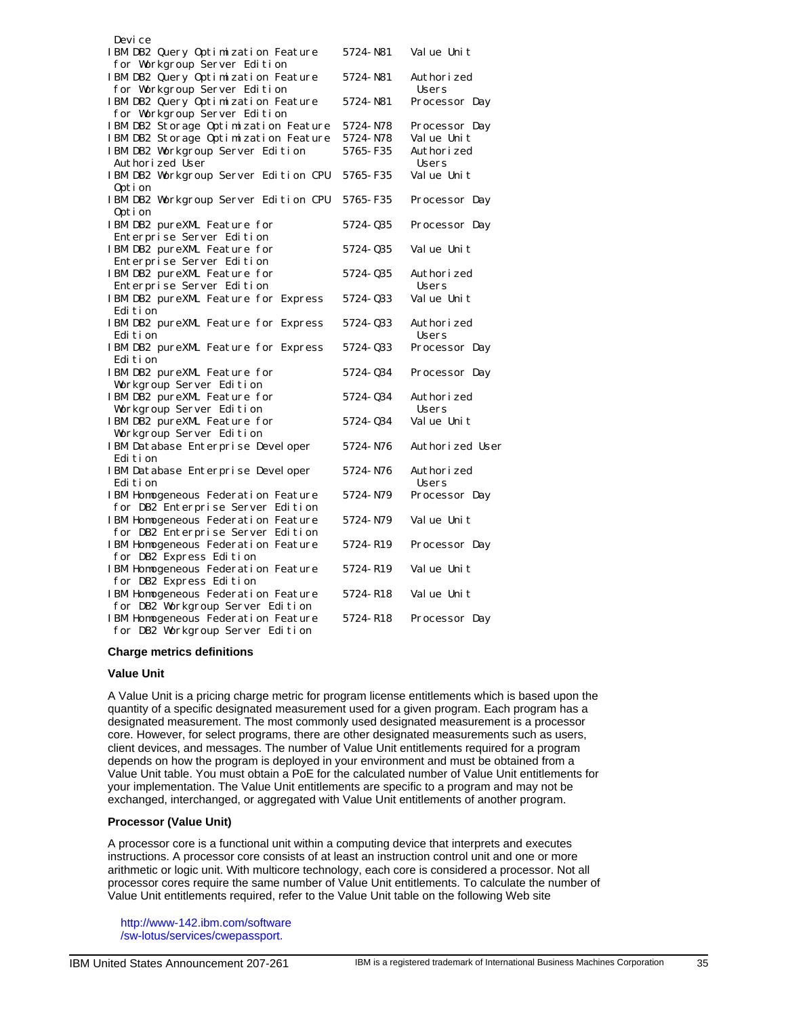| Devi ce                                                            |            |                      |
|--------------------------------------------------------------------|------------|----------------------|
| IBM DB2 Query Optimization Feature<br>for Workgroup Server Edition | 5724-N81   | Value Unit           |
|                                                                    |            |                      |
| IBM DB2 Query Optimization Feature<br>for Workgroup Server Edition | 5724-N81   | Authori zed<br>Users |
| IBM DB2 Query Optimization Feature                                 | 5724-N81   | Processor Day        |
| for Workgroup Server Edition                                       |            |                      |
| IBM DB2 Storage Optimization Feature                               | 5724-N78   |                      |
|                                                                    |            | Processor Day        |
| IBM DB2 Storage Optimization Feature                               | 5724-N78   | Value Unit           |
| IBM DB2 Workgroup Server Edition                                   | 5765-F35   | Authorized           |
| Authorized User                                                    |            | Users                |
| IBM DB2 Workgroup Server Edition CPU                               | 5765-F35   | Value Unit           |
| Option                                                             |            |                      |
| IBM DB2 Workgroup Server Edition CPU                               | 5765-F35   | Processor Day        |
| Option                                                             |            |                      |
| IBM DB2 pureXML Feature for                                        | 5724-Q35   | Processor Day        |
| Enterprise Server Edition                                          |            |                      |
| IBM DB2 pureXML Feature for                                        | 5724-Q35   | Value Unit           |
| Enterprise Server Edition                                          |            |                      |
| IBM DB2 pureXML Feature for                                        | 5724-Q35   | Authori zed          |
| Enterprise Server Edition                                          |            | Users                |
| IBM DB2 pureXML Feature for Express                                | 5724-Q33   | Value Unit           |
| Edi ti on                                                          |            |                      |
| IBM DB2 pureXML Feature for Express                                | 5724-033   | Authori zed          |
| Edi ti on                                                          |            | Users                |
| IBM DB2 pureXML Feature for Express                                | 5724-033   | Processor Day        |
| Edi ti on                                                          |            |                      |
| IBM DB2 pureXML Feature for                                        | 5724-034   | Processor Day        |
| Workgroup Server Edition                                           |            |                      |
| IBM DB2 pureXML Feature for                                        | 5724-Q34   | Authori zed          |
| Workgroup Server Edition                                           |            | <b>Users</b>         |
| IBM DB2 pureXML Feature for                                        | 5724-Q34   | Value Unit           |
| Workgroup Server Edition                                           |            |                      |
| IBM Database Enterprise Developer                                  | 5724-N76   | Authorized User      |
| Edi ti on                                                          |            |                      |
| IBM Database Enterprise Developer                                  | 5724-N76   | Authori zed          |
| Edi ti on                                                          |            | Users                |
| IBM Homogeneous Federation Feature                                 | 5724-N79   | Processor Day        |
| for DB2 Enterprise Server Edition                                  |            |                      |
| IBM Homogeneous Federation Feature                                 | 5724-N79   | Value Unit           |
| for DB2 Enterprise Server Edition                                  |            |                      |
| IBM Homogeneous Federation Feature                                 | 5724-R19   | Processor Day        |
| for DB2 Express Edition                                            |            |                      |
| IBM Homogeneous Federation Feature                                 | 5724-R19   | Value Unit           |
| for DB2 Express Edition                                            |            |                      |
| IBM Homogeneous Federation Feature                                 | 5724-R18   | Value Unit           |
| for DB2 Workgroup Server Edition                                   |            |                      |
| IBM Homogeneous Federation Feature                                 | 5724 - R18 | Processor Day        |
| for DB2 Workgroup Server Edition                                   |            |                      |

#### **Charge metrics definitions**

#### **Value Unit**

A Value Unit is a pricing charge metric for program license entitlements which is based upon the quantity of a specific designated measurement used for a given program. Each program has a designated measurement. The most commonly used designated measurement is a processor core. However, for select programs, there are other designated measurements such as users, client devices, and messages. The number of Value Unit entitlements required for a program depends on how the program is deployed in your environment and must be obtained from a Value Unit table. You must obtain a PoE for the calculated number of Value Unit entitlements for your implementation. The Value Unit entitlements are specific to a program and may not be exchanged, interchanged, or aggregated with Value Unit entitlements of another program.

#### **Processor (Value Unit)**

A processor core is a functional unit within a computing device that interprets and executes instructions. A processor core consists of at least an instruction control unit and one or more arithmetic or logic unit. With multicore technology, each core is considered a processor. Not all processor cores require the same number of Value Unit entitlements. To calculate the number of Value Unit entitlements required, refer to the Value Unit table on the following Web site

http://www-142.ibm.com/software /sw-lotus/services/cwepassport.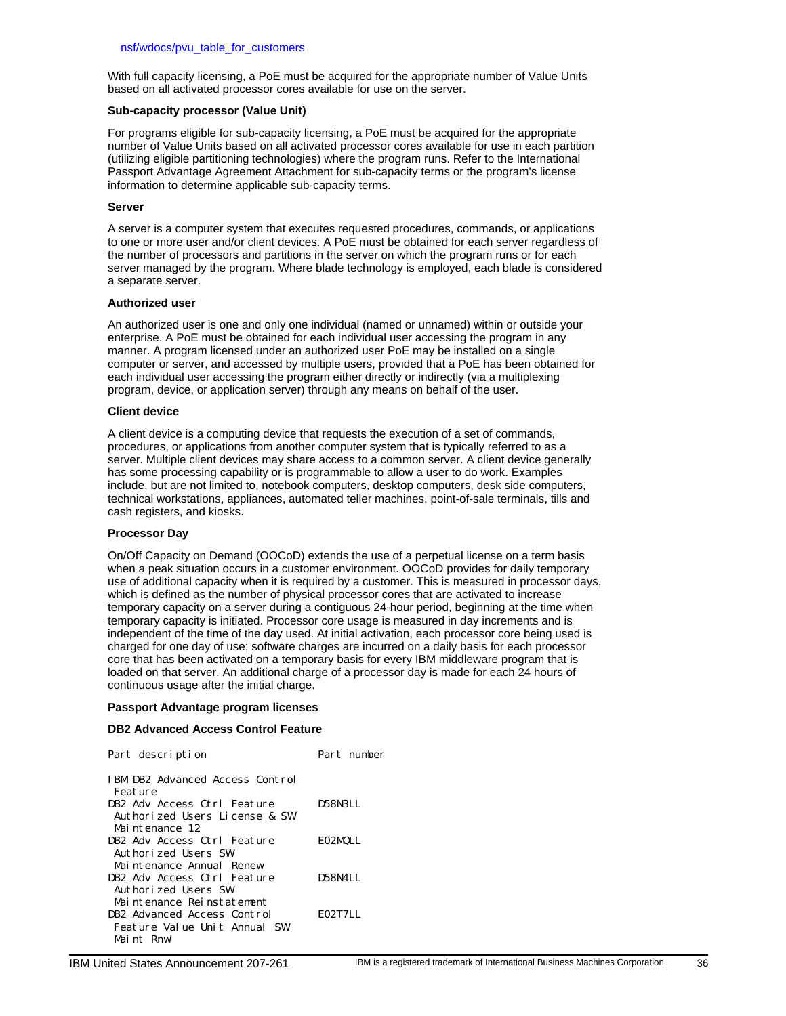With full capacity licensing, a PoE must be acquired for the appropriate number of Value Units based on all activated processor cores available for use on the server.

### **Sub-capacity processor (Value Unit)**

For programs eligible for sub-capacity licensing, a PoE must be acquired for the appropriate number of Value Units based on all activated processor cores available for use in each partition (utilizing eligible partitioning technologies) where the program runs. Refer to the International Passport Advantage Agreement Attachment for sub-capacity terms or the program's license information to determine applicable sub-capacity terms.

#### **Server**

A server is a computer system that executes requested procedures, commands, or applications to one or more user and/or client devices. A PoE must be obtained for each server regardless of the number of processors and partitions in the server on which the program runs or for each server managed by the program. Where blade technology is employed, each blade is considered a separate server.

#### **Authorized user**

An authorized user is one and only one individual (named or unnamed) within or outside your enterprise. A PoE must be obtained for each individual user accessing the program in any manner. A program licensed under an authorized user PoE may be installed on a single computer or server, and accessed by multiple users, provided that a PoE has been obtained for each individual user accessing the program either directly or indirectly (via a multiplexing program, device, or application server) through any means on behalf of the user.

#### **Client device**

A client device is a computing device that requests the execution of a set of commands, procedures, or applications from another computer system that is typically referred to as a server. Multiple client devices may share access to a common server. A client device generally has some processing capability or is programmable to allow a user to do work. Examples include, but are not limited to, notebook computers, desktop computers, desk side computers, technical workstations, appliances, automated teller machines, point-of-sale terminals, tills and cash registers, and kiosks.

# **Processor Day**

On/Off Capacity on Demand (OOCoD) extends the use of a perpetual license on a term basis when a peak situation occurs in a customer environment. OOCoD provides for daily temporary use of additional capacity when it is required by a customer. This is measured in processor days, which is defined as the number of physical processor cores that are activated to increase temporary capacity on a server during a contiguous 24-hour period, beginning at the time when temporary capacity is initiated. Processor core usage is measured in day increments and is independent of the time of the day used. At initial activation, each processor core being used is charged for one day of use; software charges are incurred on a daily basis for each processor core that has been activated on a temporary basis for every IBM middleware program that is loaded on that server. An additional charge of a processor day is made for each 24 hours of continuous usage after the initial charge.

#### **Passport Advantage program licenses**

# **DB2 Advanced Access Control Feature**

| Part description                                             | Part number |
|--------------------------------------------------------------|-------------|
| IBM DB2 Advanced Access Control<br>Feature                   |             |
| DB2 Adv Access Ctrl Feature<br>Authorized Users License & SW | D58N3LL     |
| Maintenance 12<br>DB2 Adv Access Ctrl Feature                | E02MQLL     |
| Authorized Users SW                                          |             |
| Maintenance Annual Renew<br>DB2 Adv Access Ctrl Feature      | D58N4LL     |
| Authorized Users SW                                          |             |
| Maintenance Reinstatement<br>DB2 Advanced Access Control     | E02T7LL     |
| Feature Value Unit Annual SW<br>Maint Rnwl                   |             |
|                                                              |             |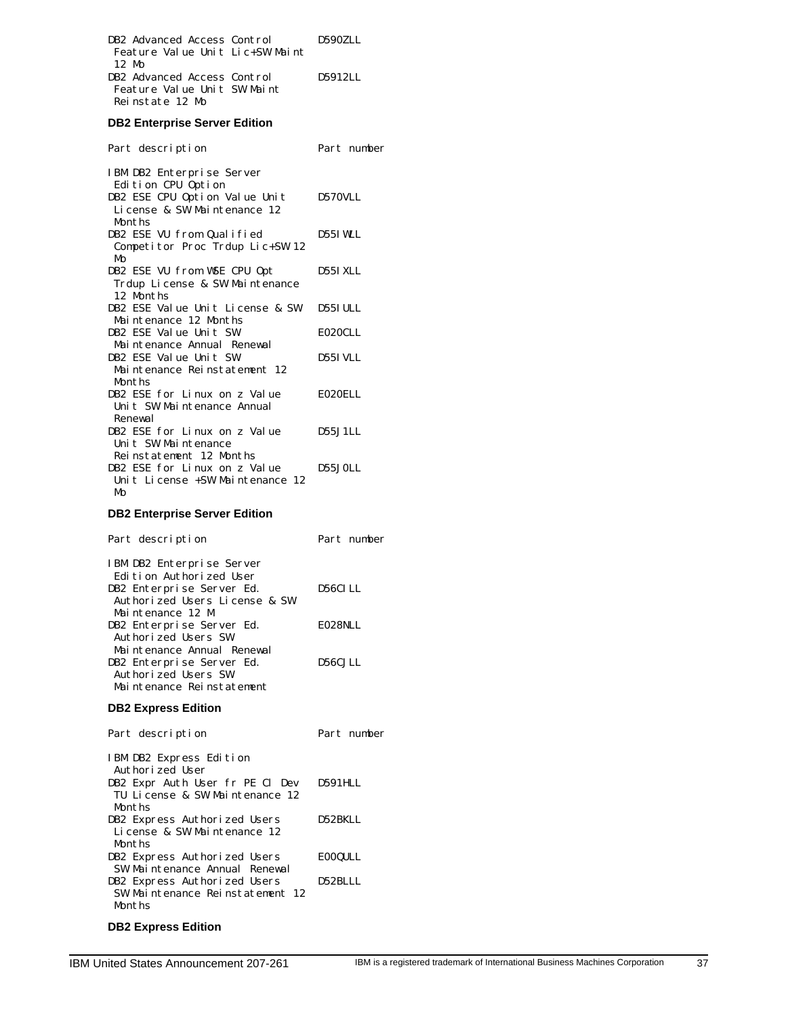| DB2 Advanced Access Control     | D590ZLL |
|---------------------------------|---------|
| Feature Value Unit Lic+SW Maint |         |
| 12 M <sub>0</sub>               |         |
| DB2 Advanced Access Control     | D5912LL |
| Feature Value Unit SW Maint     |         |
| Reinstate 12 Mo                 |         |

# **DB2 Enterprise Server Edition**

| Part description                | Part number     |
|---------------------------------|-----------------|
| IBM DB2 Enterprise Server       |                 |
| Edition CPU Option              |                 |
| DB2 ESE CPU Option Value Unit   | D570VLL         |
| License & SW Maintenance 12     |                 |
| Months                          |                 |
| DB2 ESE VU from Qualified       | D55I WLL        |
| Competitor Proc Trdup Lic+SW 12 |                 |
| MΩ                              |                 |
| DB2 ESE VU from WSE CPU Opt     | <b>D55I XLL</b> |
| Trdup License & SW Maintenance  |                 |
| 12 Months                       |                 |
| DB2 ESE Value Unit License & SW | <b>D55I ULL</b> |
| Maintenance 12 Months           |                 |
| DB2 ESE Value Unit SW           | E020CLL         |
| Maintenance Annual Renewal      |                 |
| DB2 ESE Value Unit SW           | D55I VLL        |
| Maintenance Reinstatement 12    |                 |
| Months                          |                 |
| DB2 ESE for Linux on z Value    | EO2OELL         |
| Unit SW Maintenance Annual      |                 |
| Renewal                         |                 |
| DB2 ESE for Linux on z Value    | D55.J1LL        |
| Unit SW Maintenance             |                 |
| Reinstatement 12 Months         |                 |
| DB2 ESE for Linux on z Value    | D55.JOLL        |
| Unit License +SW Maintenance 12 |                 |
| Mo                              |                 |
|                                 |                 |

# **DB2 Enterprise Server Edition**

| Part description              | Part number |
|-------------------------------|-------------|
| IBM DB2 Enterprise Server     |             |
| Edition Authorized User       |             |
| DB2 Enterprise Server Ed.     | D56CLLL     |
| Authorized Users License & SW |             |
| Maintenance 12 M              |             |
| DB2 Enterprise Server Ed.     | EO28NLL     |
| Authorized Users SW           |             |
| Maintenance Annual Renewal    |             |
| DB2 Enterprise Server Ed.     | D56C.JLL    |
| Authorized Users SW           |             |
| Maintenance Reinstatement     |             |
|                               |             |

# **DB2 Express Edition**

| Part description                                                  | Part number    |
|-------------------------------------------------------------------|----------------|
| IBM DB2 Express Edition<br>Authorized User                        |                |
| DB2 Expr Auth User fr PE Cl Dev<br>TU License & SW Maintenance 12 | D591HLL        |
| Months                                                            |                |
| DB2 Express Authorized Users<br>License & SW Maintenance 12       | D52BKLL        |
| Months                                                            |                |
| DB2 Express Authorized Users                                      | <b>EOOQULL</b> |
| SW Maintenance Annual Renewal                                     |                |
| DB2 Express Authorized Users                                      | D52BLLL        |
| SW Maintenance Reinstatement 12                                   |                |
| Months                                                            |                |
|                                                                   |                |

# **DB2 Express Edition**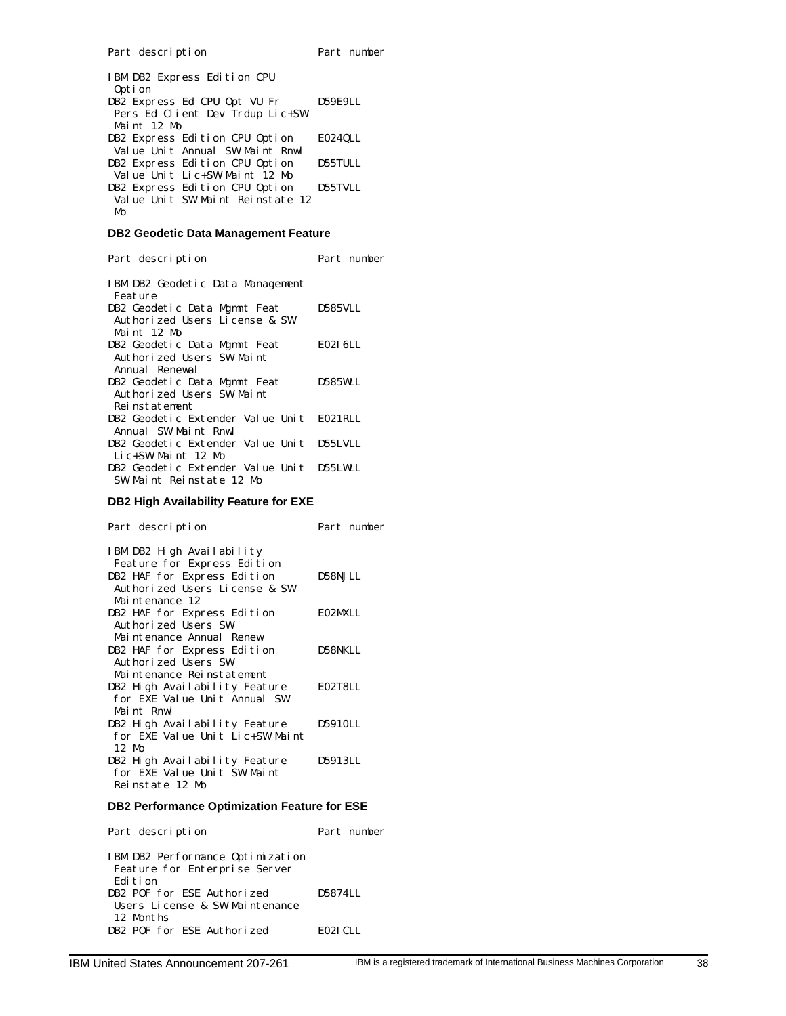| IBM DB2 Express Edition CPU<br>Option |         |
|---------------------------------------|---------|
| DB2 Express Ed CPU Opt VU Fr          | D59E9LL |
| Pers Ed Client Dev Trdup Lic+SW       |         |
| Maint 12 Mo                           |         |
| DB2 Express Edition CPU Option        | E024QLL |
| Value Unit Annual SW Maint Rnwl       |         |
| DB2 Express Edition CPU Option        | D55TULL |
| Value Unit Lic+SW Maint 12 Mo         |         |
| DB2 Express Edition CPU Option        | D55TVLL |
| Value Unit SW Maint Reinstate 12      |         |
| MΩ                                    |         |
|                                       |         |

# **DB2 Geodetic Data Management Feature**

Part description Part number

| IBM DB2 Geodetic Data Management         |          |
|------------------------------------------|----------|
| Feature                                  |          |
| DB2 Geodetic Data Mgmnt Feat             | D585VLL  |
| Authorized Users License & SW            |          |
| Maint 12 Mo                              |          |
| DB2 Geodetic Data Mgmnt Feat             | E02I 6LL |
| Authorized Users SW Maint                |          |
| Annual Renewal                           |          |
| DB2 Geodetic Data Mgmnt Feat             | D585W.L  |
| Authorized Users SW Maint                |          |
| Reinstatement                            |          |
| DB2 Geodetic Extender Value Unit E021RLL |          |
| Annual SW Maint Rnwl                     |          |
| DB2 Geodetic Extender Value Unit D55LVLL |          |
| Lic+SW Maint 12 Mo                       |          |
| DB2 Geodetic Extender Value Unit D55LWLL |          |
| SW Maint Reinstate 12 Mo                 |          |

# **DB2 High Availability Feature for EXE**

| Part description                                                 | Part number |
|------------------------------------------------------------------|-------------|
| IBM DB2 High Availability<br>Feature for Express Edition         |             |
| DB2 HAF for Express Edition<br>Authorized Users License & SW     | D58NJLL     |
| Maintenance 12                                                   |             |
| DB2 HAF for Express Edition                                      | E02MXLL     |
| Authorized Users SW<br>Maintenance Annual Renew                  |             |
| DB2 HAF for Express Edition<br>Authorized Users SW               | D58NKLL     |
| Maintenance Reinstatement                                        |             |
| DB2 High Availability Feature<br>for EXE Value Unit Annual SW    | E02T8LL     |
| Maint Rnwl                                                       |             |
| DB2 High Availability Feature<br>for EXE Value Unit Lic+SW Maint | D5910LL     |
| 12 Mo                                                            |             |
| DB2 High Availability Feature                                    | D5913LL     |
| for EXE Value Unit SW Maint                                      |             |
| Reinstate 12 Mo                                                  |             |

# **DB2 Performance Optimization Feature for ESE**

| Part description                                                                | Part number |
|---------------------------------------------------------------------------------|-------------|
| IBM DB2 Performance Optimization<br>Feature for Enterprise Server<br>Edi t.i on |             |
| DB2 POF for ESE Authorized<br>Users License & SW Maintenance                    | D5874LL     |
| 12 Months<br>DB2 POF for ESE Authorized                                         | EO2I CLL    |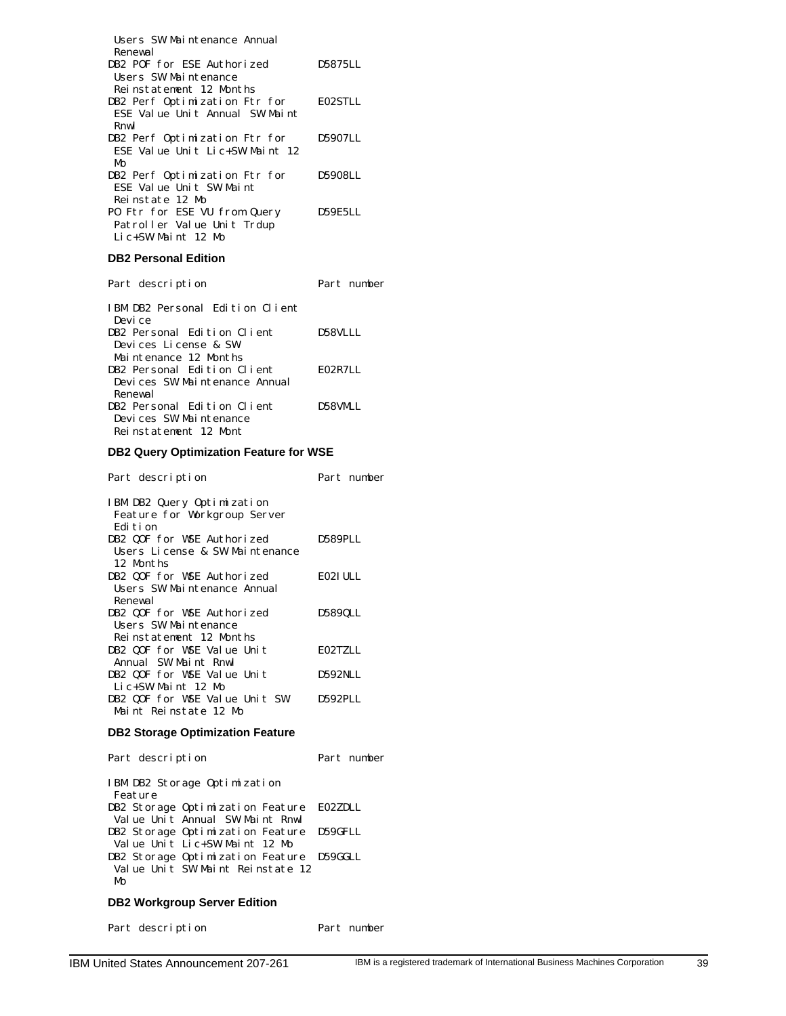| Users SW Maintenance Annual<br>Renewal |         |
|----------------------------------------|---------|
| DB2 POF for ESE Authorized             | D5875LL |
| Users SW Maintenance                   |         |
| Reinstatement 12 Months                |         |
| DB2 Perf Optimization Ftr for          | E02STLL |
| ESE Value Unit Annual SW Maint         |         |
| Rnwl                                   |         |
| DB2 Perf Optimization Ftr for          | D5907LL |
| ESE Value Unit Lic+SW Maint 12         |         |
| MΩ                                     |         |
| DB2 Perf Optimization Ftr for          | D5908LL |
| ESE Value Unit SW Maint                |         |
| Reinstate 12 Mo                        |         |
| PO Ftr for ESE VU from Query           | D59E5LL |
| Patroller Value Unit Trdup             |         |
| Lic+SW Maint 12 Mo                     |         |

# **DB2 Personal Edition**

| Part description                | Part number |
|---------------------------------|-------------|
| IBM DB2 Personal Edition Client |             |
| Devi ce                         |             |
| DB2 Personal Edition Client     | D58VLLL     |
| Devices License & SW            |             |
| Maintenance 12 Months           |             |
| DB2 Personal Edition Client     | E02R7LL     |
| Devices SW Maintenance Annual   |             |
| Renewal                         |             |
| DB2 Personal Edition Client     | D58VMLL     |
| Devices SW Maintenance          |             |
| Reinstatement 12 Mont           |             |

# **DB2 Query Optimization Feature for WSE**

| Part description                                                         | Part number |
|--------------------------------------------------------------------------|-------------|
| IBM DB2 Query Optimization<br>Feature for Workgroup Server<br>Edi t i on |             |
| DB2 QOF for WSE Authorized                                               | D589PLL     |
| Users License & SW Maintenance<br>12 Months                              |             |
| DB2 QOF for WSE Authorized                                               | EO2I ULL    |
| Users SW Maintenance Annual<br>Renewal                                   |             |
| DB2 QOF for WSE Authorized                                               | D589QLL     |
| Users SW Maintenance<br>Reinstatement 12 Months                          |             |
| DB2 QOF for WSE Value Unit                                               | EO2TZLL     |
| Annual SW Maint Rnwl                                                     |             |
| DB2 QOF for WSE Value Unit                                               | D592NLL     |
| Lic+SW Maint 12 Mo                                                       |             |
| DB2 QOF for WSE Value Unit SW                                            | D592PLL     |
| Maint Reinstate 12 Mo                                                    |             |
|                                                                          |             |

# **DB2 Storage Optimization Feature**

| Part description                                                                   | Part number |
|------------------------------------------------------------------------------------|-------------|
| IBM DB2 Storage Optimization<br>Feature                                            |             |
| DB2 Storage Optimization Feature E02ZDLL<br>Value Unit Annual SW Maint Rnwl        |             |
| DB2 Storage Optimization Feature D59GFLL<br>Value Unit Lic+SW Maint 12 Mo          |             |
| DB2 Storage Optimization Feature D59GGLL<br>Value Unit SW Maint Reinstate 12<br>Mo |             |

# **DB2 Workgroup Server Edition**

Part description Part number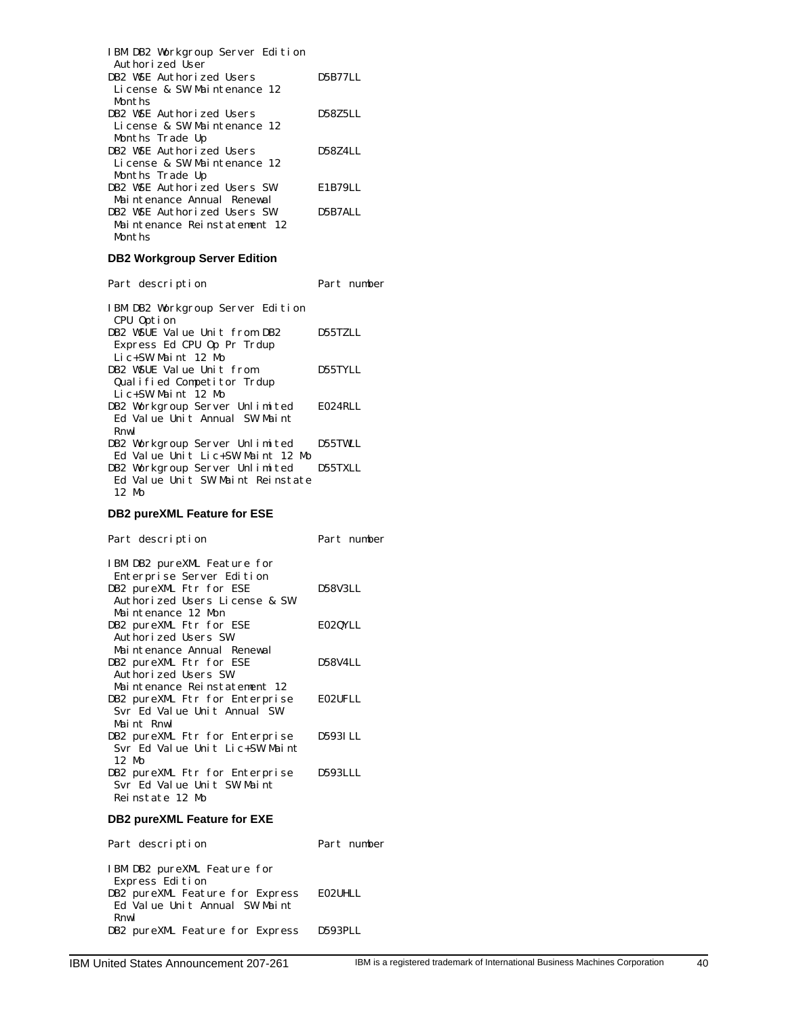| IBM DB2 Workgroup Server Edition<br>Authorized User |         |
|-----------------------------------------------------|---------|
| DB2 WSE Authorized Users                            | D5B77LL |
| License & SW Maintenance 12                         |         |
| Months                                              |         |
| DB2 WSE Authorized Users                            | D58Z5LL |
| License & SW Maintenance 12                         |         |
| Months Trade Up                                     |         |
| DB2 WSE Authorized Users                            | D58Z4LL |
| License & SW Maintenance 12                         |         |
| Months Trade Up                                     |         |
| DB2 WSE Authorized Users SW                         | E1B79LL |
| Mai ntenance Annual Renewal                         |         |
| DB2 WSE Authorized Users SW                         | D5B7ALL |
| Maintenance Reinstatement 12                        |         |
| Months                                              |         |

# **DB2 Workgroup Server Edition**

Part description Part number

| IBM DB2 Workgroup Server Edition<br>CPU Option |                |
|------------------------------------------------|----------------|
| DB2 WSUE Value Unit from DB2                   | <b>D55TZLL</b> |
| Express Ed CPU Op Pr Trdup                     |                |
| Lic+SW Maint 12 Mo                             |                |
| DB2 WSUE Value Unit from                       | D55TYLL        |
| Qualified Competitor Trdup                     |                |
| $Li C+SW$ Maint 12 Mo                          |                |
| DB2 Workgroup Server Unlimited                 | E024RLL        |
| Ed Value Unit Annual SW Maint                  |                |
| Rnwl                                           |                |
| DB2 Workgroup Server Unlimited                 | <b>D55TWLL</b> |
| Ed Value Unit Lic+SW Maint 12 Mo               |                |
| DB2 Workgroup Server Unlimited                 | D55TXLL        |
| Ed Value Unit SW Maint Reinstate               |                |
| $12 \text{ Mo}$                                |                |

# **DB2 pureXML Feature for ESE**

| Part description                                                                                                     | Part number |
|----------------------------------------------------------------------------------------------------------------------|-------------|
| IBM DB2 pureXML Feature for<br>Enterprise Server Edition<br>DB2 pureXML Ftr for ESE<br>Authorized Users License & SW | D58V3LL     |
| Maintenance 12 Mon<br>DB2 pureXML Ftr for ESE<br>Authorized Users SW                                                 | E02QYLL     |
| Maintenance Annual Renewal<br>DB2 pureXML Ftr for ESE<br>Authorized Users SW                                         | D58V4LL     |
| Maintenance Reinstatement 12<br>DB2 pureXML Ftr for Enterprise<br>Svr Ed Value Unit Annual SW                        | EO2UFLL     |
| Maint Rnwl<br>DB2 pureXML Ftr for Enterprise<br>Syr Ed Value Unit Lic+SW Maint                                       | D593LLL     |
| 12 M <sub>0</sub><br>DB2 pureXML Ftr for Enterprise<br>Svr Ed Value Unit SW Maint<br>Reinstate 12 Mo                 | D593LLL     |
| DB2 pureXML Feature for EXE                                                                                          |             |
| Part description                                                                                                     | Part number |

| IBM DB2 pureXML Feature for     |         |
|---------------------------------|---------|
| Express Edition                 |         |
| DB2 pureXML Feature for Express | E02UHLL |
| Ed Value Unit Annual SW Maint   |         |
| Rnwl                            |         |
| DB2 pureXML Feature for Express | D593PLL |
|                                 |         |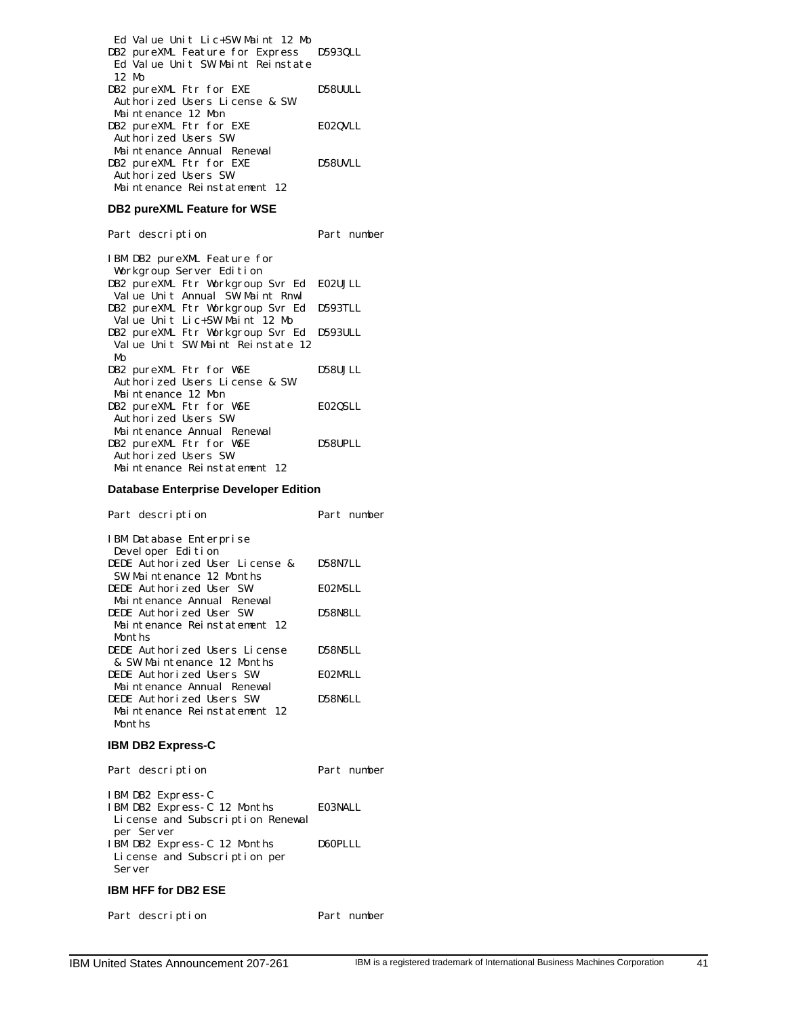| Ed Value Unit Lic+SW Maint 12 Mo        |         |
|-----------------------------------------|---------|
| DB2 pureXML Feature for Express D593QLL |         |
| Ed Value Unit SW Maint Reinstate        |         |
| 12 Mo                                   |         |
| DB2 pureXML Ftr for EXE                 | D58UULL |
| Authorized Users License & SW           |         |
| Maintenance 12 Mon                      |         |
| DB2 pureXML Ftr for EXE                 | E020VLL |
| Authorized Users SW                     |         |
| Maintenance Annual Renewal              |         |
| DB2 pureXML Ftr for EXE                 | D58UVLL |
| Authorized Users SW                     |         |
| Maintenance Reinstatement 12            |         |

# **DB2 pureXML Feature for WSE**

Part description Part number

| IBM DB2 pureXML Feature for<br>Workgroup Server Edition |          |
|---------------------------------------------------------|----------|
| DB2 pureXML Ftr Workgroup Svr Ed                        | E02UJLL  |
| Value Unit Annual SW Maint Rnwl                         |          |
| DB2 pureXML Ftr Workgroup Svr Ed                        | D593TLL  |
| Value Unit Lic+SW Maint 12 Mo                           |          |
| DB2 pureXML Ftr Workgroup Svr Ed                        | D593ULL  |
| Value Unit SW Maint Reinstate 12                        |          |
| MΩ                                                      |          |
| DB2 pureXML Ftr for WSE                                 | D58U.JLL |
| Authorized Users License & SW                           |          |
| Maintenance 12 Mon                                      |          |
| DB2 pureXML Ftr for WSE                                 | E02QSLL  |
| Authorized Users SW                                     |          |
| Maintenance Annual Renewal                              |          |
| DB2 pureXML Ftr for WSE                                 | D58UPLL  |
| Authorized Users SW                                     |          |
| Maintenance Reinstatement 12                            |          |

# **Database Enterprise Developer Edition**

| Part description               | Part number    |
|--------------------------------|----------------|
| IBM Database Enterprise        |                |
| Devel oper Edition             |                |
| DEDE Authorized User License & | D58N7LL        |
| SW Maintenance 12 Months       |                |
| DEDE Authorized User SW        | EO2MSLL        |
| Maintenance Annual Renewal     |                |
| DEDE Authorized User SW        | <b>D58N8LL</b> |
| Maintenance Reinstatement 12   |                |
| Months                         |                |
| DEDE Authorized Users License  | D58N5LL        |
| & SW Maintenance 12 Months     |                |
| DEDE Authorized Users SW       | EO2MRLL        |
| Maintenance Annual Renewal     |                |
| DEDE Authorized Users SW       | D58N6LL        |
| Maintenance Reinstatement 12   |                |
| Months                         |                |
| <b>IBM DB2 Express-C</b>       |                |

| Part description                                 | Part number |
|--------------------------------------------------|-------------|
| IBM DB2 Express-C<br>IBM DB2 Express-C 12 Months | EO3NALL     |

| License and Subscription Renewal |         |
|----------------------------------|---------|
| per Server                       |         |
| IBM DB2 Express-C 12 Months      | D60PLLL |
| License and Subscription per     |         |
| Server                           |         |

# **IBM HFF for DB2 ESE**

Part description Part number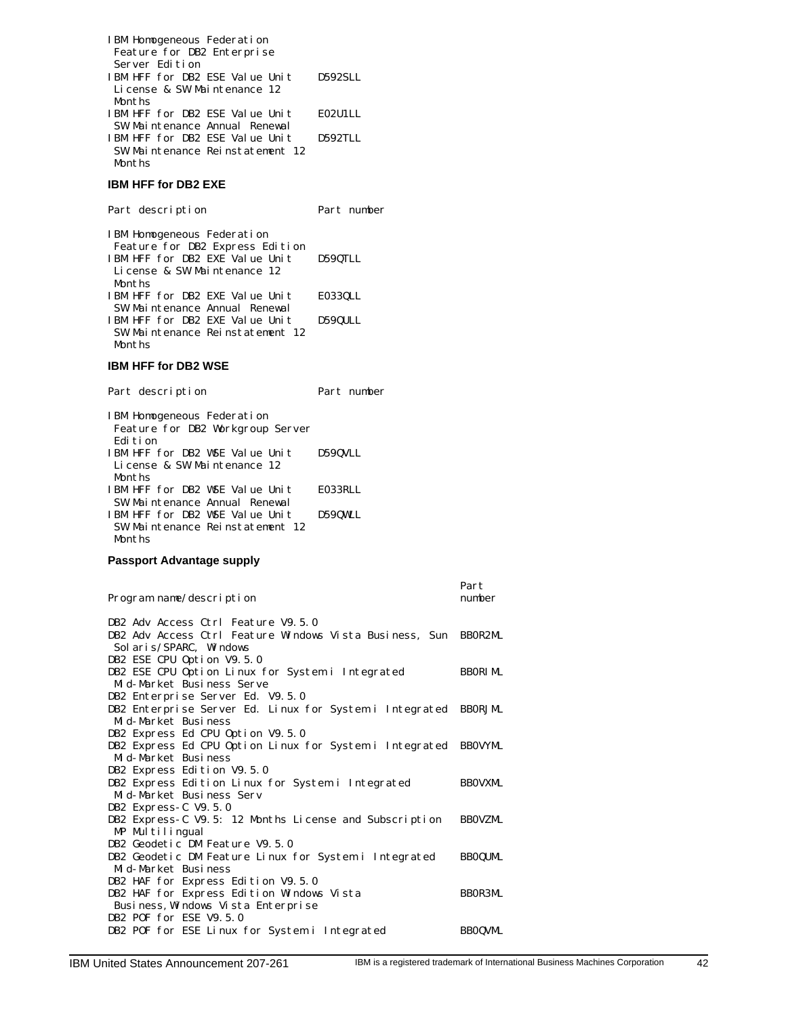| IBM Homogeneous Federation      |         |
|---------------------------------|---------|
| Feature for DB2 Enterprise      |         |
| Server Edition                  |         |
| IBM HFF for DB2 ESE Value Unit  | D592SLL |
| License & SW Maintenance 12     |         |
| Months                          |         |
| IBM HFF for DB2 ESE Value Unit  | EO2U1LL |
| SW Maintenance Annual Renewal   |         |
| IBM HFF for DB2 ESE Value Unit  | D592TLL |
| SW Maintenance Reinstatement 12 |         |
| Months                          |         |
|                                 |         |

# **IBM HFF for DB2 EXE**

Part description Part number IBM Homogeneous Federation Feature for DB2 Express Edition IBM HFF for DB2 EXE Value Unit D59QTLL License & SW Maintenance 12 Months IBM HFF for DB2 EXE Value Unit E033QLL SW Maintenance Annual Renewal IBM HFF for DB2 EXE Value Unit D59QULL SW Maintenance Reinstatement 12 Months

### **IBM HFF for DB2 WSE**

Part description Part number IBM Homogeneous Federation Feature for DB2 Workgroup Server Edition IBM HFF for DB2 WSE Value Unit D59QVLL License & SW Maintenance 12 Months IBM HFF for DB2 WSE Value Unit E033RLL SW Maintenance Annual Renewal IBM HFF for DB2 WSE Value Unit D59QWLL SW Maintenance Reinstatement 12 Months

#### **Passport Advantage supply**

| Program name/description                                                                    | Part<br>number |
|---------------------------------------------------------------------------------------------|----------------|
| DB2 Adv Access Ctrl Feature V9.5.0                                                          |                |
| DB2 Adv Access Ctrl Feature Windows Vista Business, Sun                                     | BBOR2ML        |
| Sol ari s/SPARC, Windows                                                                    |                |
| DB2 ESE CPU Option V9.5.0                                                                   |                |
| DB2 ESE CPU Option Linux for System i Integrated                                            | <b>BBORIML</b> |
| Mid-Market Business Serve                                                                   |                |
| DB2 Enterprise Server Ed. V9.5.0                                                            |                |
| DB2 Enterprise Server Ed. Linux for System i Integrated<br>Mid-Market Business              | <b>BBORJML</b> |
|                                                                                             |                |
| DB2 Express Ed CPU Option V9.5.0<br>DB2 Express Ed CPU Option Linux for System i Integrated | <b>BBOVYML</b> |
| Mid-Market Business                                                                         |                |
| DB2 Express Edition V9.5.0                                                                  |                |
| DB2 Express Edition Linux for System i Integrated                                           | <b>BBOVXML</b> |
| Mid-Market Business Serv                                                                    |                |
| DB2 Express-C V9.5.0                                                                        |                |
| DB2 Express-C V9.5: 12 Months License and Subscription                                      | <b>BBOVZML</b> |
| MP Multilingual                                                                             |                |
| DB2 Geodetic DM Feature V9.5.0                                                              |                |
| DB2 Geodetic DM Feature Linux for System i Integrated                                       | <b>BBOQUML</b> |
| Mid-Market Business                                                                         |                |
| DB2 HAF for Express Edition V9.5.0                                                          |                |
| DB2 HAF for Express Edition Windows Vista                                                   | <b>BBOR3ML</b> |
| Business, Windows Vista Enterprise                                                          |                |
| DB2 POF for ESE V9.5.0                                                                      |                |
| DB2 POF for ESE Linux for System i Integrated                                               | <b>BBOQVML</b> |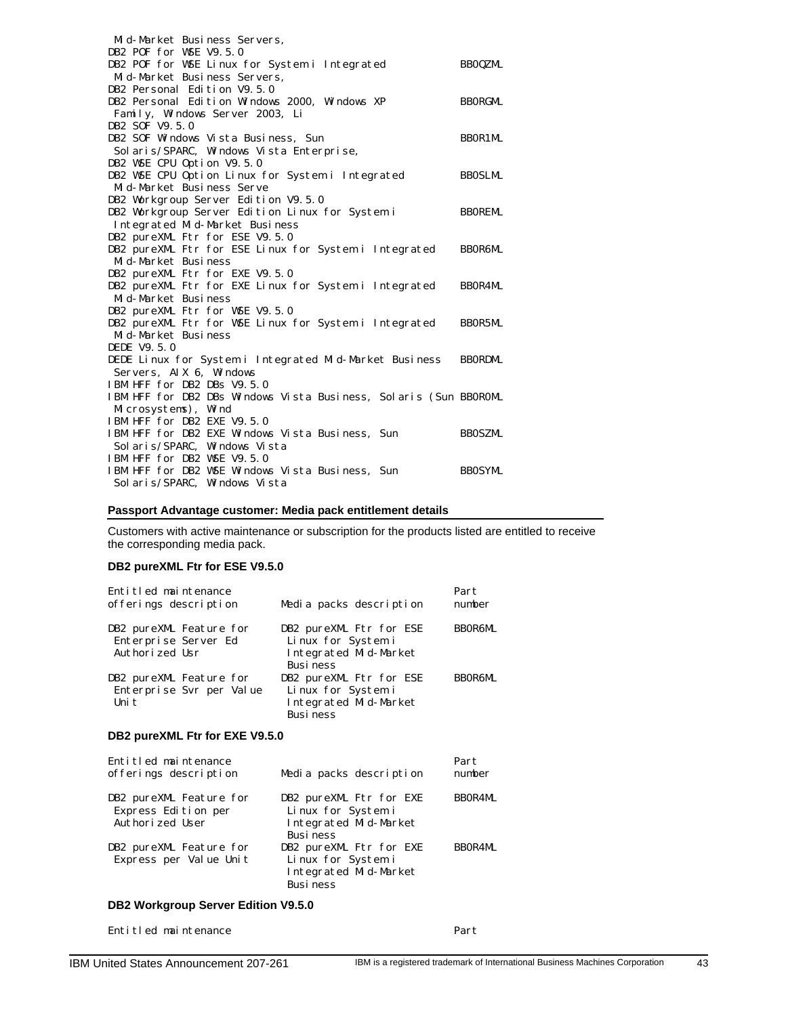| Mid-Market Business Servers,                                     |                |
|------------------------------------------------------------------|----------------|
| DB2 POF for WSE V9.5.0                                           |                |
| DB2 POF for WSE Linux for System i Integrated                    | <b>BBOQZML</b> |
| Mid-Market Business Servers,                                     |                |
| DB2 Personal Edition V9.5.0                                      |                |
| DB2 Personal Edition Windows 2000, Windows XP                    | <b>BBORGML</b> |
| Family, Windows Server 2003, Li                                  |                |
| DB2 SOF V9.5.0                                                   |                |
| DB2 SOF Windows Vista Business, Sun                              | BBOR1ML        |
| Solaris/SPARC, Windows Vista Enterprise,                         |                |
| DB2 WSE CPU Option V9.5.0                                        |                |
| DB2 WSE CPU Option Linux for System i Integrated                 | <b>BBOSLML</b> |
| Mid-Market Business Serve                                        |                |
| DB2 Workgroup Server Edition V9.5.0                              |                |
| DB2 Workgroup Server Edition Linux for System i                  | <b>BBOREML</b> |
| Integrated Mid-Market Business                                   |                |
| DB2 pureXML Ftr for ESE V9.5.0                                   |                |
| DB2 pureXML Ftr for ESE Linux for System i Integrated            | <b>BBOR6ML</b> |
| Mid-Market Business                                              |                |
| DB2 pureXML Ftr for EXE V9.5.0                                   |                |
| DB2 pureXML Ftr for EXE Linux for System i Integrated            | <b>BBOR4ML</b> |
| Mid-Market Business                                              |                |
| DB2 pureXML Ftr for WSE V9.5.0                                   |                |
| DB2 pureXML Ftr for WSE Linux for System i Integrated            | <b>BBOR5ML</b> |
| Mid-Market Business                                              |                |
| DEDE V9.5.0                                                      |                |
| DEDE Linux for System i Integrated Mid-Market Business           | <b>BBORDML</b> |
| Servers, AIX 6, Windows                                          |                |
| IBM HFF for DB2 DBs V9.5.0                                       |                |
| IBM HFF for DB2 DBs Windows Vista Business, Solaris (Sun BBOROML |                |
| Microsystems), Wind                                              |                |
| IBM HFF for DB2 EXE V9.5.0                                       |                |
| IBM HFF for DB2 EXE Windows Vista Business, Sun                  | <b>BBOSZML</b> |
| Sol aris/SPARC, Windows Vista                                    |                |
| IBM HFF for DB2 WSE V9.5.0                                       |                |
| IBM HFF for DB2 WSE Windows Vista Business, Sun                  | <b>BBOSYML</b> |
| Sol aris/SPARC, Windows Vista                                    |                |

# **Passport Advantage customer: Media pack entitlement details**

Customers with active maintenance or subscription for the products listed are entitled to receive the corresponding media pack.

# **DB2 pureXML Ftr for ESE V9.5.0**

| Entitled maintenance<br>offerings description                     | Media packs description                                                                   | Part<br>number |
|-------------------------------------------------------------------|-------------------------------------------------------------------------------------------|----------------|
| DB2 pureXML Feature for<br>Enterprise Server Ed<br>Authorized Usr | DB2 pureXML Ftr for ESE<br>Linux for System i<br>Integrated Mid-Market<br><b>Business</b> | <b>BBOR6ML</b> |
| DB2 pureXML Feature for<br>Enterprise Syr per Value<br>Uni t      | DB2 pureXML Ftr for ESE<br>Linux for System i<br>Integrated Mid-Market<br><b>Business</b> | BBOR6ML        |

# **DB2 pureXML Ftr for EXE V9.5.0**

| Entitled maintenance<br>offerings description                     | Media packs description                                                                   | Part<br>number |
|-------------------------------------------------------------------|-------------------------------------------------------------------------------------------|----------------|
| DB2 pureXML Feature for<br>Express Edition per<br>Authorized User | DB2 pureXML Ftr for EXE<br>Linux for System i<br>Integrated Mid-Market<br><b>Business</b> | <b>BBOR4ML</b> |
| DB2 pureXML Feature for<br>Express per Value Unit                 | DB2 pureXML Ftr for EXE<br>Linux for System i<br>Integrated Mid-Market<br><b>Business</b> | <b>BBOR4ML</b> |

# **DB2 Workgroup Server Edition V9.5.0**

Entitled maintenance Part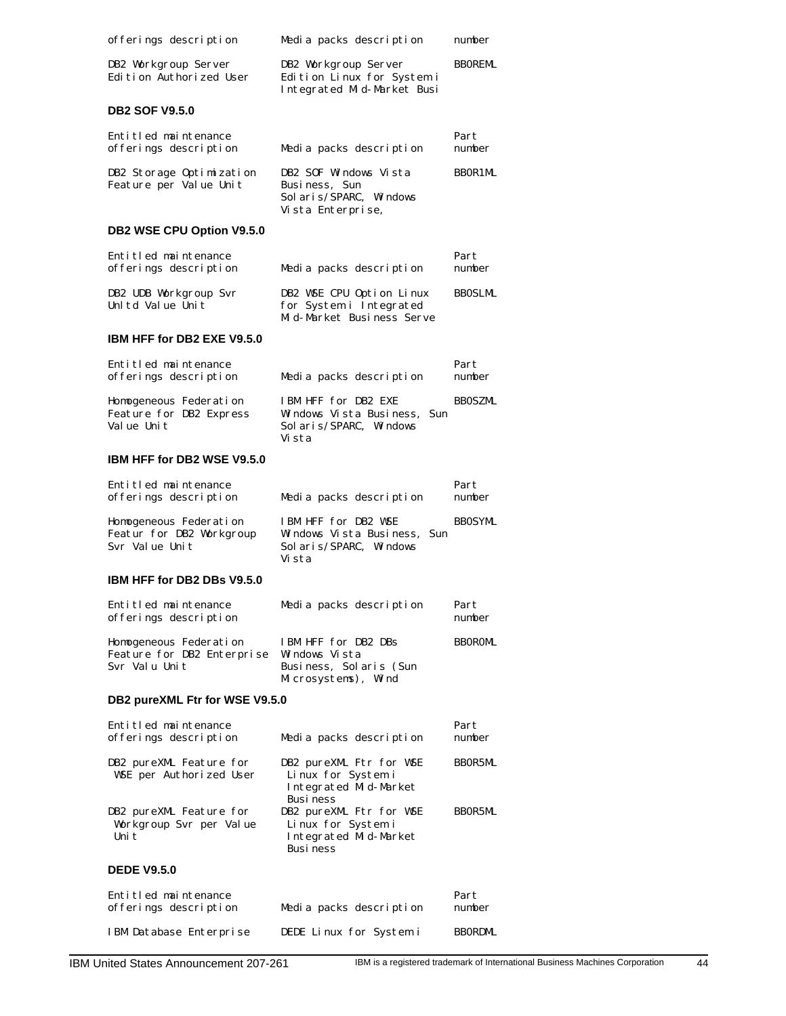| offerings description                                                 | Media packs description                                                                    | number         |
|-----------------------------------------------------------------------|--------------------------------------------------------------------------------------------|----------------|
| DB2 Workgroup Server<br>Edition Authorized User                       | DB2 Workgroup Server<br>Edition Linux for System i<br>Integrated Mid-Market Busi           | <b>BBOREML</b> |
| <b>DB2 SOF V9.5.0</b>                                                 |                                                                                            |                |
| Entitled maintenance<br>offerings description                         | Media packs description                                                                    | Part<br>number |
| DB2 Storage Optimization<br>Feature per Value Unit                    | DB2 SOF Windows Vista<br>Business, Sun<br>Sol ari s/SPARC, Windows<br>Vista Enterprise,    | BBOR1ML        |
| DB2 WSE CPU Option V9.5.0                                             |                                                                                            |                |
| Entitled maintenance<br>offerings description                         | Media packs description                                                                    | Part<br>number |
| DB2 UDB Workgroup Svr<br>Unltd Value Unit                             | DB2 WSE CPU Option Linux<br>for System i Integrated<br>Mid-Market Business Serve           | <b>BBOSLML</b> |
| <b>IBM HFF for DB2 EXE V9.5.0</b>                                     |                                                                                            |                |
| Entitled maintenance<br>offerings description                         | Media packs description                                                                    | Part<br>number |
| Homogeneous Federation<br>Feature for DB2 Express<br>Value Unit       | IBM HFF for DB2 EXE<br>Windows Vista Business,<br>Sun<br>Sol ari s/SPARC, Windows<br>Vista | <b>BBOSZML</b> |
| <b>IBM HFF for DB2 WSE V9.5.0</b>                                     |                                                                                            |                |
| Entitled maintenance<br>offerings description                         | Media packs description                                                                    | Part<br>number |
| Homogeneous Federation<br>Featur for DB2 Workgroup<br>Svr Value Unit  | IBM HFF for DB2 WSE<br>Windows Vista Business,<br>Sun<br>Sol aris/SPARC, Windows<br>Vista  | <b>BBOSYML</b> |
| IBM HFF for DB2 DBs V9.5.0                                            |                                                                                            |                |
| Entitled maintenance<br>offerings description                         | Media packs description                                                                    | Part<br>number |
| Homogeneous Federation<br>Feature for DB2 Enterprise<br>Svr Valu Unit | IBM HFF for DB2 DBs<br>Windows Vista<br>Business, Solaris (Sun<br>Microsystems), Wind      | <b>BBOROML</b> |
| DB2 pureXML Ftr for WSE V9.5.0                                        |                                                                                            |                |
| Entitled maintenance<br>offerings description                         | Media packs description                                                                    | Part<br>number |
| DB2 pureXML Feature for<br>WSE per Authorized User                    | DB2 pureXML Ftr for WSE<br>Linux for System i<br>Integrated Mid-Market<br>Busi ness        | BBOR5ML        |
| DB2 pureXML Feature for<br>Workgroup Svr per Value<br>Uni t           | DB2 pureXML Ftr for WSE<br>Linux for System i<br>Integrated Mid-Market<br>Busi ness        | BBOR5ML        |
| <b>DEDE V9.5.0</b>                                                    |                                                                                            |                |
| Entitled maintenance<br>offerings description                         | Media packs description                                                                    | Part<br>number |
|                                                                       | DEDE Linux for System i                                                                    | <b>BBORDML</b> |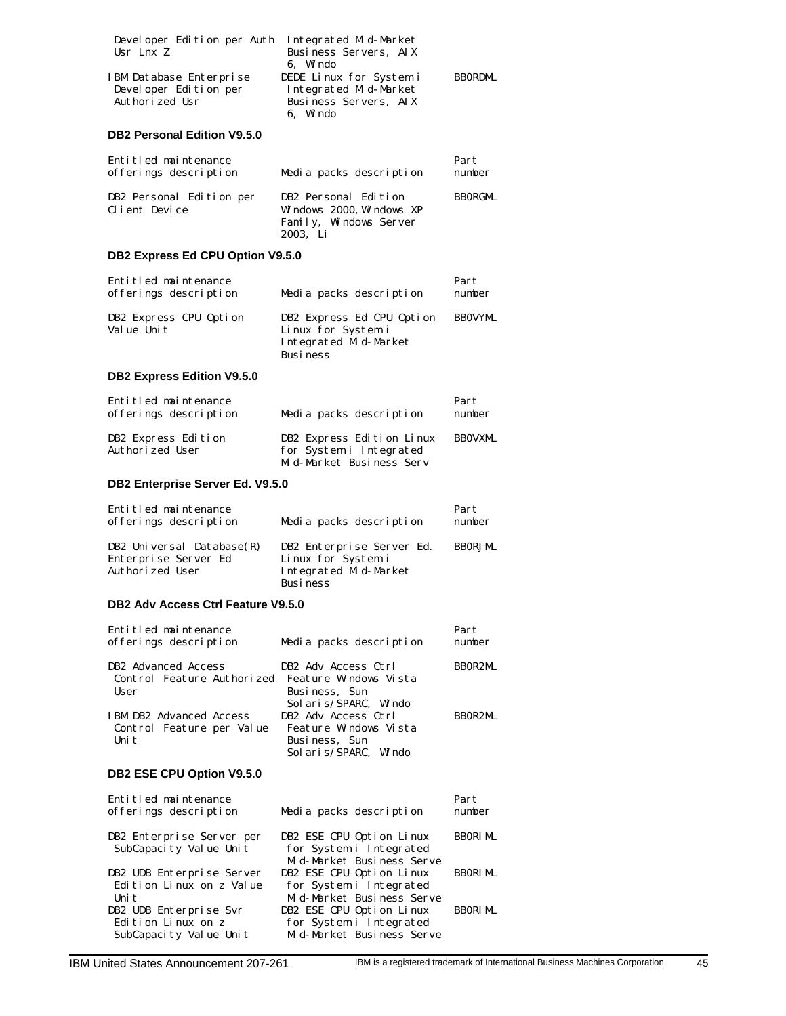| Developer Edition per Auth<br>Usr Lnx Z                                         | Integrated Mid-Market<br>Business Servers, AIX<br>6. Windo                                                         |                 |
|---------------------------------------------------------------------------------|--------------------------------------------------------------------------------------------------------------------|-----------------|
| IBM Database Enterprise<br>Devel oper Edition per<br>Authorized Usr             | DEDE Linux for System i<br>Integrated Mid-Market<br>Business Servers, AIX<br>6. Windo                              | <b>BBORDML</b>  |
| <b>DB2 Personal Edition V9.5.0</b>                                              |                                                                                                                    |                 |
| Entitled maintenance<br>offerings description                                   | Media packs description                                                                                            | Part<br>number  |
| DB2 Personal Edition per<br>Client Device                                       | DB2 Personal Edition<br>Windows 2000, Windows XP<br>Family, Windows Server<br>2003, Li                             | <b>BBORGML</b>  |
| DB2 Express Ed CPU Option V9.5.0                                                |                                                                                                                    |                 |
| Entitled maintenance<br>offerings description                                   | Media packs description                                                                                            | Part<br>number  |
| DB2 Express CPU Option<br>Value Unit                                            | DB2 Express Ed CPU Option<br>Linux for System i<br>Integrated Mid-Market<br>Busi ness                              | <b>BBOVYML</b>  |
| <b>DB2 Express Edition V9.5.0</b>                                               |                                                                                                                    |                 |
| Entitled maintenance<br>offerings description                                   | Media packs description                                                                                            | Part<br>number  |
| DB2 Express Edition<br>Authorized User                                          | DB2 Express Edition Linux<br>for System i Integrated<br>Mid-Market Business Serv                                   | <b>BBOVXML</b>  |
| DB2 Enterprise Server Ed. V9.5.0                                                |                                                                                                                    |                 |
| Entitled maintenance<br>offerings description                                   | Media packs description                                                                                            | Part<br>number  |
| DB2 Universal Database(R)<br>Enterprise Server Ed<br>Authorized User            | DB2 Enterprise Server Ed.<br>Linux for System i<br>Integrated Mid-Market<br><b>Business</b>                        | <b>BBORJML</b>  |
| DB2 Adv Access Ctrl Feature V9.5.0                                              |                                                                                                                    |                 |
| Entitled maintenance<br>offerings description                                   | Media packs description                                                                                            | Part<br>number  |
| DB2 Advanced Access<br>Control Feature Authorized<br>User                       | DB2 Adv Access Ctrl<br>Feature Windows Vista<br>Busi ness, Sun                                                     | BBOR2ML         |
| IBM DB2 Advanced Access<br>Control Feature per Value<br>Uni t                   | Sol ari s/SPARC, Windo<br>DB2 Adv Access Ctrl<br>Feature Windows Vista<br>Busi ness, Sun<br>Sol ari s/SPARC, Windo | BBOR2ML         |
| DB2 ESE CPU Option V9.5.0                                                       |                                                                                                                    |                 |
| Entitled maintenance<br>offerings description                                   | Media packs description                                                                                            | Part<br>number  |
| DB2 Enterprise Server per<br>SubCapacity Value Unit                             | DB2 ESE CPU Option Linux<br>for System i Integrated                                                                | BBORI ML        |
| DB2 UDB Enterprise Server<br>Edition Linux on z Value                           | Mid-Market Business Serve<br>DB2 ESE CPU Option Linux<br>for System i Integrated                                   | BBORI ML        |
| Uni t<br>DB2 UDB Enterprise Svr<br>Edition Linux on z<br>SubCapacity Value Unit | Mid-Market Business Serve<br>DB2 ESE CPU Option Linux<br>for System i Integrated<br>Mid-Market Business Serve      | <b>BBORI ML</b> |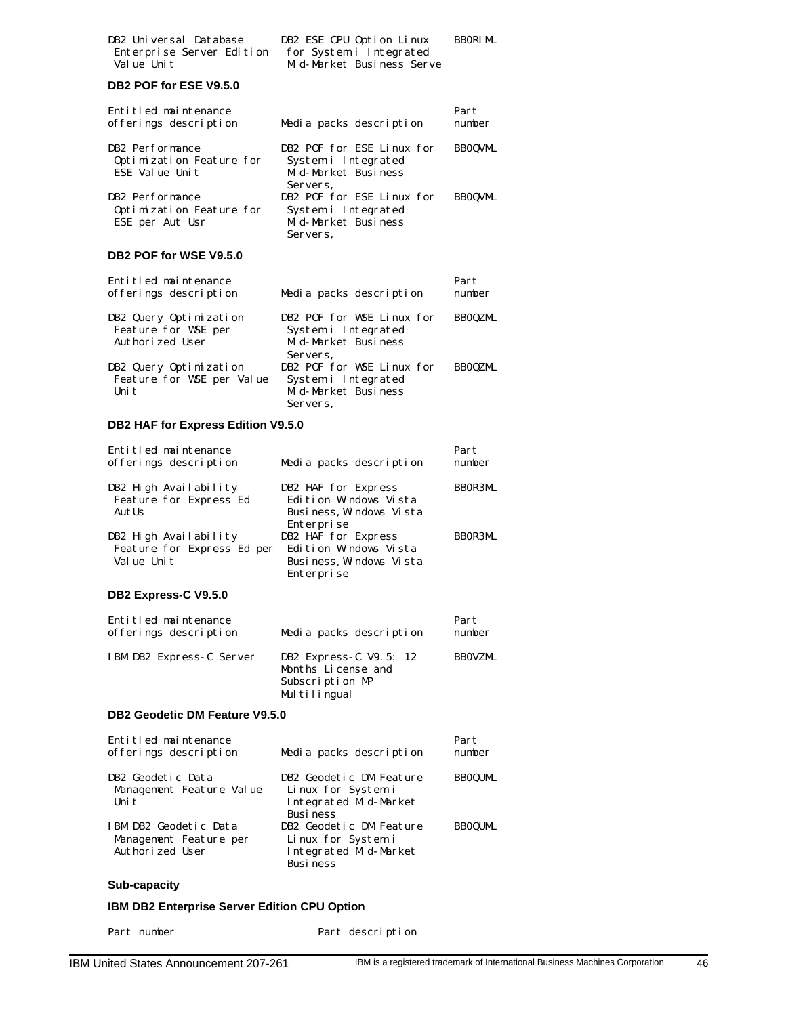| DB2 Universal Database    | DB2 ESE CPU Option Linux  | BBORI ML |
|---------------------------|---------------------------|----------|
| Enterprise Server Edition | for System i Integrated   |          |
| Value Unit                | Mid-Market Business Serve |          |

# **DB2 POF for ESE V9.5.0**

| Entitled maintenance<br>offerings description | Media packs description   | Part<br>number |
|-----------------------------------------------|---------------------------|----------------|
| DB2 Performance                               | DB2 POF for ESE Linux for | <b>BBOQVML</b> |
| Optimization Feature for                      | System i Integrated       |                |
| ESE Value Unit                                | Mid-Market Business       |                |
|                                               | Servers.                  |                |
| DB2 Performance                               | DB2 POF for ESE Linux for | <b>BBOOVML</b> |
| Optimization Feature for                      | System i Integrated       |                |
| ESE per Aut Usr                               | Mid-Market Business       |                |
|                                               | Servers,                  |                |

# **DB2 POF for WSE V9.5.0**

| Entitled maintenance<br>offerings description | Media packs description                          | Part<br>number |
|-----------------------------------------------|--------------------------------------------------|----------------|
| DB2 Query Optimization<br>Feature for WSE per | DB2 POF for WSE Linux for<br>System i Integrated | <b>BBOQZML</b> |
| Authorized User                               | Mid-Market Business                              |                |
|                                               | Servers.                                         |                |
| DB2 Query Optimization                        | DB2 POF for WSE Linux for                        | <b>BBOOZML</b> |
| Feature for WSE per Value                     | System i Integrated                              |                |
| Uni t                                         | Mid-Market Business                              |                |
|                                               | Servers.                                         |                |

# **DB2 HAF for Express Edition V9.5.0**

| Entitled maintenance<br>offerings description   | Media packs description                      | Part<br>number |
|-------------------------------------------------|----------------------------------------------|----------------|
| DB2 High Availability<br>Feature for Express Ed | DB2 HAF for Express<br>Edition Windows Vista | <b>BBOR3ML</b> |
| AutUs                                           | Business, Windows Vista                      |                |
|                                                 | Enterprise                                   |                |
| DB2 High Availability                           | DB2 HAF for Express                          | BB0R3ML        |
| Feature for Express Ed per                      | Edition Windows Vista                        |                |
| Value Unit                                      | Business, Windows Vista                      |                |
|                                                 | Enterprise                                   |                |

# **DB2 Express-C V9.5.0**

| Entitled maintenance<br>offerings description | Media packs description                                                         | Part<br>number |
|-----------------------------------------------|---------------------------------------------------------------------------------|----------------|
| IBM DB2 Express-C Server                      | DB2 Express C V9.5: 12<br>Months License and<br>Subscription MP<br>Multilingual | <b>BBOVZML</b> |

### **DB2 Geodetic DM Feature V9.5.0**

| Entitled maintenance<br>offerings description | Media packs description | Part<br>number |
|-----------------------------------------------|-------------------------|----------------|
| DB2 Geodetic Data                             | DB2 Geodetic DM Feature | <b>BBOQUML</b> |
| Management Feature Value                      | Linux for System i      |                |
| Uni t                                         | Integrated Mid-Market   |                |
|                                               | <b>Busi ness</b>        |                |
| IBM DB2 Geodetic Data                         | DB2 Geodetic DM Feature | <b>BBOOUML</b> |
| Management Feature per                        | Linux for System i      |                |
| Authorized User                               | Integrated Mid-Market   |                |
|                                               | <b>Business</b>         |                |

# **Sub-capacity**

# **IBM DB2 Enterprise Server Edition CPU Option**

Part number Part description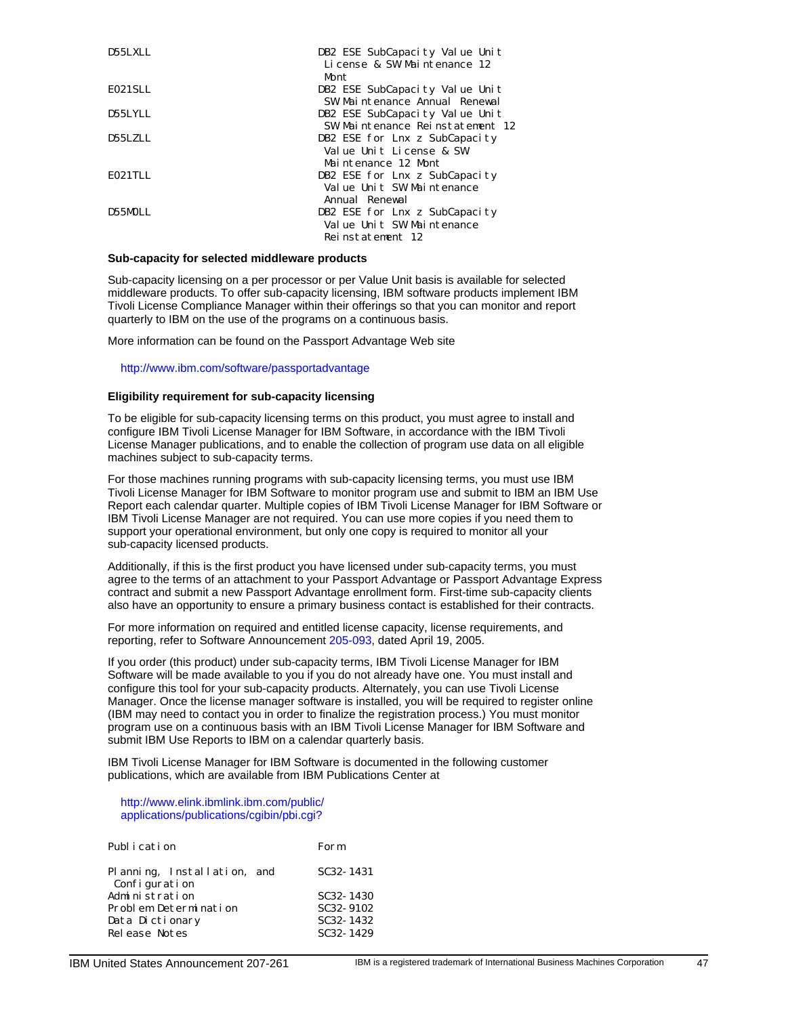| D55LXLL | DB2 ESE SubCapacity Value Unit<br>License & SW Maintenance 12<br>Mont.          |
|---------|---------------------------------------------------------------------------------|
| E021SLL | DB2 ESE SubCapacity Value Unit<br>SW Maintenance Annual Renewal                 |
| D55LYLL | DB2 ESE SubCapacity Value Unit<br>SW Maintenance Reinstatement 12               |
| D55LZLL | DB2 ESE for Lnx z SubCapacity<br>Value Unit License & SW<br>Maintenance 12 Mont |
| E021TLL | DB2 ESE for Lnx z SubCapacity<br>Value Unit SW Maintenance<br>Annual Renewal    |
| D55MOLL | DB2 ESE for Lnx z SubCapacity<br>Value Unit SW Maintenance<br>Reinstatement 12  |

# **Sub-capacity for selected middleware products**

Sub-capacity licensing on a per processor or per Value Unit basis is available for selected middleware products. To offer sub-capacity licensing, IBM software products implement IBM Tivoli License Compliance Manager within their offerings so that you can monitor and report quarterly to IBM on the use of the programs on a continuous basis.

More information can be found on the Passport Advantage Web site

http://www.ibm.com/software/passportadvantage

#### **Eligibility requirement for sub-capacity licensing**

To be eligible for sub-capacity licensing terms on this product, you must agree to install and configure IBM Tivoli License Manager for IBM Software, in accordance with the IBM Tivoli License Manager publications, and to enable the collection of program use data on all eligible machines subject to sub-capacity terms.

For those machines running programs with sub-capacity licensing terms, you must use IBM Tivoli License Manager for IBM Software to monitor program use and submit to IBM an IBM Use Report each calendar quarter. Multiple copies of IBM Tivoli License Manager for IBM Software or IBM Tivoli License Manager are not required. You can use more copies if you need them to support your operational environment, but only one copy is required to monitor all your sub-capacity licensed products.

Additionally, if this is the first product you have licensed under sub-capacity terms, you must agree to the terms of an attachment to your Passport Advantage or Passport Advantage Express contract and submit a new Passport Advantage enrollment form. First-time sub-capacity clients also have an opportunity to ensure a primary business contact is established for their contracts.

For more information on required and entitled license capacity, license requirements, and reporting, refer to Software Announcement [205-093,](http://www.ibm.com/common/ssi/fcgi-bin/ssialias?infotype=AN&subtype=CA&htmlfid=897/ENUS205-093&appname=USN) dated April 19, 2005.

If you order (this product) under sub-capacity terms, IBM Tivoli License Manager for IBM Software will be made available to you if you do not already have one. You must install and configure this tool for your sub-capacity products. Alternately, you can use Tivoli License Manager. Once the license manager software is installed, you will be required to register online (IBM may need to contact you in order to finalize the registration process.) You must monitor program use on a continuous basis with an IBM Tivoli License Manager for IBM Software and submit IBM Use Reports to IBM on a calendar quarterly basis.

IBM Tivoli License Manager for IBM Software is documented in the following customer publications, which are available from IBM Publications Center at

#### http://www.elink.ibmlink.ibm.com/public/ [applications/publications/cgibin/pbi.cgi?](http://www.elink.ibmlink.ibm.com/public/applications/publications/cgibin/pbi.cgi?)

| Publ i cation                                | Form                   |
|----------------------------------------------|------------------------|
| Planning, Installation, and<br>Configuration | SC <sub>32</sub> -1431 |
| Administration                               | SC32-1430              |
| Problem Determination                        | SC <sub>32</sub> -9102 |
| Data Dictionary<br>Release Notes             | SC32-1432<br>SC32-1429 |
|                                              |                        |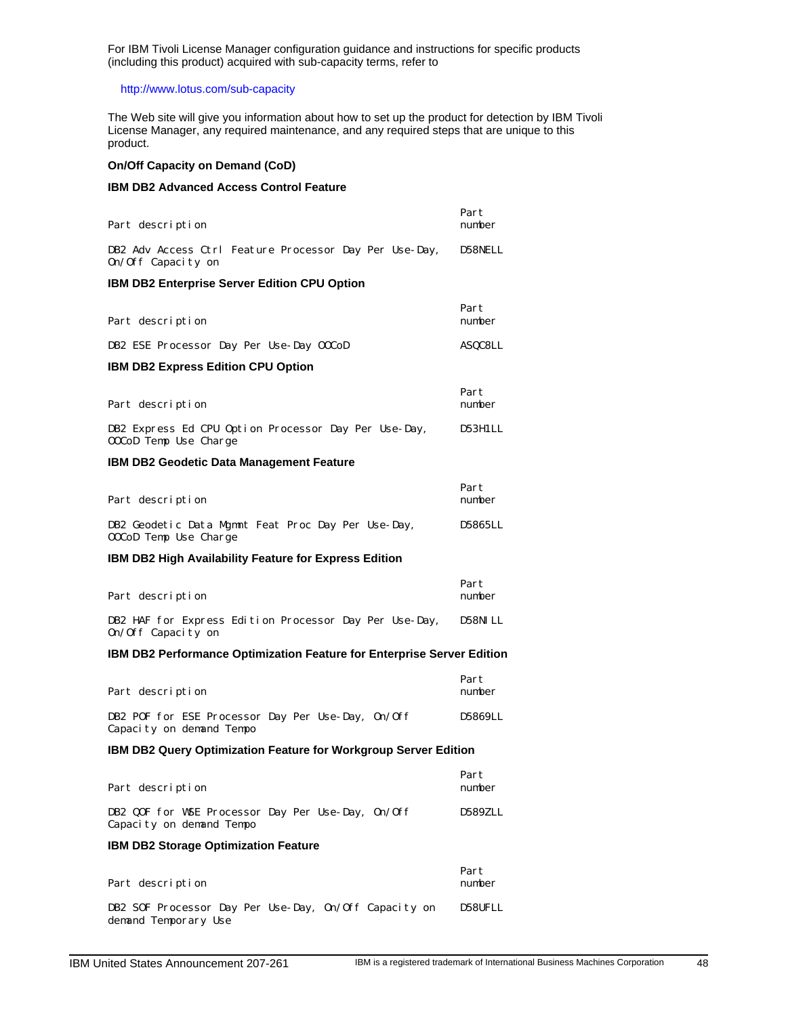For IBM Tivoli License Manager configuration guidance and instructions for specific products (including this product) acquired with sub-capacity terms, refer to

# http://www.lotus.com/sub-capacity

The Web site will give you information about how to set up the product for detection by IBM Tivoli License Manager, any required maintenance, and any required steps that are unique to this product.

### **On/Off Capacity on Demand (CoD)**

# **IBM DB2 Advanced Access Control Feature**

| Part description                                                              | Part<br>number |
|-------------------------------------------------------------------------------|----------------|
| DB2 Adv Access Ctrl Feature Processor Day Per Use-Day,<br>0n/0ff Capacity on  | D58NELL        |
| <b>IBM DB2 Enterprise Server Edition CPU Option</b>                           |                |
| Part description                                                              | Part<br>number |
| DB2 ESE Processor Day Per Use-Day 00CoD                                       | ASQC8LL        |
| <b>IBM DB2 Express Edition CPU Option</b>                                     |                |
| Part description                                                              | Part<br>number |
| DB2 Express Ed CPU Option Processor Day Per Use-Day,<br>00CoD Temp Use Charge | D53H1LL        |
| <b>IBM DB2 Geodetic Data Management Feature</b>                               |                |
| Part description                                                              | Part<br>number |
| DB2 Geodetic Data Mgmnt Feat Proc Day Per Use-Day,<br>00CoD Temp Use Charge   | D5865LL        |
| <b>IBM DB2 High Availability Feature for Express Edition</b>                  |                |
| Part description                                                              | Part<br>number |
| DB2 HAF for Express Edition Processor Day Per Use-Day,<br>On/Off Capacity on  | D58NI LL       |
| <b>IBM DB2 Performance Optimization Feature for Enterprise Server Edition</b> |                |
| Part description                                                              | Part<br>number |
| DB2 POF for ESE Processor Day Per Use-Day, 0n/Off<br>Capacity on demand Tempo | D5869LL        |
| <b>IBM DB2 Query Optimization Feature for Workgroup Server Edition</b>        |                |
| Part description                                                              | Part<br>number |
| DB2 QOF for WSE Processor Day Per Use-Day, 0n/Off<br>Capacity on demand Tempo | D589ZLL        |
| IBM DB2 Storage Optimization Feature                                          |                |
| Part description                                                              | Part<br>number |
| DB2 SOF Processor Day Per Use-Day, On/Off Capacity on                         | D58UFLL        |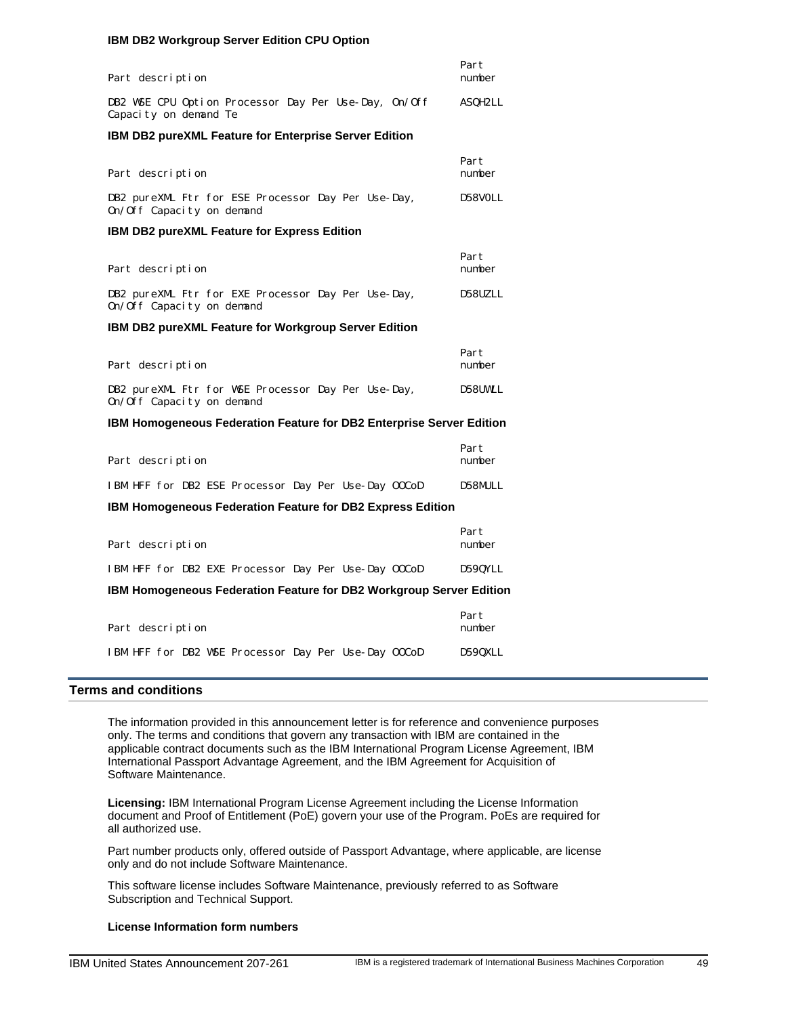#### **IBM DB2 Workgroup Server Edition CPU Option**

| Part description                                                                | Part<br>number |
|---------------------------------------------------------------------------------|----------------|
| DB2 WSE CPU Option Processor Day Per Use-Day, On/Off<br>Capacity on demand Te   | ASQH2LL        |
| <b>IBM DB2 pureXML Feature for Enterprise Server Edition</b>                    |                |
|                                                                                 |                |
| Part description                                                                | Part<br>number |
| DB2 pureXML Ftr for ESE Processor Day Per Use-Day,<br>0n/0ff Capacity on demand | D58VOLL        |
| <b>IBM DB2 pureXML Feature for Express Edition</b>                              |                |
|                                                                                 | Part           |
| Part description                                                                | number         |
| DB2 pureXML Ftr for EXE Processor Day Per Use-Day,<br>On/Off Capacity on demand | D58UZLL        |
| IBM DB2 pureXML Feature for Workgroup Server Edition                            |                |
|                                                                                 |                |
| Part description                                                                | Part<br>number |
| DB2 pureXML Ftr for WSE Processor Day Per Use-Day,<br>On/Off Capacity on demand | D58UWLL        |
| <b>IBM Homogeneous Federation Feature for DB2 Enterprise Server Edition</b>     |                |
|                                                                                 | Part           |
| Part description                                                                | number         |
| IBM HFF for DB2 ESE Processor Day Per Use-Day OOCoD                             | D58MULL        |
| <b>IBM Homogeneous Federation Feature for DB2 Express Edition</b>               |                |
|                                                                                 | Part           |
| Part description                                                                | number         |
| IBM HFF for DB2 EXE Processor Day Per Use-Day OOCoD                             | D59QYLL        |
| IBM Homogeneous Federation Feature for DB2 Workgroup Server Edition             |                |
|                                                                                 | Part           |
| Part description                                                                | number         |
| IBM HFF for DB2 WSE Processor Day Per Use-Day 00CoD                             | D590XLL        |

# <span id="page-48-0"></span>**Terms and conditions**

The information provided in this announcement letter is for reference and convenience purposes only. The terms and conditions that govern any transaction with IBM are contained in the applicable contract documents such as the IBM International Program License Agreement, IBM International Passport Advantage Agreement, and the IBM Agreement for Acquisition of Software Maintenance.

**Licensing:** IBM International Program License Agreement including the License Information document and Proof of Entitlement (PoE) govern your use of the Program. PoEs are required for all authorized use.

Part number products only, offered outside of Passport Advantage, where applicable, are license only and do not include Software Maintenance.

This software license includes Software Maintenance, previously referred to as Software Subscription and Technical Support.

#### **License Information form numbers**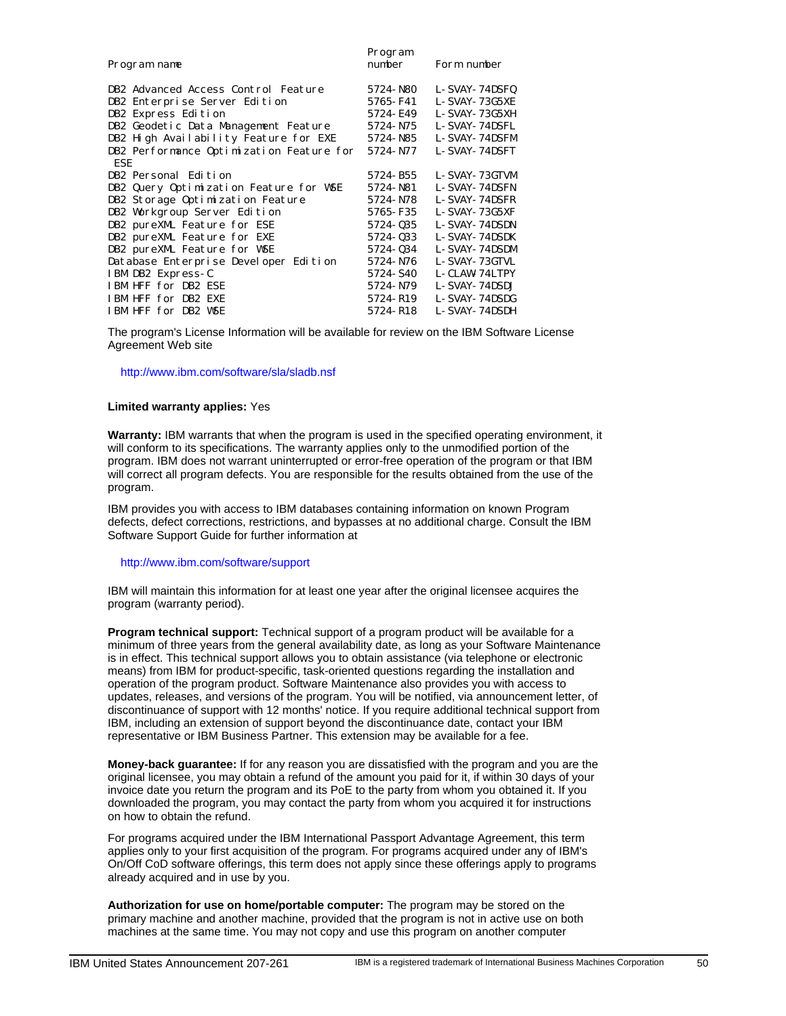| Program name                             | Program<br>number | Form number   |
|------------------------------------------|-------------------|---------------|
| DB2 Advanced Access Control Feature      | 5724-N80          | L-SVAY-74DSFQ |
| DB2 Enterprise Server Edition            | 5765-F41          | L-SVAY-73G5XE |
| DB2 Express Edition                      | 5724-E49          | L-SVAY-73G5XH |
| DB2 Geodetic Data Management Feature     | 5724-N75          | L-SVAY-74DSFL |
| DB2 High Availability Feature for EXE    | 5724-N85          | L-SVAY-74DSFM |
| DB2 Performance Optimization Feature for | 5724-N77          | L-SVAY-74DSFT |
| ESE.                                     |                   |               |
| DB2 Personal Edition                     | 5724-B55          | L-SVAY-73GTVM |
| DB2 Query Optimization Feature for WSE   | 5724-N81          | L-SVAY-74DSFN |
| DB2 Storage Optimization Feature         | 5724-N78          | L-SVAY-74DSFR |
| DB2 Workgroup Server Edition             | 5765-F35          | L-SVAY-73G5XF |
| DB2 pureXML Feature for ESE              | 5724-035          | L-SVAY-74DSDN |
| DB2 pureXML Feature for EXE              | 5724-033          | L-SVAY-74DSDK |
| DB2 pureXML Feature for WSE              | 5724-034          | L-SVAY-74DSDM |
| Database Enterprise Developer Edition    | 5724-N76          | L-SVAY-73GTVL |
| IBM DB2 Express-C                        | 5724-S40          | L-CLAW-74LTPY |
| IBM HFF for DB2 ESE                      | 5724-N79          | L-SVAY-74DSDJ |
| IBM HFF for DB2 EXE                      | 5724-R19          | L-SVAY-74DSDG |
| IBM HFF for DB2 WSE                      | 5724-R18          | L-SVAY-74DSDH |

The program's License Information will be available for review on the IBM Software License Agreement Web site

http://www.ibm.com/software/sla/sladb.nsf

#### **Limited warranty applies:** Yes

**Warranty:** IBM warrants that when the program is used in the specified operating environment, it will conform to its specifications. The warranty applies only to the unmodified portion of the program. IBM does not warrant uninterrupted or error-free operation of the program or that IBM will correct all program defects. You are responsible for the results obtained from the use of the program.

IBM provides you with access to IBM databases containing information on known Program defects, defect corrections, restrictions, and bypasses at no additional charge. Consult the IBM Software Support Guide for further information at

#### http://www.ibm.com/software/support

IBM will maintain this information for at least one year after the original licensee acquires the program (warranty period).

**Program technical support:** Technical support of a program product will be available for a minimum of three years from the general availability date, as long as your Software Maintenance is in effect. This technical support allows you to obtain assistance (via telephone or electronic means) from IBM for product-specific, task-oriented questions regarding the installation and operation of the program product. Software Maintenance also provides you with access to updates, releases, and versions of the program. You will be notified, via announcement letter, of discontinuance of support with 12 months' notice. If you require additional technical support from IBM, including an extension of support beyond the discontinuance date, contact your IBM representative or IBM Business Partner. This extension may be available for a fee.

**Money-back guarantee:** If for any reason you are dissatisfied with the program and you are the original licensee, you may obtain a refund of the amount you paid for it, if within 30 days of your invoice date you return the program and its PoE to the party from whom you obtained it. If you downloaded the program, you may contact the party from whom you acquired it for instructions on how to obtain the refund.

For programs acquired under the IBM International Passport Advantage Agreement, this term applies only to your first acquisition of the program. For programs acquired under any of IBM's On/Off CoD software offerings, this term does not apply since these offerings apply to programs already acquired and in use by you.

**Authorization for use on home/portable computer:** The program may be stored on the primary machine and another machine, provided that the program is not in active use on both machines at the same time. You may not copy and use this program on another computer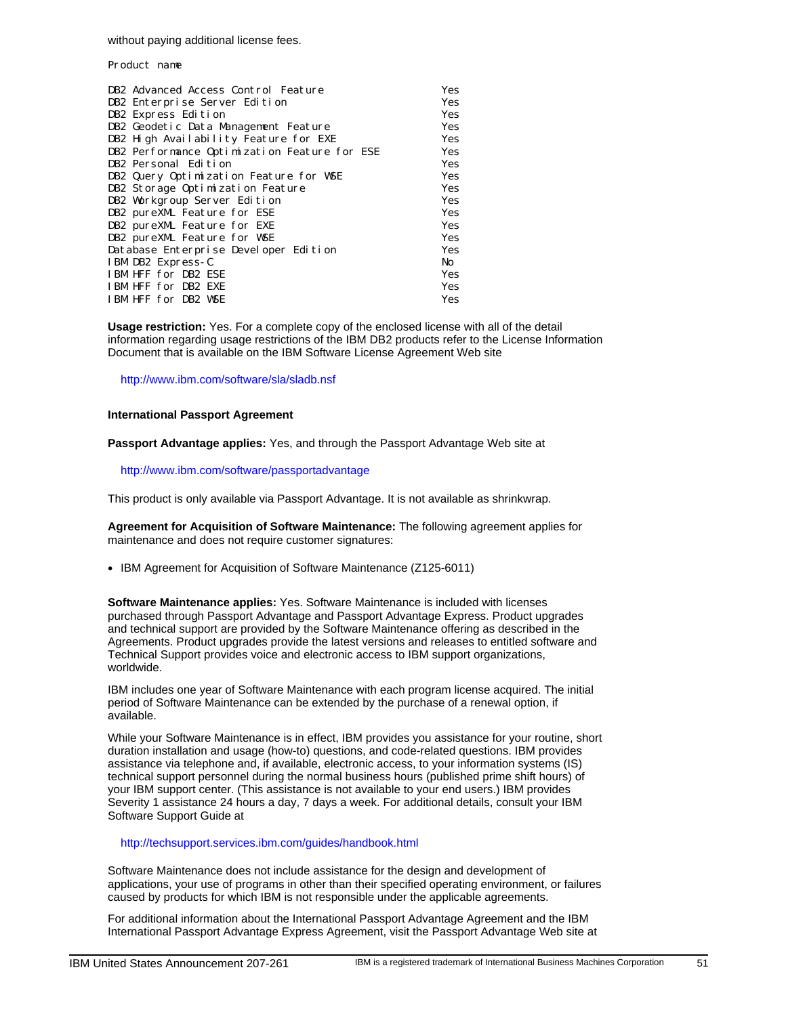without paying additional license fees.

Product name

| DB2 Advanced Access Control Feature          | Yes |
|----------------------------------------------|-----|
| DB2 Enterprise Server Edition                | Yes |
| DB2 Express Edition                          | Yes |
| DB2 Geodetic Data Management Feature         | Yes |
| DB2 High Availability Feature for EXE        | Yes |
| DB2 Performance Optimization Feature for ESE | Yes |
| DB2 Personal Edition                         | Yes |
| DB2 Query Optimization Feature for WSE       | Yes |
| DB2 Storage Optimization Feature             | Yes |
| DB2 Workgroup Server Edition                 | Yes |
| DB2 pureXML Feature for ESE                  | Yes |
| DB2 pureXML Feature for EXE                  | Yes |
| DB2 pureXML Feature for WSE                  | Yes |
| Database Enterprise Developer Edition        | Yes |
| IBM DB2 Express-C                            | No  |
| IBM HFF for DB2 ESE                          | Yes |
| IBM HFF for DB2 EXE                          | Yes |
| IBM HFF for DB2 WSE                          | Yes |

**Usage restriction:** Yes. For a complete copy of the enclosed license with all of the detail information regarding usage restrictions of the IBM DB2 products refer to the License Information Document that is available on the IBM Software License Agreement Web site

http://www.ibm.com/software/sla/sladb.nsf

#### **International Passport Agreement**

**Passport Advantage applies:** Yes, and through the Passport Advantage Web site at

http://www.ibm.com/software/passportadvantage

This product is only available via Passport Advantage. It is not available as shrinkwrap.

**Agreement for Acquisition of Software Maintenance:** The following agreement applies for maintenance and does not require customer signatures:

• IBM Agreement for Acquisition of Software Maintenance (Z125-6011)

**Software Maintenance applies:** Yes. Software Maintenance is included with licenses purchased through Passport Advantage and Passport Advantage Express. Product upgrades and technical support are provided by the Software Maintenance offering as described in the Agreements. Product upgrades provide the latest versions and releases to entitled software and Technical Support provides voice and electronic access to IBM support organizations, worldwide.

IBM includes one year of Software Maintenance with each program license acquired. The initial period of Software Maintenance can be extended by the purchase of a renewal option, if available.

While your Software Maintenance is in effect, IBM provides you assistance for your routine, short duration installation and usage (how-to) questions, and code-related questions. IBM provides assistance via telephone and, if available, electronic access, to your information systems (IS) technical support personnel during the normal business hours (published prime shift hours) of your IBM support center. (This assistance is not available to your end users.) IBM provides Severity 1 assistance 24 hours a day, 7 days a week. For additional details, consult your IBM Software Support Guide at

http://techsupport.services.ibm.com/guides/handbook.html

Software Maintenance does not include assistance for the design and development of applications, your use of programs in other than their specified operating environment, or failures caused by products for which IBM is not responsible under the applicable agreements.

For additional information about the International Passport Advantage Agreement and the IBM International Passport Advantage Express Agreement, visit the Passport Advantage Web site at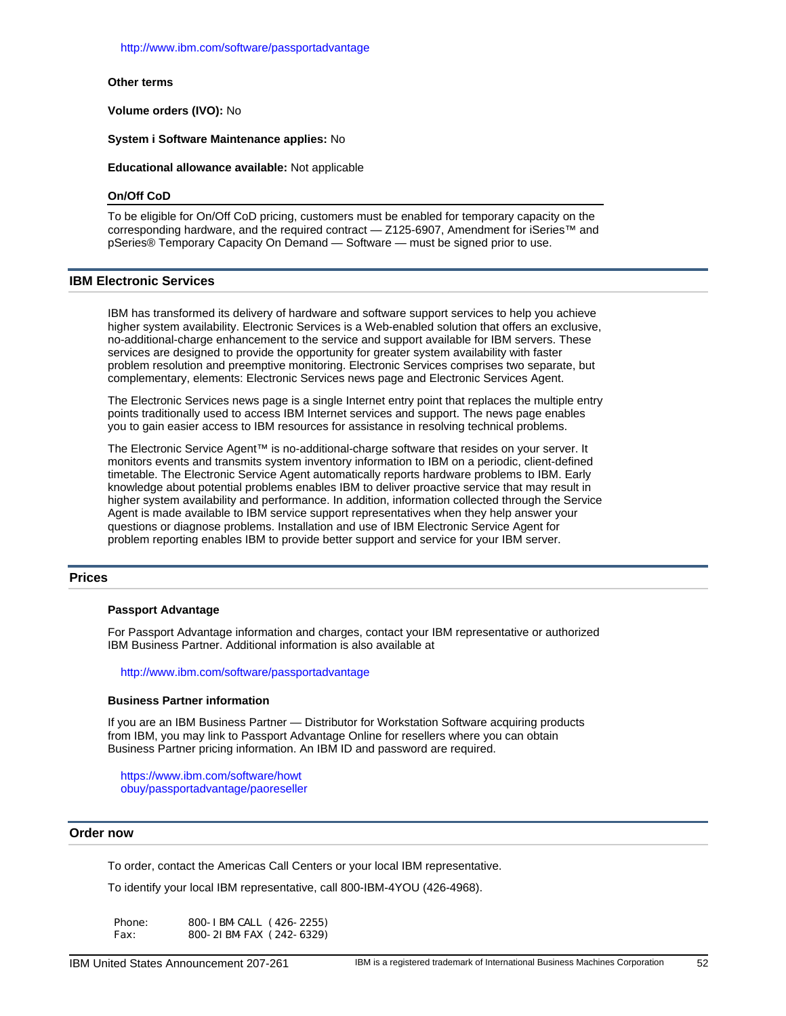http://www.ibm.com/software/passportadvantage

#### **Other terms**

**Volume orders (IVO):** No

**System i Software Maintenance applies:** No

**Educational allowance available:** Not applicable

#### **On/Off CoD**

To be eligible for On/Off CoD pricing, customers must be enabled for temporary capacity on the corresponding hardware, and the required contract — Z125-6907, Amendment for iSeries™ and pSeries® Temporary Capacity On Demand — Software — must be signed prior to use.

#### <span id="page-51-0"></span>**IBM Electronic Services**

IBM has transformed its delivery of hardware and software support services to help you achieve higher system availability. Electronic Services is a Web-enabled solution that offers an exclusive, no-additional-charge enhancement to the service and support available for IBM servers. These services are designed to provide the opportunity for greater system availability with faster problem resolution and preemptive monitoring. Electronic Services comprises two separate, but complementary, elements: Electronic Services news page and Electronic Services Agent.

The Electronic Services news page is a single Internet entry point that replaces the multiple entry points traditionally used to access IBM Internet services and support. The news page enables you to gain easier access to IBM resources for assistance in resolving technical problems.

The Electronic Service Agent™ is no-additional-charge software that resides on your server. It monitors events and transmits system inventory information to IBM on a periodic, client-defined timetable. The Electronic Service Agent automatically reports hardware problems to IBM. Early knowledge about potential problems enables IBM to deliver proactive service that may result in higher system availability and performance. In addition, information collected through the Service Agent is made available to IBM service support representatives when they help answer your questions or diagnose problems. Installation and use of IBM Electronic Service Agent for problem reporting enables IBM to provide better support and service for your IBM server.

# <span id="page-51-1"></span>**Prices**

#### **Passport Advantage**

For Passport Advantage information and charges, contact your IBM representative or authorized IBM Business Partner. Additional information is also available at

http://www.ibm.com/software/passportadvantage

#### **Business Partner information**

If you are an IBM Business Partner — Distributor for Workstation Software acquiring products from IBM, you may link to Passport Advantage Online for resellers where you can obtain Business Partner pricing information. An IBM ID and password are required.

https://www.ibm.com/software/howt [obuy/passportadvantage/paoreselle](https://www.ibm.com/software/howtobuy/passportadvantage/paoreseller)r

# <span id="page-51-2"></span>**Order now**

To order, contact the Americas Call Centers or your local IBM representative.

To identify your local IBM representative, call 800-IBM-4YOU (426-4968).

Phone: 800-IBM-CALL (426-2255) Fax: 800-2IBM-FAX (242-6329)